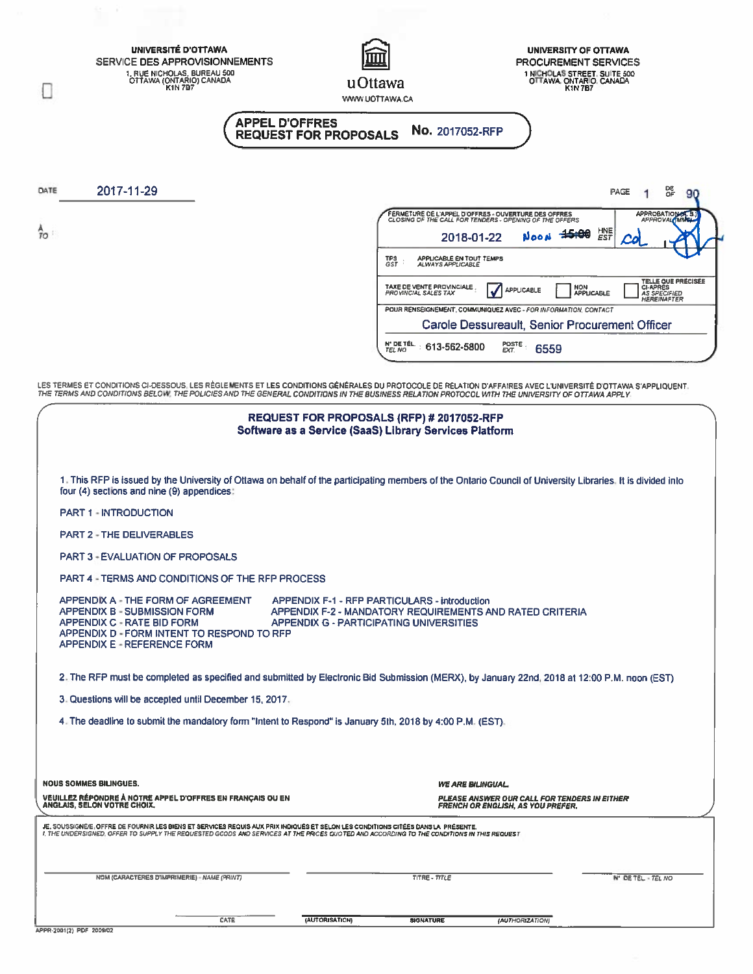| UNIVERSITÉ D'OTTAWA<br>SERVICE DES APPROVISIONNEMENTS<br>1, RUE NICHOLAS, BUREAU 500<br>OTTAWA (ONTARIO) CANADA<br>K1N 7B7                                                                                                                                                                                                      | UNIVERSITY OF OTTAWA<br>PROCUREMENT SERVICES<br>1 NICHOLAS STREET, SUITE 500<br>OTTAWA, ONTARIO, CANADA<br>u Ottawa<br><b>K1N7B7</b><br>WWW.UOTTAWA.CA                                                                                                                                                                            |
|---------------------------------------------------------------------------------------------------------------------------------------------------------------------------------------------------------------------------------------------------------------------------------------------------------------------------------|-----------------------------------------------------------------------------------------------------------------------------------------------------------------------------------------------------------------------------------------------------------------------------------------------------------------------------------|
| <b>APPEL D'OFFRES</b>                                                                                                                                                                                                                                                                                                           | No. 2017052-RFP<br><b>REQUEST FOR PROPOSALS</b>                                                                                                                                                                                                                                                                                   |
| 2017-11-29<br>DATE                                                                                                                                                                                                                                                                                                              | ᅊ<br><b>PAGE</b><br>90                                                                                                                                                                                                                                                                                                            |
| Îο                                                                                                                                                                                                                                                                                                                              | FERMETURE DE L'APPEL D'OFFRES - OUVERTURE DES OFFRES<br>CLOSING OF THE CALL FOR TENDERS - OPENING OF THE OFFERS<br>APPROBATIONAL 5<br>HNE<br>EST<br>$+5.00$<br>2018-01-22<br>APPLICABLE EN TOUT TEMPS<br>ALWAYS APPLICABLE<br>TPS<br>GST                                                                                          |
|                                                                                                                                                                                                                                                                                                                                 | TELLE QUE PRÉCISÉE<br>CHAPRES<br>TAXE DE VENTE PROVINCIALE<br>NON<br><b>APPLICABLE</b><br>PROVINCIAL SALES TAX<br>APPLICABLE<br><b>AS SPECIFIED</b><br><b>HEREINAFTER</b><br>POUR RENSEIGNEMENT, COMMUNIQUEZ AVEC - FOR INFORMATION, CONTACT<br>Carole Dessureault, Senior Procurement Officer                                    |
|                                                                                                                                                                                                                                                                                                                                 | N° DE TÉL.<br>POSTE<br>EXT.<br>613-562-5800<br>6559<br>TEL NO                                                                                                                                                                                                                                                                     |
|                                                                                                                                                                                                                                                                                                                                 | LES TERMES ET CONDITIONS CI-DESSOUS, LES RÈGLEMENTS ET LES CONDITIONS GÉNÉRALES DU PROTOCOLE DE RELATION D'AFFAIRES AVEC L'UNIVERSITÉ D'OTTAWA S'APPLIQUENT.<br>THE TERMS AND CONDITIONS BELOW. THE POLICIES AND THE GENERAL CONDITIONS IN THE BUSINESS RELATION PROTOCOL WITH THE UNIVERSITY OF OTTAWA APPLY.                    |
| four (4) sections and nine (9) appendices:<br><b>PART 1 - INTRODUCTION</b><br><b>PART 2 - THE DELIVERABLES</b><br><b>PART 3 - EVALUATION OF PROPOSALS</b><br>PART 4 - TERMS AND CONDITIONS OF THE RFP PROCESS<br>APPENDIX A - THE FORM OF AGREEMENT<br><b>APPENDIX B - SUBMISSION FORM</b><br><b>APPENDIX C - RATE BID FORM</b> | 1. This RFP is issued by the University of Ottawa on behalf of the participating members of the Ontario Council of University Libraries, It is divided into<br><b>APPENDIX F-1 - RFP PARTICULARS - introduction</b><br>APPENDIX F-2 - MANDATORY REQUIREMENTS AND RATED CRITERIA<br><b>APPENDIX G - PARTICIPATING UNIVERSITIES</b> |
| APPENDIX D - FORM INTENT TO RESPOND TO RFP<br><b>APPENDIX E - REFERENCE FORM</b>                                                                                                                                                                                                                                                | 2. The RFP must be completed as specified and submitted by Electronic Bid Submission (MERX), by January 22nd, 2018 at 12:00 P.M. noon (EST)                                                                                                                                                                                       |
| 3. Questions will be accepted until December 15, 2017.                                                                                                                                                                                                                                                                          |                                                                                                                                                                                                                                                                                                                                   |
| 4. The deadline to submit the mandatory form "Intent to Respond" is January 5th, 2018 by 4:00 P.M. (EST).                                                                                                                                                                                                                       |                                                                                                                                                                                                                                                                                                                                   |
| <b>NOUS SOMMES BILINGUES.</b><br>VEUILLEZ RÉPONDRE À NOTRE APPEL D'OFFRES EN FRANÇAIS OU EN<br>ANGLAIS, SELON VOTRE CHOIX.                                                                                                                                                                                                      | <b>WE ARE BILINGUAL.</b><br>PLEASE ANSWER OUR CALL FOR TENDERS IN EITHER<br>FRENCH OR ENGLISH, AS YOU PREFER.                                                                                                                                                                                                                     |
| JE, SOUSSIGNÉIE , OFFRE DE FOURNIR LES BIENS ET SERVICES REQUIS AUX PRIX INDIQUÉS ET SELON LES CONDITIONS CITÉES DANS LA PRÉSENTE.<br>I, THE UNDERSIGNED, OFFER TO SUPPLY THE REQUESTED GOODS AND SERVICES AT THE PRICES QUOTED AND ACCORDING TO THE CONDITIONS IN THIS REQUEST                                                 |                                                                                                                                                                                                                                                                                                                                   |
| NOM (CARACTÉRÉS D'IMPRIMERIE) - NAME (PRINT)                                                                                                                                                                                                                                                                                    | TITRE - TITLE<br><b>N' DE TEL - TEL NO</b>                                                                                                                                                                                                                                                                                        |
| DATE                                                                                                                                                                                                                                                                                                                            | (AUTORISATION)<br><b>SIGNATURE</b><br>(AUTHORIZATION)                                                                                                                                                                                                                                                                             |

| APPR-2001(2) PDF 2009/02 |  |
|--------------------------|--|
|                          |  |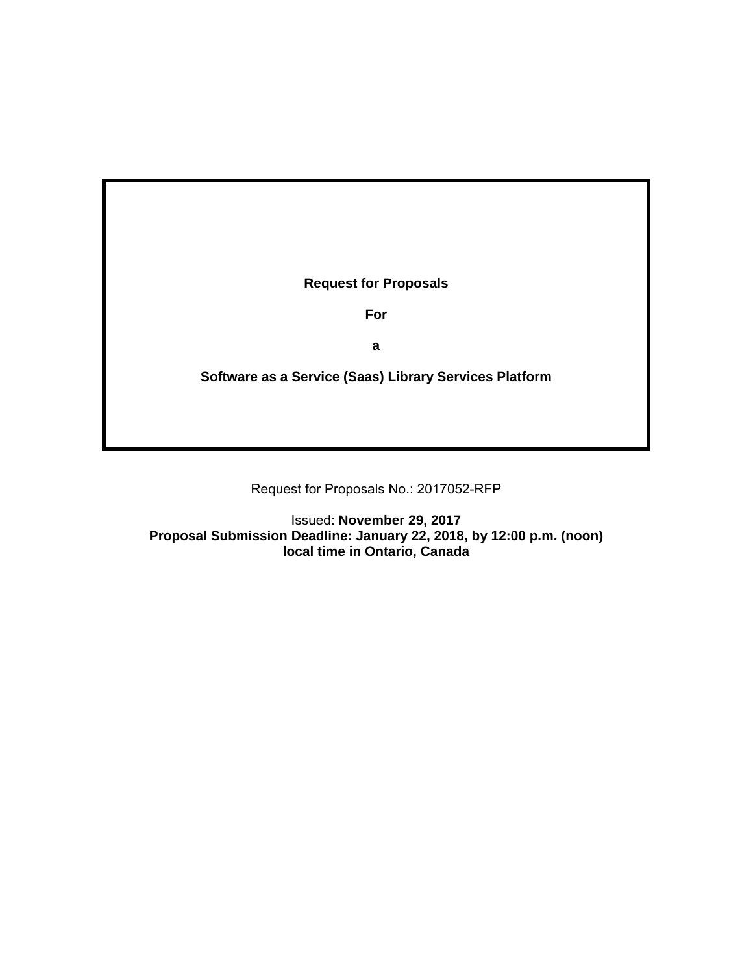**Request for Proposals** 

**For** 

**a** 

**Software as a Service (Saas) Library Services Platform** 

Request for Proposals No.: 2017052-RFP

Issued: **November 29, 2017 Proposal Submission Deadline: January 22, 2018, by 12:00 p.m. (noon) local time in Ontario, Canada**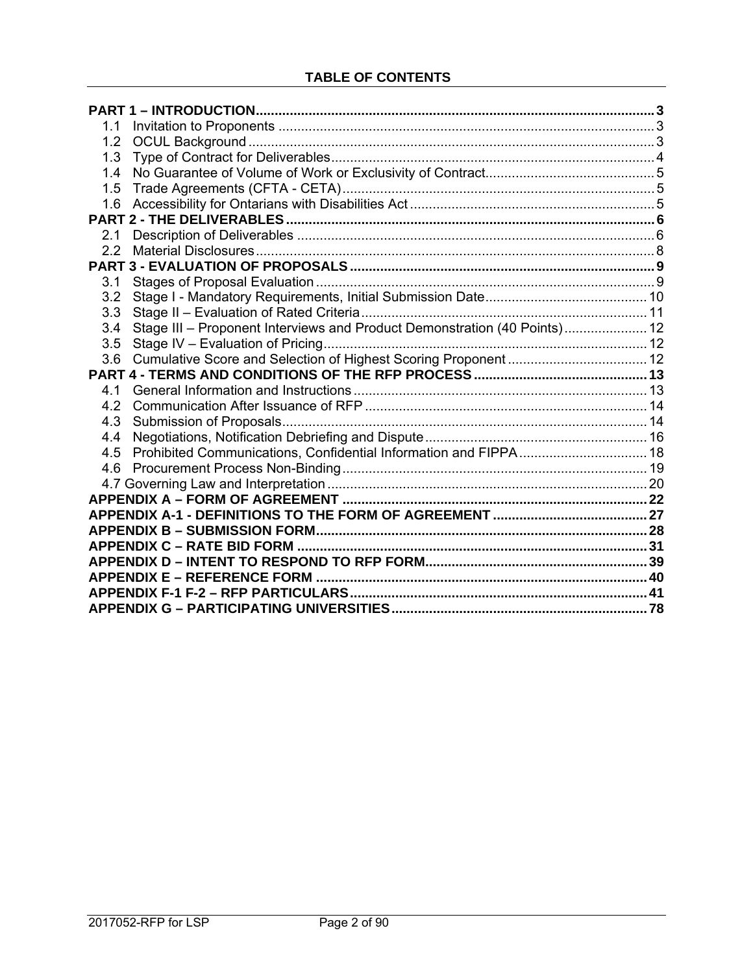| 1.1 |                                                                           |  |
|-----|---------------------------------------------------------------------------|--|
| 1.2 |                                                                           |  |
| 1.3 |                                                                           |  |
| 1.4 |                                                                           |  |
| 1.5 |                                                                           |  |
| 1.6 |                                                                           |  |
|     |                                                                           |  |
| 2.1 |                                                                           |  |
| 2.2 |                                                                           |  |
|     |                                                                           |  |
| 3.1 |                                                                           |  |
| 3.2 |                                                                           |  |
| 3.3 |                                                                           |  |
| 3.4 | Stage III - Proponent Interviews and Product Demonstration (40 Points) 12 |  |
| 3.5 |                                                                           |  |
|     |                                                                           |  |
|     |                                                                           |  |
| 4.1 |                                                                           |  |
| 4.2 |                                                                           |  |
| 4.3 |                                                                           |  |
| 4.4 |                                                                           |  |
| 4.5 |                                                                           |  |
| 4.6 |                                                                           |  |
|     |                                                                           |  |
|     |                                                                           |  |
|     |                                                                           |  |
|     |                                                                           |  |
|     |                                                                           |  |
|     |                                                                           |  |
|     |                                                                           |  |
|     |                                                                           |  |
|     |                                                                           |  |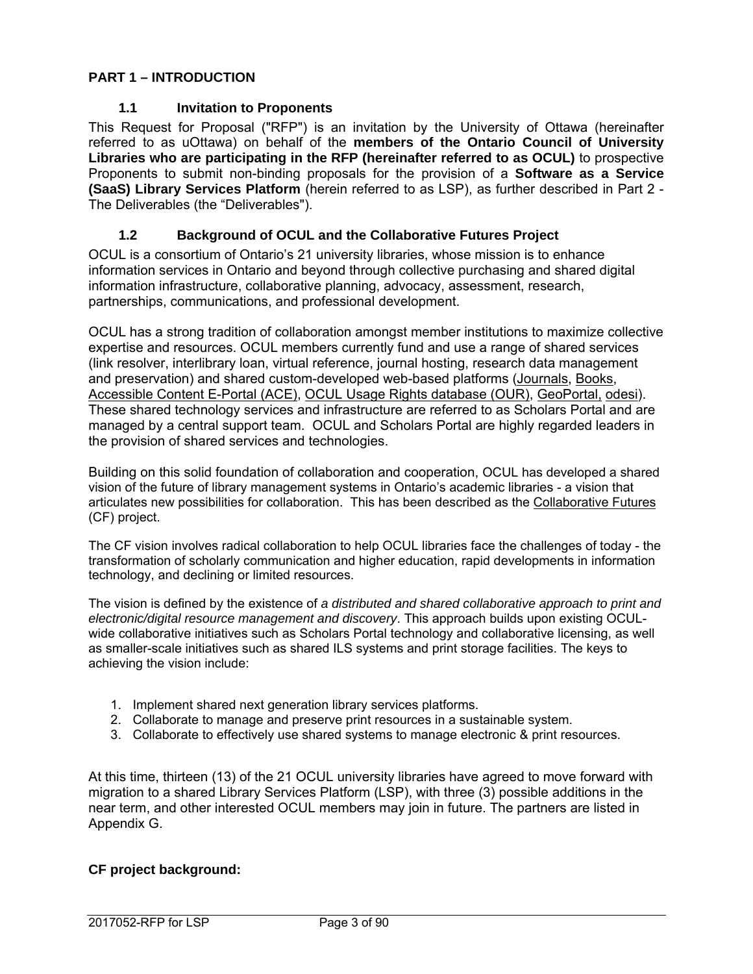## **PART 1 – INTRODUCTION**

### **1.1 Invitation to Proponents**

This Request for Proposal ("RFP") is an invitation by the University of Ottawa (hereinafter referred to as uOttawa) on behalf of the **members of the Ontario Council of University Libraries who are participating in the RFP (hereinafter referred to as OCUL)** to prospective Proponents to submit non-binding proposals for the provision of a **Software as a Service (SaaS) Library Services Platform** (herein referred to as LSP), as further described in Part 2 - The Deliverables (the "Deliverables").

#### **1.2 Background of OCUL and the Collaborative Futures Project**

OCUL is a consortium of Ontario's 21 university libraries, whose mission is to enhance information services in Ontario and beyond through collective purchasing and shared digital information infrastructure, collaborative planning, advocacy, assessment, research, partnerships, communications, and professional development.

OCUL has a strong tradition of collaboration amongst member institutions to maximize collective expertise and resources. OCUL members currently fund and use a range of shared services (link resolver, interlibrary loan, virtual reference, journal hosting, research data management and preservation) and shared custom-developed web-based platforms (Journals, Books, Accessible Content E-Portal (ACE), OCUL Usage Rights database (OUR), GeoPortal, odesi). These shared technology services and infrastructure are referred to as Scholars Portal and are managed by a central support team. OCUL and Scholars Portal are highly regarded leaders in the provision of shared services and technologies.

Building on this solid foundation of collaboration and cooperation, OCUL has developed a shared vision of the future of library management systems in Ontario's academic libraries - a vision that articulates new possibilities for collaboration. This has been described as the Collaborative Futures (CF) project.

The CF vision involves radical collaboration to help OCUL libraries face the challenges of today - the transformation of scholarly communication and higher education, rapid developments in information technology, and declining or limited resources.

The vision is defined by the existence of *a distributed and shared collaborative approach to print and electronic/digital resource management and discovery*. This approach builds upon existing OCULwide collaborative initiatives such as Scholars Portal technology and collaborative licensing, as well as smaller-scale initiatives such as shared ILS systems and print storage facilities. The keys to achieving the vision include:

- 1. Implement shared next generation library services platforms.
- 2. Collaborate to manage and preserve print resources in a sustainable system.
- 3. Collaborate to effectively use shared systems to manage electronic & print resources.

At this time, thirteen (13) of the 21 OCUL university libraries have agreed to move forward with migration to a shared Library Services Platform (LSP), with three (3) possible additions in the near term, and other interested OCUL members may join in future. The partners are listed in Appendix G.

### **CF project background:**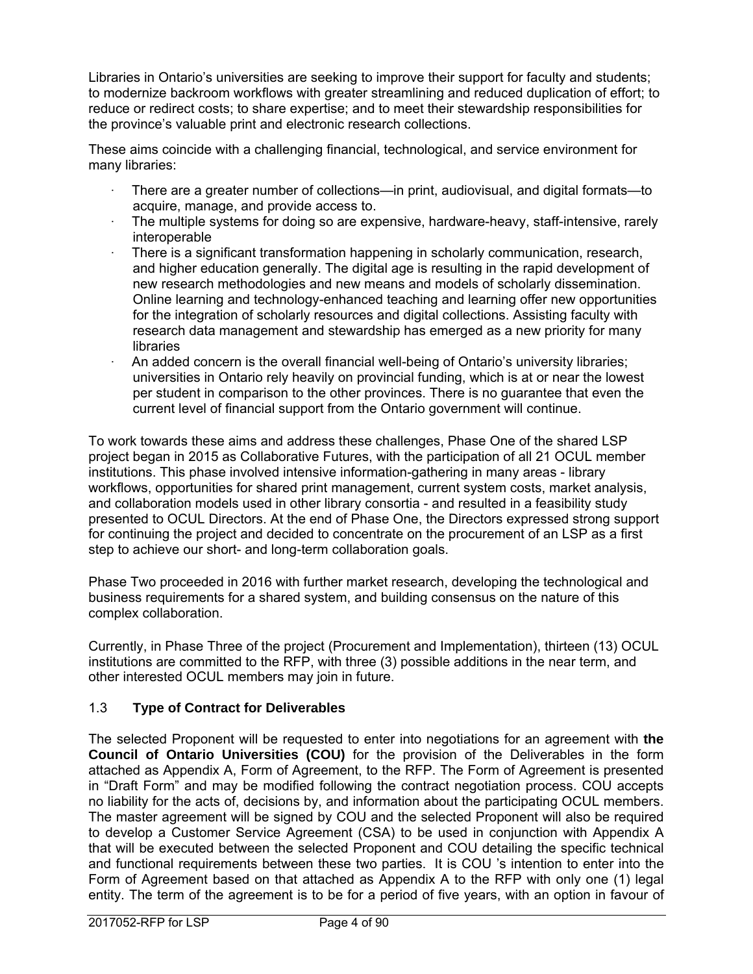Libraries in Ontario's universities are seeking to improve their support for faculty and students; to modernize backroom workflows with greater streamlining and reduced duplication of effort; to reduce or redirect costs; to share expertise; and to meet their stewardship responsibilities for the province's valuable print and electronic research collections.

These aims coincide with a challenging financial, technological, and service environment for many libraries:

- · There are a greater number of collections—in print, audiovisual, and digital formats—to acquire, manage, and provide access to.
- The multiple systems for doing so are expensive, hardware-heavy, staff-intensive, rarely interoperable
- · There is a significant transformation happening in scholarly communication, research, and higher education generally. The digital age is resulting in the rapid development of new research methodologies and new means and models of scholarly dissemination. Online learning and technology-enhanced teaching and learning offer new opportunities for the integration of scholarly resources and digital collections. Assisting faculty with research data management and stewardship has emerged as a new priority for many libraries
- · An added concern is the overall financial well-being of Ontario's university libraries; universities in Ontario rely heavily on provincial funding, which is at or near the lowest per student in comparison to the other provinces. There is no guarantee that even the current level of financial support from the Ontario government will continue.

To work towards these aims and address these challenges, Phase One of the shared LSP project began in 2015 as Collaborative Futures, with the participation of all 21 OCUL member institutions. This phase involved intensive information-gathering in many areas - library workflows, opportunities for shared print management, current system costs, market analysis, and collaboration models used in other library consortia - and resulted in a feasibility study presented to OCUL Directors. At the end of Phase One, the Directors expressed strong support for continuing the project and decided to concentrate on the procurement of an LSP as a first step to achieve our short- and long-term collaboration goals.

Phase Two proceeded in 2016 with further market research, developing the technological and business requirements for a shared system, and building consensus on the nature of this complex collaboration.

Currently, in Phase Three of the project (Procurement and Implementation), thirteen (13) OCUL institutions are committed to the RFP, with three (3) possible additions in the near term, and other interested OCUL members may join in future.

## 1.3 **Type of Contract for Deliverables**

The selected Proponent will be requested to enter into negotiations for an agreement with **the Council of Ontario Universities (COU)** for the provision of the Deliverables in the form attached as Appendix A, Form of Agreement, to the RFP. The Form of Agreement is presented in "Draft Form" and may be modified following the contract negotiation process. COU accepts no liability for the acts of, decisions by, and information about the participating OCUL members. The master agreement will be signed by COU and the selected Proponent will also be required to develop a Customer Service Agreement (CSA) to be used in conjunction with Appendix A that will be executed between the selected Proponent and COU detailing the specific technical and functional requirements between these two parties. It is COU 's intention to enter into the Form of Agreement based on that attached as Appendix A to the RFP with only one (1) legal entity. The term of the agreement is to be for a period of five years, with an option in favour of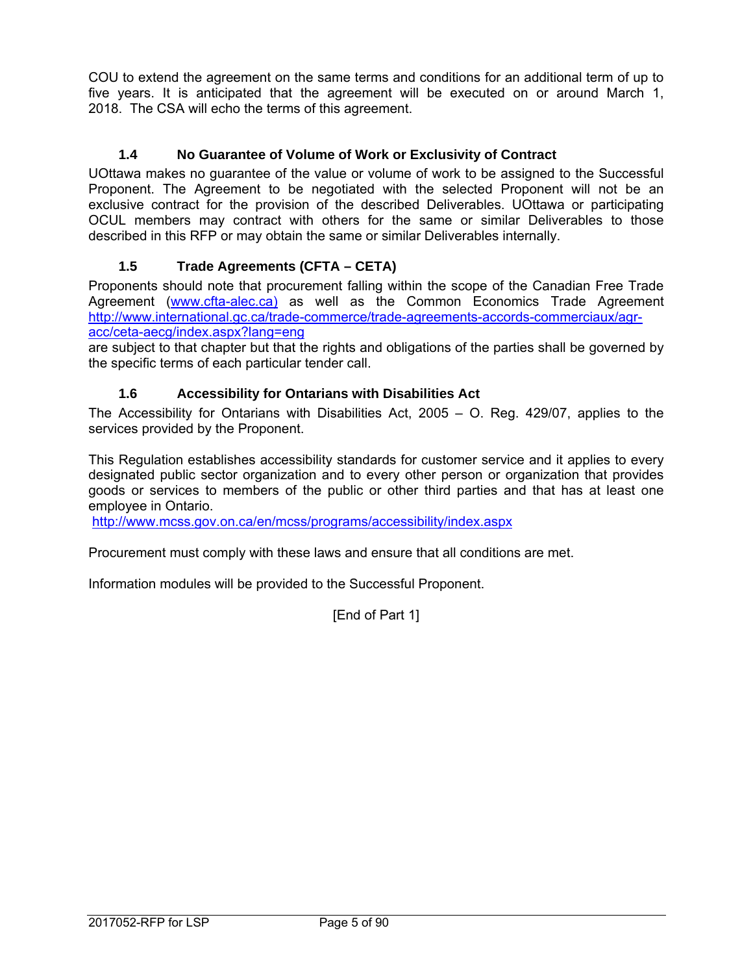COU to extend the agreement on the same terms and conditions for an additional term of up to five years. It is anticipated that the agreement will be executed on or around March 1, 2018. The CSA will echo the terms of this agreement.

## **1.4 No Guarantee of Volume of Work or Exclusivity of Contract**

UOttawa makes no guarantee of the value or volume of work to be assigned to the Successful Proponent. The Agreement to be negotiated with the selected Proponent will not be an exclusive contract for the provision of the described Deliverables. UOttawa or participating OCUL members may contract with others for the same or similar Deliverables to those described in this RFP or may obtain the same or similar Deliverables internally.

## **1.5 Trade Agreements (CFTA – CETA)**

Proponents should note that procurement falling within the scope of the Canadian Free Trade Agreement (www.cfta-alec.ca) as well as the Common Economics Trade Agreement http://www.international.gc.ca/trade-commerce/trade-agreements-accords-commerciaux/agracc/ceta-aecg/index.aspx?lang=eng

are subject to that chapter but that the rights and obligations of the parties shall be governed by the specific terms of each particular tender call.

### **1.6 Accessibility for Ontarians with Disabilities Act**

The Accessibility for Ontarians with Disabilities Act, 2005 – O. Reg. 429/07, applies to the services provided by the Proponent.

This Regulation establishes accessibility standards for customer service and it applies to every designated public sector organization and to every other person or organization that provides goods or services to members of the public or other third parties and that has at least one employee in Ontario.

http://www.mcss.gov.on.ca/en/mcss/programs/accessibility/index.aspx

Procurement must comply with these laws and ensure that all conditions are met.

Information modules will be provided to the Successful Proponent.

[End of Part 1]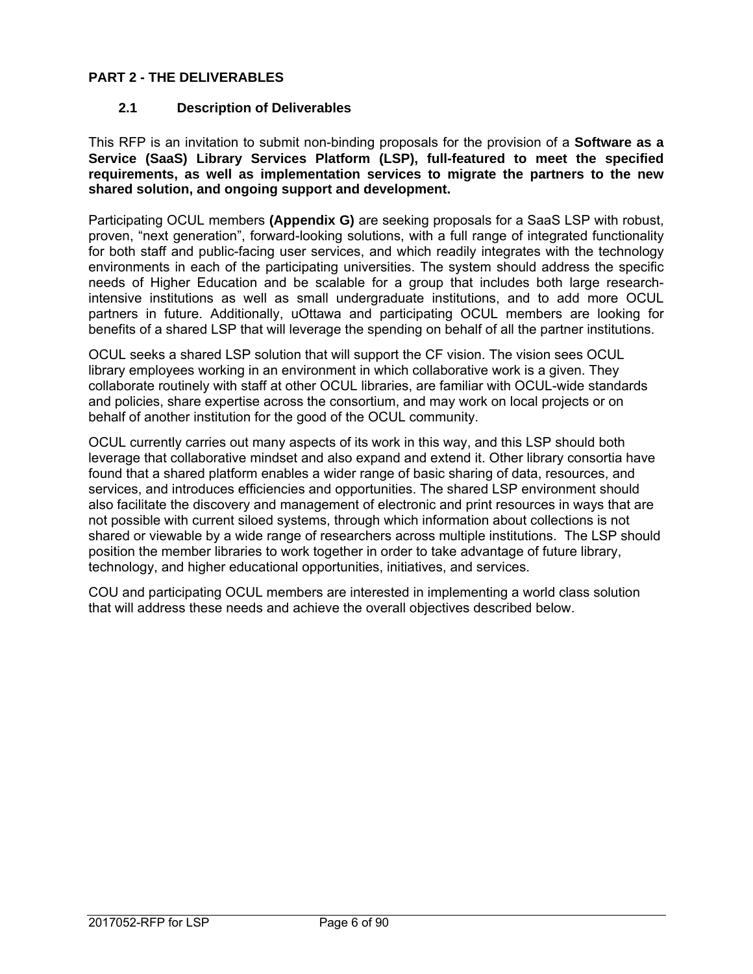## **PART 2 - THE DELIVERABLES**

### **2.1 Description of Deliverables**

This RFP is an invitation to submit non-binding proposals for the provision of a **Software as a Service (SaaS) Library Services Platform (LSP), full-featured to meet the specified requirements, as well as implementation services to migrate the partners to the new shared solution, and ongoing support and development.**

Participating OCUL members **(Appendix G)** are seeking proposals for a SaaS LSP with robust, proven, "next generation", forward-looking solutions, with a full range of integrated functionality for both staff and public-facing user services, and which readily integrates with the technology environments in each of the participating universities. The system should address the specific needs of Higher Education and be scalable for a group that includes both large researchintensive institutions as well as small undergraduate institutions, and to add more OCUL partners in future. Additionally, uOttawa and participating OCUL members are looking for benefits of a shared LSP that will leverage the spending on behalf of all the partner institutions.

OCUL seeks a shared LSP solution that will support the CF vision. The vision sees OCUL library employees working in an environment in which collaborative work is a given. They collaborate routinely with staff at other OCUL libraries, are familiar with OCUL-wide standards and policies, share expertise across the consortium, and may work on local projects or on behalf of another institution for the good of the OCUL community.

OCUL currently carries out many aspects of its work in this way, and this LSP should both leverage that collaborative mindset and also expand and extend it. Other library consortia have found that a shared platform enables a wider range of basic sharing of data, resources, and services, and introduces efficiencies and opportunities. The shared LSP environment should also facilitate the discovery and management of electronic and print resources in ways that are not possible with current siloed systems, through which information about collections is not shared or viewable by a wide range of researchers across multiple institutions. The LSP should position the member libraries to work together in order to take advantage of future library, technology, and higher educational opportunities, initiatives, and services.

COU and participating OCUL members are interested in implementing a world class solution that will address these needs and achieve the overall objectives described below.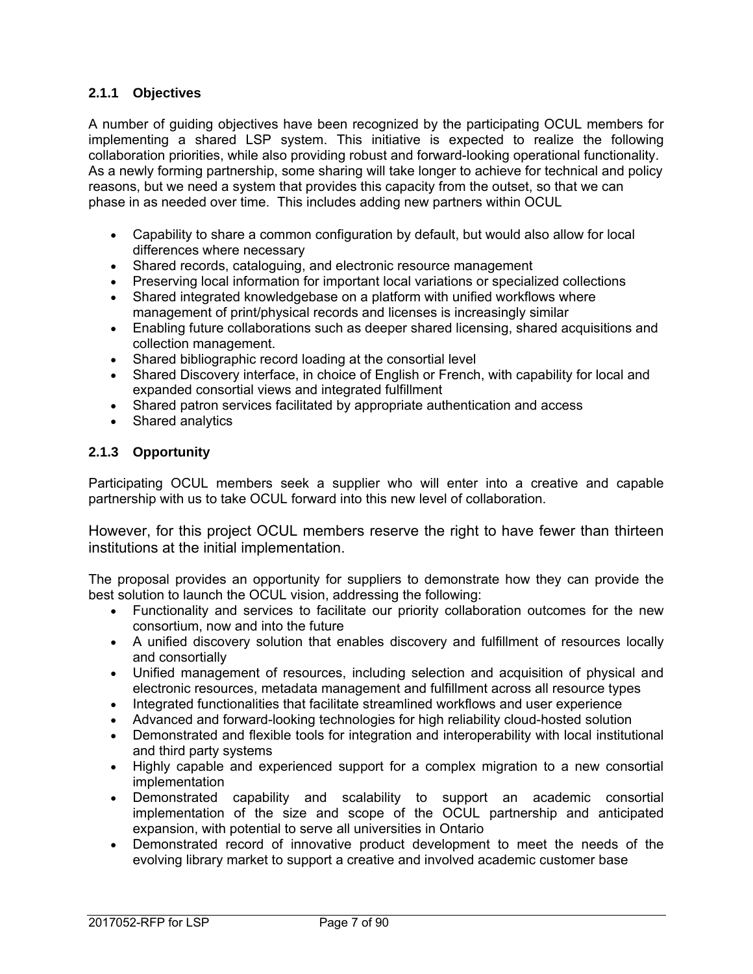## **2.1.1 Objectives**

A number of guiding objectives have been recognized by the participating OCUL members for implementing a shared LSP system. This initiative is expected to realize the following collaboration priorities, while also providing robust and forward-looking operational functionality. As a newly forming partnership, some sharing will take longer to achieve for technical and policy reasons, but we need a system that provides this capacity from the outset, so that we can phase in as needed over time. This includes adding new partners within OCUL

- Capability to share a common configuration by default, but would also allow for local differences where necessary
- Shared records, cataloguing, and electronic resource management
- Preserving local information for important local variations or specialized collections
- Shared integrated knowledgebase on a platform with unified workflows where management of print/physical records and licenses is increasingly similar
- Enabling future collaborations such as deeper shared licensing, shared acquisitions and collection management.
- Shared bibliographic record loading at the consortial level
- Shared Discovery interface, in choice of English or French, with capability for local and expanded consortial views and integrated fulfillment
- Shared patron services facilitated by appropriate authentication and access
- Shared analytics

### **2.1.3 Opportunity**

Participating OCUL members seek a supplier who will enter into a creative and capable partnership with us to take OCUL forward into this new level of collaboration.

However, for this project OCUL members reserve the right to have fewer than thirteen institutions at the initial implementation.

The proposal provides an opportunity for suppliers to demonstrate how they can provide the best solution to launch the OCUL vision, addressing the following:

- Functionality and services to facilitate our priority collaboration outcomes for the new consortium, now and into the future
- A unified discovery solution that enables discovery and fulfillment of resources locally and consortially
- Unified management of resources, including selection and acquisition of physical and electronic resources, metadata management and fulfillment across all resource types
- Integrated functionalities that facilitate streamlined workflows and user experience
- Advanced and forward-looking technologies for high reliability cloud-hosted solution
- Demonstrated and flexible tools for integration and interoperability with local institutional and third party systems
- Highly capable and experienced support for a complex migration to a new consortial implementation
- Demonstrated capability and scalability to support an academic consortial implementation of the size and scope of the OCUL partnership and anticipated expansion, with potential to serve all universities in Ontario
- Demonstrated record of innovative product development to meet the needs of the evolving library market to support a creative and involved academic customer base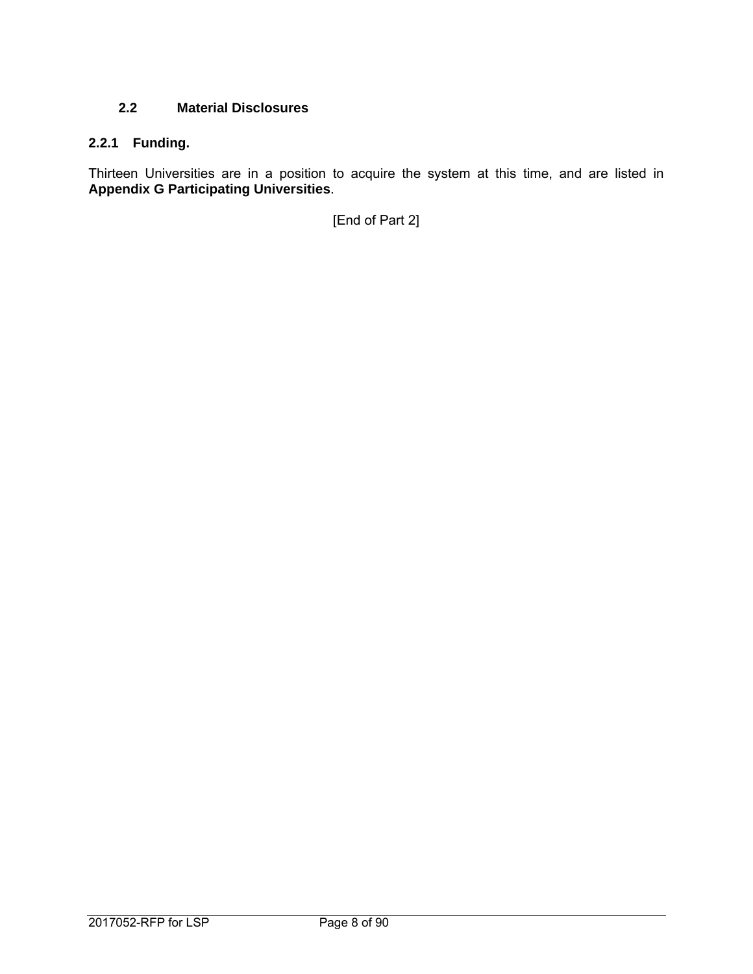## **2.2 Material Disclosures**

## **2.2.1 Funding.**

Thirteen Universities are in a position to acquire the system at this time, and are listed in **Appendix G Participating Universities**.

[End of Part 2]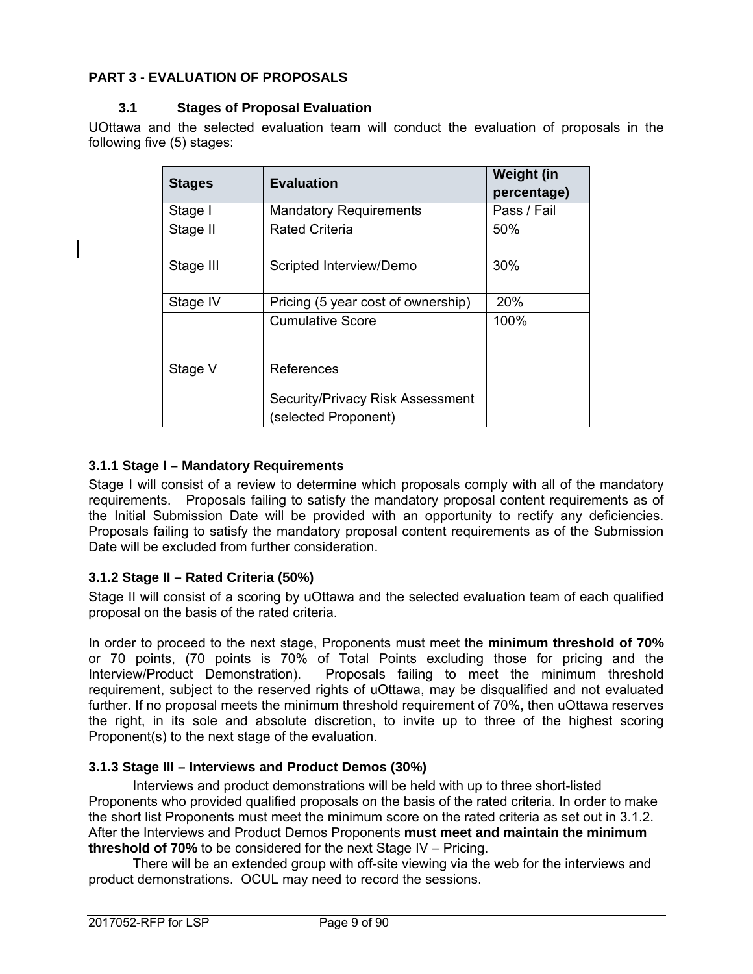## **PART 3 - EVALUATION OF PROPOSALS**

### **3.1 Stages of Proposal Evaluation**

UOttawa and the selected evaluation team will conduct the evaluation of proposals in the following five (5) stages:

| <b>Stages</b> | <b>Evaluation</b>                                        | Weight (in<br>percentage) |
|---------------|----------------------------------------------------------|---------------------------|
| Stage I       | <b>Mandatory Requirements</b>                            | Pass / Fail               |
| Stage II      | <b>Rated Criteria</b>                                    | 50%                       |
| Stage III     | Scripted Interview/Demo                                  | 30%                       |
| Stage IV      | Pricing (5 year cost of ownership)                       | <b>20%</b>                |
|               | <b>Cumulative Score</b>                                  | 100%                      |
| Stage V       | References                                               |                           |
|               | Security/Privacy Risk Assessment<br>(selected Proponent) |                           |

## **3.1.1 Stage I – Mandatory Requirements**

Stage I will consist of a review to determine which proposals comply with all of the mandatory requirements. Proposals failing to satisfy the mandatory proposal content requirements as of the Initial Submission Date will be provided with an opportunity to rectify any deficiencies. Proposals failing to satisfy the mandatory proposal content requirements as of the Submission Date will be excluded from further consideration.

### **3.1.2 Stage II – Rated Criteria (50%)**

Stage II will consist of a scoring by uOttawa and the selected evaluation team of each qualified proposal on the basis of the rated criteria.

In order to proceed to the next stage, Proponents must meet the **minimum threshold of 70%** or 70 points, (70 points is 70% of Total Points excluding those for pricing and the Interview/Product Demonstration). Proposals failing to meet the minimum threshold requirement, subject to the reserved rights of uOttawa, may be disqualified and not evaluated further. If no proposal meets the minimum threshold requirement of 70%, then uOttawa reserves the right, in its sole and absolute discretion, to invite up to three of the highest scoring Proponent(s) to the next stage of the evaluation.

### **3.1.3 Stage III – Interviews and Product Demos (30%)**

Interviews and product demonstrations will be held with up to three short-listed Proponents who provided qualified proposals on the basis of the rated criteria. In order to make the short list Proponents must meet the minimum score on the rated criteria as set out in 3.1.2. After the Interviews and Product Demos Proponents **must meet and maintain the minimum threshold of 70%** to be considered for the next Stage IV – Pricing.

There will be an extended group with off-site viewing via the web for the interviews and product demonstrations. OCUL may need to record the sessions.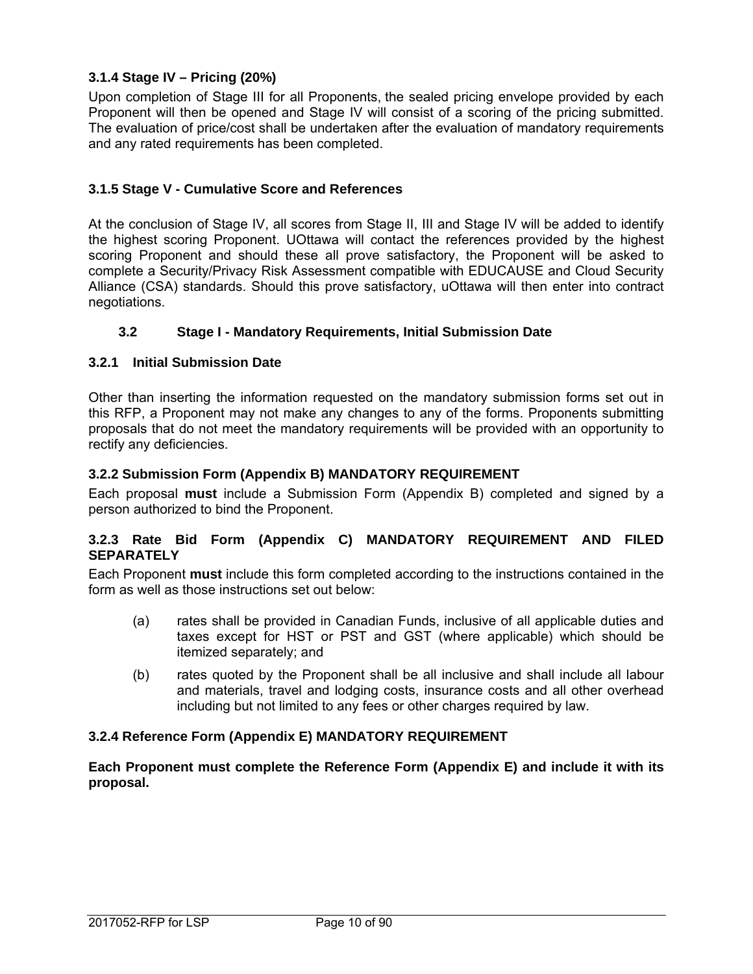## **3.1.4 Stage IV – Pricing (20%)**

Upon completion of Stage III for all Proponents, the sealed pricing envelope provided by each Proponent will then be opened and Stage IV will consist of a scoring of the pricing submitted. The evaluation of price/cost shall be undertaken after the evaluation of mandatory requirements and any rated requirements has been completed.

## **3.1.5 Stage V - Cumulative Score and References**

At the conclusion of Stage IV, all scores from Stage II, III and Stage IV will be added to identify the highest scoring Proponent. UOttawa will contact the references provided by the highest scoring Proponent and should these all prove satisfactory, the Proponent will be asked to complete a Security/Privacy Risk Assessment compatible with EDUCAUSE and Cloud Security Alliance (CSA) standards. Should this prove satisfactory, uOttawa will then enter into contract negotiations.

## **3.2 Stage I - Mandatory Requirements, Initial Submission Date**

### **3.2.1 Initial Submission Date**

Other than inserting the information requested on the mandatory submission forms set out in this RFP, a Proponent may not make any changes to any of the forms. Proponents submitting proposals that do not meet the mandatory requirements will be provided with an opportunity to rectify any deficiencies.

### **3.2.2 Submission Form (Appendix B) MANDATORY REQUIREMENT**

Each proposal **must** include a Submission Form (Appendix B) completed and signed by a person authorized to bind the Proponent.

#### **3.2.3 Rate Bid Form (Appendix C) MANDATORY REQUIREMENT AND FILED SEPARATELY**

Each Proponent **must** include this form completed according to the instructions contained in the form as well as those instructions set out below:

- (a) rates shall be provided in Canadian Funds, inclusive of all applicable duties and taxes except for HST or PST and GST (where applicable) which should be itemized separately; and
- (b) rates quoted by the Proponent shall be all inclusive and shall include all labour and materials, travel and lodging costs, insurance costs and all other overhead including but not limited to any fees or other charges required by law.

#### **3.2.4 Reference Form (Appendix E) MANDATORY REQUIREMENT**

**Each Proponent must complete the Reference Form (Appendix E) and include it with its proposal.**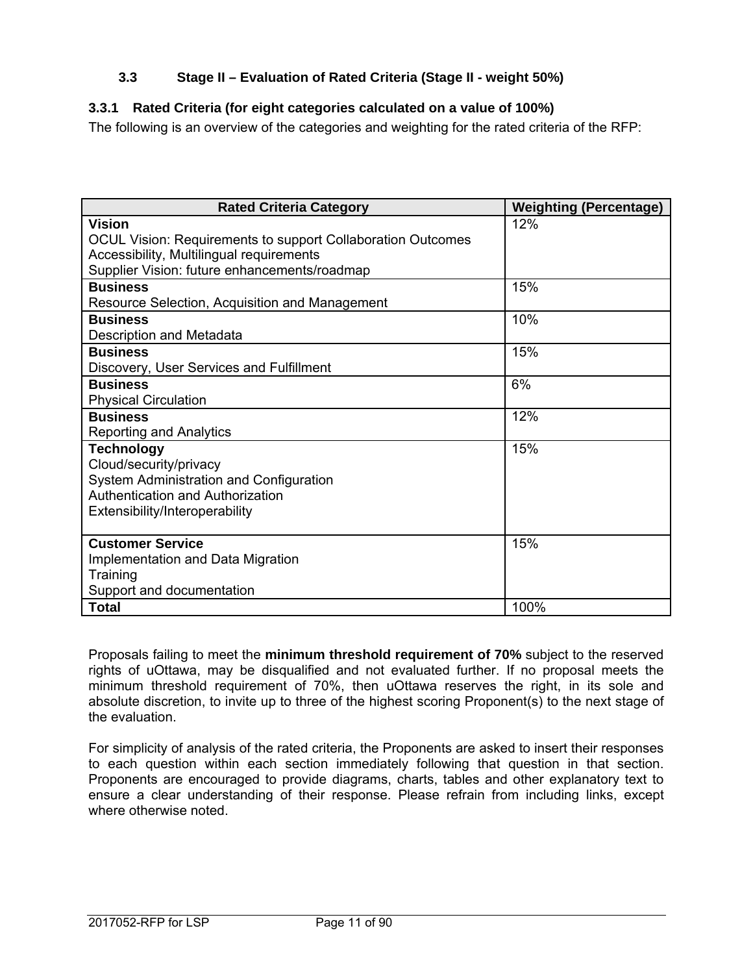## **3.3 Stage II – Evaluation of Rated Criteria (Stage II - weight 50%)**

## **3.3.1 Rated Criteria (for eight categories calculated on a value of 100%)**

The following is an overview of the categories and weighting for the rated criteria of the RFP:

| <b>Rated Criteria Category</b>                                                                                                                                                  | <b>Weighting (Percentage)</b> |
|---------------------------------------------------------------------------------------------------------------------------------------------------------------------------------|-------------------------------|
| <b>Vision</b><br><b>OCUL Vision: Requirements to support Collaboration Outcomes</b><br>Accessibility, Multilingual requirements<br>Supplier Vision: future enhancements/roadmap | 12%                           |
| <b>Business</b><br>Resource Selection, Acquisition and Management                                                                                                               | 15%                           |
| <b>Business</b><br>Description and Metadata                                                                                                                                     | 10%                           |
| <b>Business</b><br>Discovery, User Services and Fulfillment                                                                                                                     | 15%                           |
| <b>Business</b><br><b>Physical Circulation</b>                                                                                                                                  | 6%                            |
| <b>Business</b><br><b>Reporting and Analytics</b>                                                                                                                               | 12%                           |
| <b>Technology</b><br>Cloud/security/privacy<br>System Administration and Configuration<br><b>Authentication and Authorization</b><br>Extensibility/Interoperability             | 15%                           |
| <b>Customer Service</b><br>Implementation and Data Migration<br>Training<br>Support and documentation                                                                           | 15%                           |
| <b>Total</b>                                                                                                                                                                    | 100%                          |

Proposals failing to meet the **minimum threshold requirement of 70%** subject to the reserved rights of uOttawa, may be disqualified and not evaluated further. If no proposal meets the minimum threshold requirement of 70%, then uOttawa reserves the right, in its sole and absolute discretion, to invite up to three of the highest scoring Proponent(s) to the next stage of the evaluation.

For simplicity of analysis of the rated criteria, the Proponents are asked to insert their responses to each question within each section immediately following that question in that section. Proponents are encouraged to provide diagrams, charts, tables and other explanatory text to ensure a clear understanding of their response. Please refrain from including links, except where otherwise noted.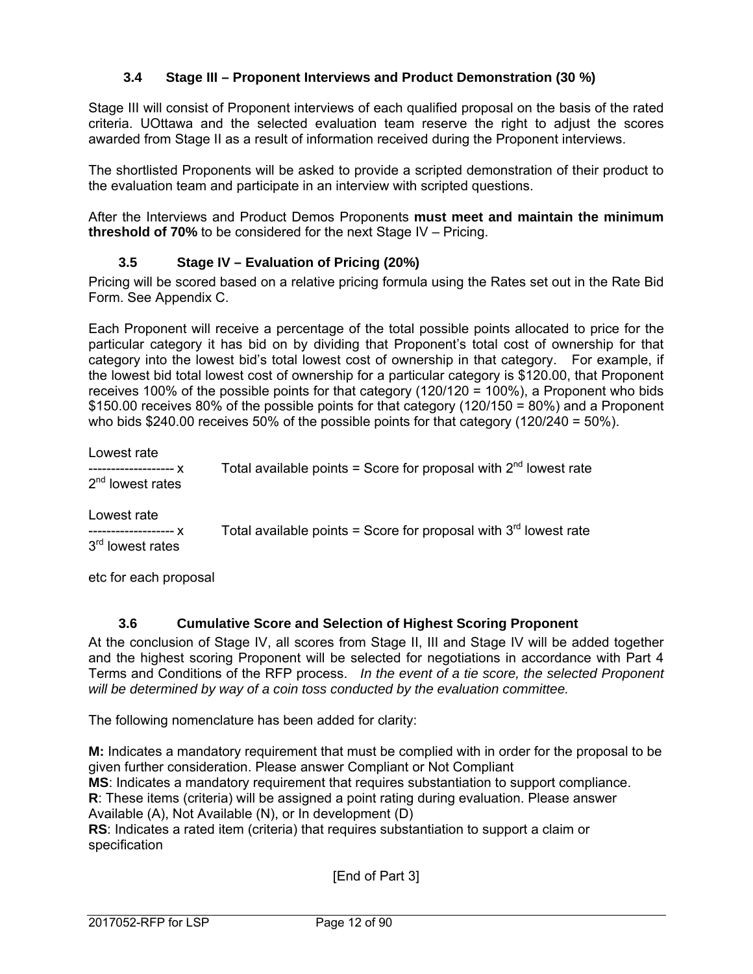## **3.4 Stage III – Proponent Interviews and Product Demonstration (30 %)**

Stage III will consist of Proponent interviews of each qualified proposal on the basis of the rated criteria. UOttawa and the selected evaluation team reserve the right to adjust the scores awarded from Stage II as a result of information received during the Proponent interviews.

The shortlisted Proponents will be asked to provide a scripted demonstration of their product to the evaluation team and participate in an interview with scripted questions.

After the Interviews and Product Demos Proponents **must meet and maintain the minimum threshold of 70%** to be considered for the next Stage IV – Pricing.

### **3.5 Stage IV – Evaluation of Pricing (20%)**

Pricing will be scored based on a relative pricing formula using the Rates set out in the Rate Bid Form. See Appendix C.

Each Proponent will receive a percentage of the total possible points allocated to price for the particular category it has bid on by dividing that Proponent's total cost of ownership for that category into the lowest bid's total lowest cost of ownership in that category. For example, if the lowest bid total lowest cost of ownership for a particular category is \$120.00, that Proponent receives 100% of the possible points for that category (120/120 = 100%), a Proponent who bids \$150.00 receives 80% of the possible points for that category (120/150 = 80%) and a Proponent who bids \$240.00 receives 50% of the possible points for that category (120/240 = 50%).

| Lowest rate        |                                                                       |
|--------------------|-----------------------------------------------------------------------|
| $2nd$ lowest rates | Total available points = Score for proposal with $2^{nd}$ lowest rate |

Lowest rate 3<sup>rd</sup> lowest rates

 $\frac{1}{1}$ ----------------- x Total available points = Score for proposal with 3<sup>rd</sup> lowest rate

etc for each proposal

### **3.6 Cumulative Score and Selection of Highest Scoring Proponent**

At the conclusion of Stage IV, all scores from Stage II, III and Stage IV will be added together and the highest scoring Proponent will be selected for negotiations in accordance with Part 4 Terms and Conditions of the RFP process. *In the event of a tie score, the selected Proponent will be determined by way of a coin toss conducted by the evaluation committee.* 

The following nomenclature has been added for clarity:

**M:** Indicates a mandatory requirement that must be complied with in order for the proposal to be given further consideration. Please answer Compliant or Not Compliant **MS**: Indicates a mandatory requirement that requires substantiation to support compliance. **R**: These items (criteria) will be assigned a point rating during evaluation. Please answer Available (A), Not Available (N), or In development (D) **RS**: Indicates a rated item (criteria) that requires substantiation to support a claim or specification

[End of Part 3]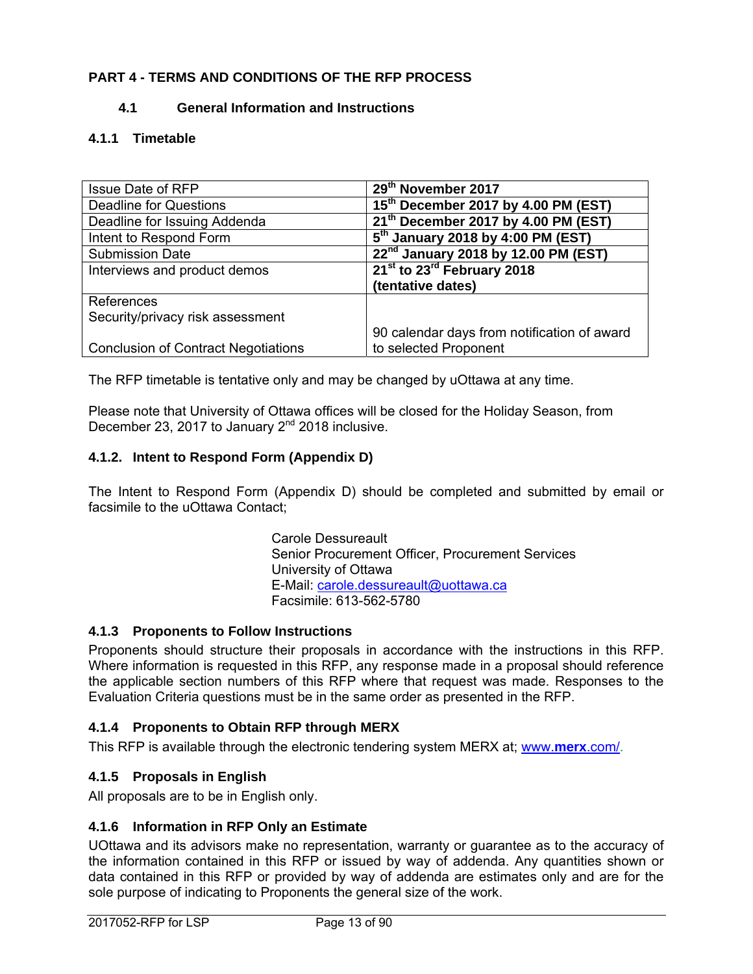## **PART 4 - TERMS AND CONDITIONS OF THE RFP PROCESS**

### **4.1 General Information and Instructions**

## **4.1.1 Timetable**

| <b>Issue Date of RFP</b>                   | 29th November 2017                              |
|--------------------------------------------|-------------------------------------------------|
| <b>Deadline for Questions</b>              | 15 <sup>th</sup> December 2017 by 4.00 PM (EST) |
| Deadline for Issuing Addenda               | 21 <sup>th</sup> December 2017 by 4.00 PM (EST) |
| Intent to Respond Form                     | $5th$ January 2018 by 4:00 PM (EST)             |
| <b>Submission Date</b>                     | 22 <sup>nd</sup> January 2018 by 12.00 PM (EST) |
| Interviews and product demos               | 21st to 23rd February 2018                      |
|                                            | (tentative dates)                               |
| References                                 |                                                 |
| Security/privacy risk assessment           |                                                 |
|                                            | 90 calendar days from notification of award     |
| <b>Conclusion of Contract Negotiations</b> | to selected Proponent                           |

The RFP timetable is tentative only and may be changed by uOttawa at any time.

Please note that University of Ottawa offices will be closed for the Holiday Season, from December 23, 2017 to January  $2^{nd}$  2018 inclusive.

### **4.1.2. Intent to Respond Form (Appendix D)**

The Intent to Respond Form (Appendix D) should be completed and submitted by email or facsimile to the uOttawa Contact:

> Carole Dessureault Senior Procurement Officer, Procurement Services University of Ottawa E-Mail: carole.dessureault@uottawa.ca Facsimile: 613-562-5780

#### **4.1.3 Proponents to Follow Instructions**

Proponents should structure their proposals in accordance with the instructions in this RFP. Where information is requested in this RFP, any response made in a proposal should reference the applicable section numbers of this RFP where that request was made. Responses to the Evaluation Criteria questions must be in the same order as presented in the RFP.

### **4.1.4 Proponents to Obtain RFP through MERX**

This RFP is available through the electronic tendering system MERX at; www.**merx**.com/.

### **4.1.5 Proposals in English**

All proposals are to be in English only.

#### **4.1.6 Information in RFP Only an Estimate**

UOttawa and its advisors make no representation, warranty or guarantee as to the accuracy of the information contained in this RFP or issued by way of addenda. Any quantities shown or data contained in this RFP or provided by way of addenda are estimates only and are for the sole purpose of indicating to Proponents the general size of the work.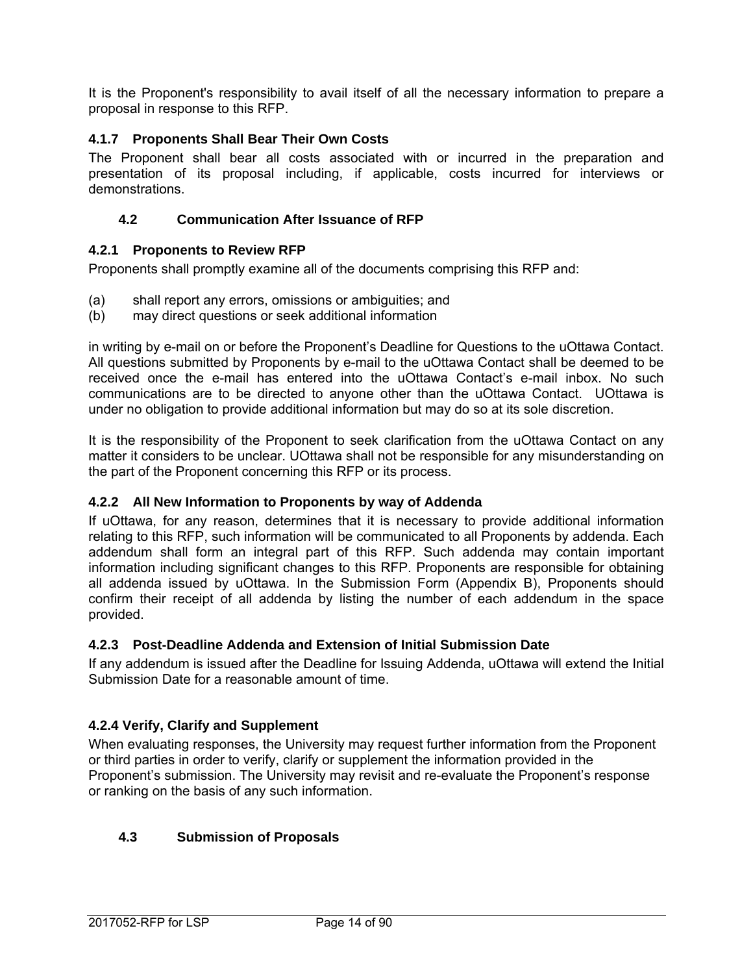It is the Proponent's responsibility to avail itself of all the necessary information to prepare a proposal in response to this RFP.

### **4.1.7 Proponents Shall Bear Their Own Costs**

The Proponent shall bear all costs associated with or incurred in the preparation and presentation of its proposal including, if applicable, costs incurred for interviews or demonstrations.

### **4.2 Communication After Issuance of RFP**

#### **4.2.1 Proponents to Review RFP**

Proponents shall promptly examine all of the documents comprising this RFP and:

- (a) shall report any errors, omissions or ambiguities; and
- (b) may direct questions or seek additional information

in writing by e-mail on or before the Proponent's Deadline for Questions to the uOttawa Contact. All questions submitted by Proponents by e-mail to the uOttawa Contact shall be deemed to be received once the e-mail has entered into the uOttawa Contact's e-mail inbox. No such communications are to be directed to anyone other than the uOttawa Contact. UOttawa is under no obligation to provide additional information but may do so at its sole discretion.

It is the responsibility of the Proponent to seek clarification from the uOttawa Contact on any matter it considers to be unclear. UOttawa shall not be responsible for any misunderstanding on the part of the Proponent concerning this RFP or its process.

#### **4.2.2 All New Information to Proponents by way of Addenda**

If uOttawa, for any reason, determines that it is necessary to provide additional information relating to this RFP, such information will be communicated to all Proponents by addenda. Each addendum shall form an integral part of this RFP. Such addenda may contain important information including significant changes to this RFP. Proponents are responsible for obtaining all addenda issued by uOttawa. In the Submission Form (Appendix B), Proponents should confirm their receipt of all addenda by listing the number of each addendum in the space provided.

#### **4.2.3 Post-Deadline Addenda and Extension of Initial Submission Date**

If any addendum is issued after the Deadline for Issuing Addenda, uOttawa will extend the Initial Submission Date for a reasonable amount of time.

#### **4.2.4 Verify, Clarify and Supplement**

When evaluating responses, the University may request further information from the Proponent or third parties in order to verify, clarify or supplement the information provided in the Proponent's submission. The University may revisit and re-evaluate the Proponent's response or ranking on the basis of any such information.

#### **4.3 Submission of Proposals**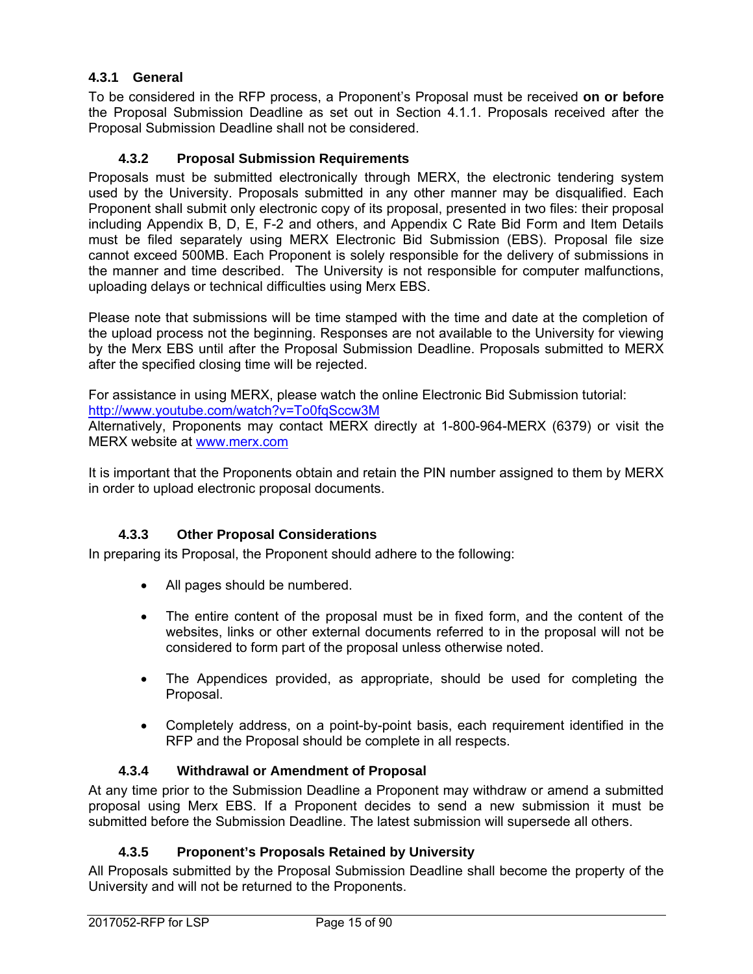## **4.3.1 General**

To be considered in the RFP process, a Proponent's Proposal must be received **on or before**  the Proposal Submission Deadline as set out in Section 4.1.1. Proposals received after the Proposal Submission Deadline shall not be considered.

## **4.3.2 Proposal Submission Requirements**

Proposals must be submitted electronically through MERX, the electronic tendering system used by the University. Proposals submitted in any other manner may be disqualified. Each Proponent shall submit only electronic copy of its proposal, presented in two files: their proposal including Appendix B, D, E, F-2 and others, and Appendix C Rate Bid Form and Item Details must be filed separately using MERX Electronic Bid Submission (EBS). Proposal file size cannot exceed 500MB. Each Proponent is solely responsible for the delivery of submissions in the manner and time described. The University is not responsible for computer malfunctions, uploading delays or technical difficulties using Merx EBS.

Please note that submissions will be time stamped with the time and date at the completion of the upload process not the beginning. Responses are not available to the University for viewing by the Merx EBS until after the Proposal Submission Deadline. Proposals submitted to MERX after the specified closing time will be rejected.

For assistance in using MERX, please watch the online Electronic Bid Submission tutorial:

http://www.youtube.com/watch?v=To0fqSccw3M

Alternatively, Proponents may contact MERX directly at 1-800-964-MERX (6379) or visit the MERX website at www.merx.com

It is important that the Proponents obtain and retain the PIN number assigned to them by MERX in order to upload electronic proposal documents.

## **4.3.3 Other Proposal Considerations**

In preparing its Proposal, the Proponent should adhere to the following:

- All pages should be numbered.
- The entire content of the proposal must be in fixed form, and the content of the websites, links or other external documents referred to in the proposal will not be considered to form part of the proposal unless otherwise noted.
- The Appendices provided, as appropriate, should be used for completing the Proposal.
- Completely address, on a point-by-point basis, each requirement identified in the RFP and the Proposal should be complete in all respects.

### **4.3.4 Withdrawal or Amendment of Proposal**

At any time prior to the Submission Deadline a Proponent may withdraw or amend a submitted proposal using Merx EBS. If a Proponent decides to send a new submission it must be submitted before the Submission Deadline. The latest submission will supersede all others.

### **4.3.5 Proponent's Proposals Retained by University**

All Proposals submitted by the Proposal Submission Deadline shall become the property of the University and will not be returned to the Proponents.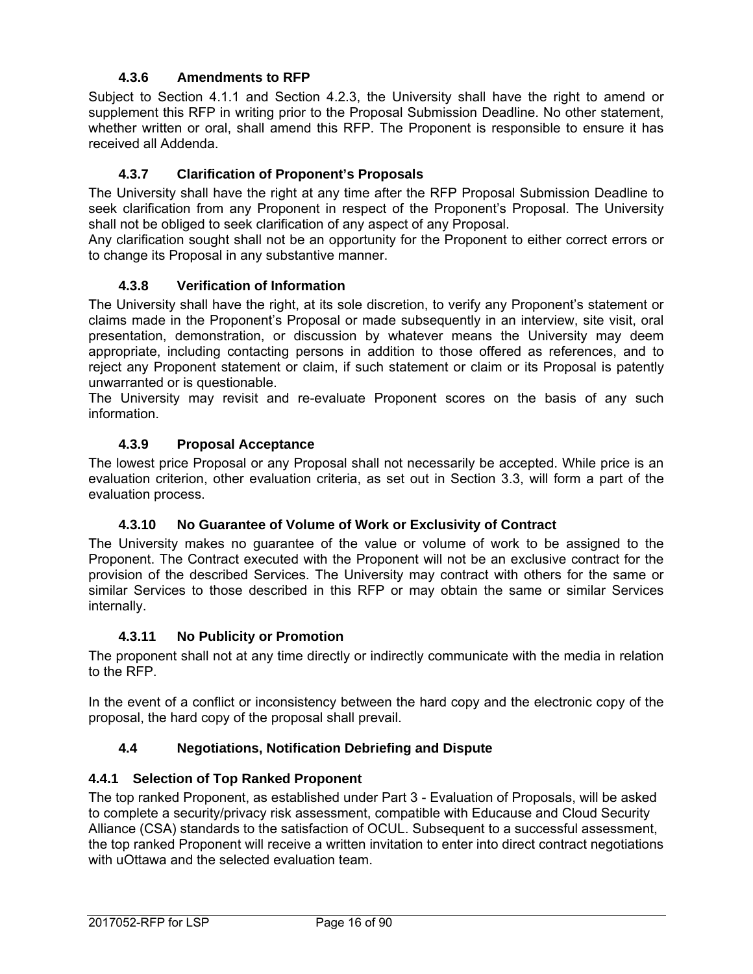## **4.3.6 Amendments to RFP**

Subject to Section 4.1.1 and Section 4.2.3, the University shall have the right to amend or supplement this RFP in writing prior to the Proposal Submission Deadline. No other statement, whether written or oral, shall amend this RFP. The Proponent is responsible to ensure it has received all Addenda.

## **4.3.7 Clarification of Proponent's Proposals**

The University shall have the right at any time after the RFP Proposal Submission Deadline to seek clarification from any Proponent in respect of the Proponent's Proposal. The University shall not be obliged to seek clarification of any aspect of any Proposal.

Any clarification sought shall not be an opportunity for the Proponent to either correct errors or to change its Proposal in any substantive manner.

### **4.3.8 Verification of Information**

The University shall have the right, at its sole discretion, to verify any Proponent's statement or claims made in the Proponent's Proposal or made subsequently in an interview, site visit, oral presentation, demonstration, or discussion by whatever means the University may deem appropriate, including contacting persons in addition to those offered as references, and to reject any Proponent statement or claim, if such statement or claim or its Proposal is patently unwarranted or is questionable.

The University may revisit and re-evaluate Proponent scores on the basis of any such information.

### **4.3.9 Proposal Acceptance**

The lowest price Proposal or any Proposal shall not necessarily be accepted. While price is an evaluation criterion, other evaluation criteria, as set out in Section 3.3, will form a part of the evaluation process.

### **4.3.10 No Guarantee of Volume of Work or Exclusivity of Contract**

The University makes no guarantee of the value or volume of work to be assigned to the Proponent. The Contract executed with the Proponent will not be an exclusive contract for the provision of the described Services. The University may contract with others for the same or similar Services to those described in this RFP or may obtain the same or similar Services internally.

### **4.3.11 No Publicity or Promotion**

The proponent shall not at any time directly or indirectly communicate with the media in relation to the RFP.

In the event of a conflict or inconsistency between the hard copy and the electronic copy of the proposal, the hard copy of the proposal shall prevail.

### **4.4 Negotiations, Notification Debriefing and Dispute**

### **4.4.1 Selection of Top Ranked Proponent**

The top ranked Proponent, as established under Part 3 - Evaluation of Proposals, will be asked to complete a security/privacy risk assessment, compatible with Educause and Cloud Security Alliance (CSA) standards to the satisfaction of OCUL. Subsequent to a successful assessment, the top ranked Proponent will receive a written invitation to enter into direct contract negotiations with uOttawa and the selected evaluation team.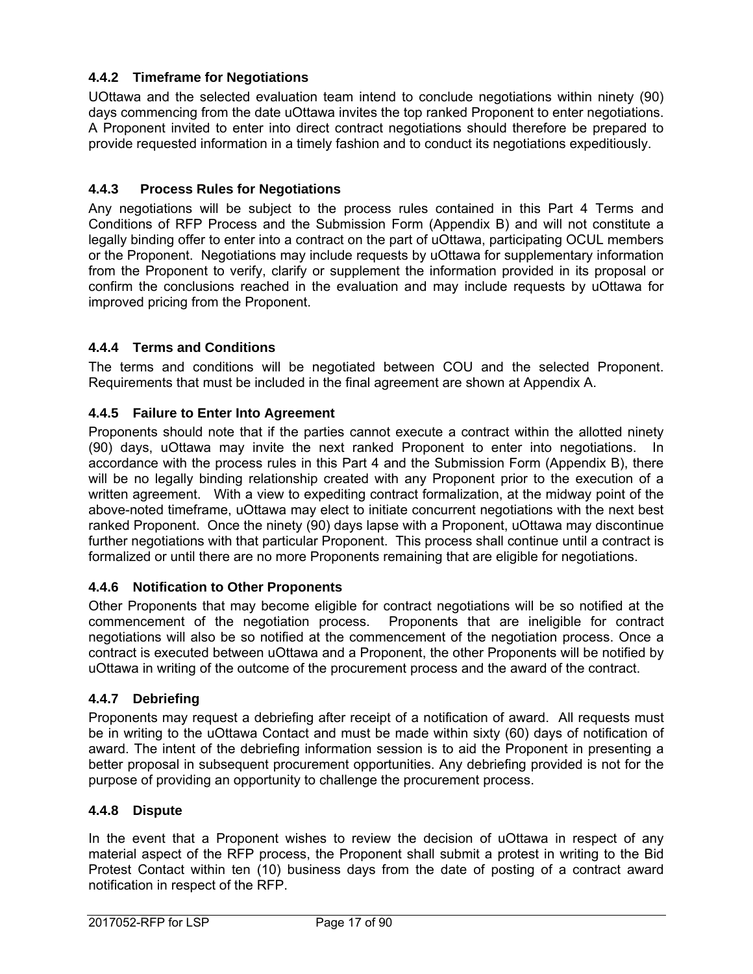## **4.4.2 Timeframe for Negotiations**

UOttawa and the selected evaluation team intend to conclude negotiations within ninety (90) days commencing from the date uOttawa invites the top ranked Proponent to enter negotiations. A Proponent invited to enter into direct contract negotiations should therefore be prepared to provide requested information in a timely fashion and to conduct its negotiations expeditiously.

### **4.4.3 Process Rules for Negotiations**

Any negotiations will be subject to the process rules contained in this Part 4 Terms and Conditions of RFP Process and the Submission Form (Appendix B) and will not constitute a legally binding offer to enter into a contract on the part of uOttawa, participating OCUL members or the Proponent. Negotiations may include requests by uOttawa for supplementary information from the Proponent to verify, clarify or supplement the information provided in its proposal or confirm the conclusions reached in the evaluation and may include requests by uOttawa for improved pricing from the Proponent.

### **4.4.4 Terms and Conditions**

The terms and conditions will be negotiated between COU and the selected Proponent. Requirements that must be included in the final agreement are shown at Appendix A.

### **4.4.5 Failure to Enter Into Agreement**

Proponents should note that if the parties cannot execute a contract within the allotted ninety (90) days, uOttawa may invite the next ranked Proponent to enter into negotiations. In accordance with the process rules in this Part 4 and the Submission Form (Appendix B), there will be no legally binding relationship created with any Proponent prior to the execution of a written agreement. With a view to expediting contract formalization, at the midway point of the above-noted timeframe, uOttawa may elect to initiate concurrent negotiations with the next best ranked Proponent. Once the ninety (90) days lapse with a Proponent, uOttawa may discontinue further negotiations with that particular Proponent. This process shall continue until a contract is formalized or until there are no more Proponents remaining that are eligible for negotiations.

### **4.4.6 Notification to Other Proponents**

Other Proponents that may become eligible for contract negotiations will be so notified at the commencement of the negotiation process. Proponents that are ineligible for contract negotiations will also be so notified at the commencement of the negotiation process. Once a contract is executed between uOttawa and a Proponent, the other Proponents will be notified by uOttawa in writing of the outcome of the procurement process and the award of the contract.

### **4.4.7 Debriefing**

Proponents may request a debriefing after receipt of a notification of award. All requests must be in writing to the uOttawa Contact and must be made within sixty (60) days of notification of award. The intent of the debriefing information session is to aid the Proponent in presenting a better proposal in subsequent procurement opportunities. Any debriefing provided is not for the purpose of providing an opportunity to challenge the procurement process.

### **4.4.8 Dispute**

In the event that a Proponent wishes to review the decision of uOttawa in respect of any material aspect of the RFP process, the Proponent shall submit a protest in writing to the Bid Protest Contact within ten (10) business days from the date of posting of a contract award notification in respect of the RFP.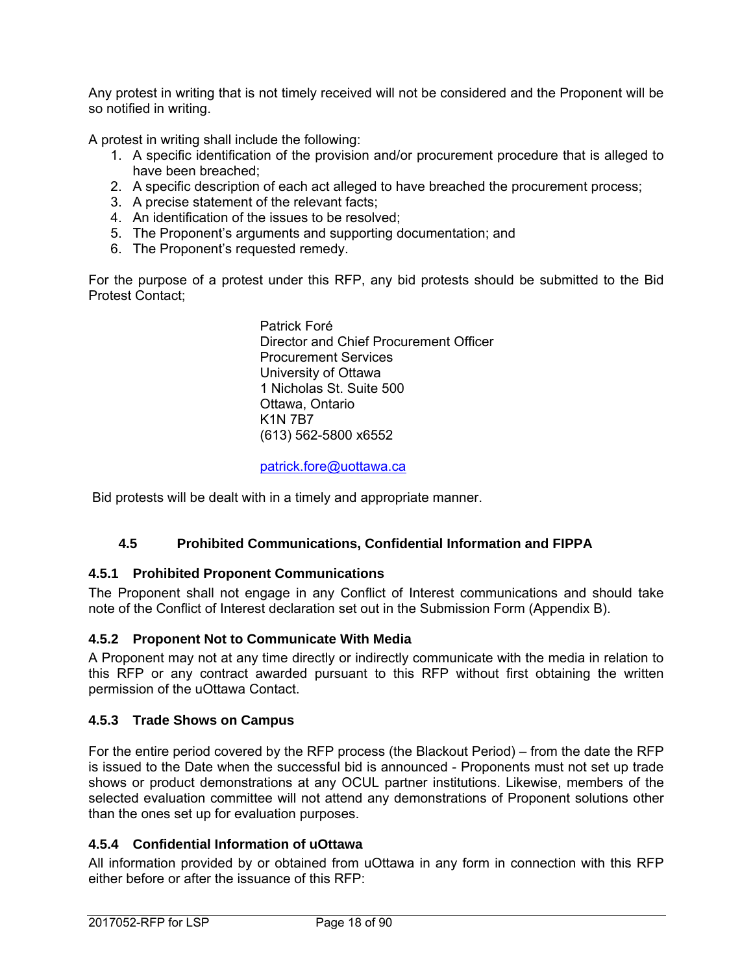Any protest in writing that is not timely received will not be considered and the Proponent will be so notified in writing.

A protest in writing shall include the following:

- 1. A specific identification of the provision and/or procurement procedure that is alleged to have been breached;
- 2. A specific description of each act alleged to have breached the procurement process;
- 3. A precise statement of the relevant facts;
- 4. An identification of the issues to be resolved;
- 5. The Proponent's arguments and supporting documentation; and
- 6. The Proponent's requested remedy.

For the purpose of a protest under this RFP, any bid protests should be submitted to the Bid Protest Contact;

> Patrick Foré Director and Chief Procurement Officer Procurement Services University of Ottawa 1 Nicholas St. Suite 500 Ottawa, Ontario K1N 7B7 (613) 562-5800 x6552

patrick.fore@uottawa.ca

Bid protests will be dealt with in a timely and appropriate manner.

### **4.5 Prohibited Communications, Confidential Information and FIPPA**

### **4.5.1 Prohibited Proponent Communications**

The Proponent shall not engage in any Conflict of Interest communications and should take note of the Conflict of Interest declaration set out in the Submission Form (Appendix B).

### **4.5.2 Proponent Not to Communicate With Media**

A Proponent may not at any time directly or indirectly communicate with the media in relation to this RFP or any contract awarded pursuant to this RFP without first obtaining the written permission of the uOttawa Contact.

### **4.5.3 Trade Shows on Campus**

For the entire period covered by the RFP process (the Blackout Period) – from the date the RFP is issued to the Date when the successful bid is announced - Proponents must not set up trade shows or product demonstrations at any OCUL partner institutions. Likewise, members of the selected evaluation committee will not attend any demonstrations of Proponent solutions other than the ones set up for evaluation purposes.

### **4.5.4 Confidential Information of uOttawa**

All information provided by or obtained from uOttawa in any form in connection with this RFP either before or after the issuance of this RFP: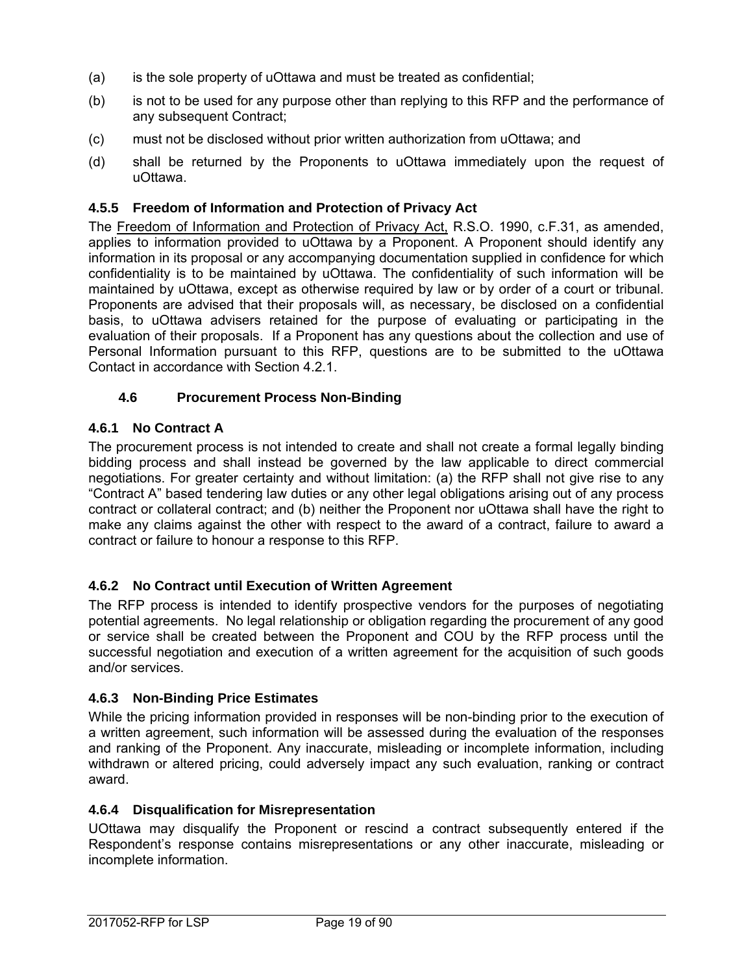- (a) is the sole property of uOttawa and must be treated as confidential;
- (b) is not to be used for any purpose other than replying to this RFP and the performance of any subsequent Contract;
- (c) must not be disclosed without prior written authorization from uOttawa; and
- (d) shall be returned by the Proponents to uOttawa immediately upon the request of uOttawa.

#### **4.5.5 Freedom of Information and Protection of Privacy Act**

The Freedom of Information and Protection of Privacy Act, R.S.O. 1990, c.F.31, as amended, applies to information provided to uOttawa by a Proponent. A Proponent should identify any information in its proposal or any accompanying documentation supplied in confidence for which confidentiality is to be maintained by uOttawa. The confidentiality of such information will be maintained by uOttawa, except as otherwise required by law or by order of a court or tribunal. Proponents are advised that their proposals will, as necessary, be disclosed on a confidential basis, to uOttawa advisers retained for the purpose of evaluating or participating in the evaluation of their proposals. If a Proponent has any questions about the collection and use of Personal Information pursuant to this RFP, questions are to be submitted to the uOttawa Contact in accordance with Section 4.2.1.

#### **4.6 Procurement Process Non-Binding**

### **4.6.1 No Contract A**

The procurement process is not intended to create and shall not create a formal legally binding bidding process and shall instead be governed by the law applicable to direct commercial negotiations. For greater certainty and without limitation: (a) the RFP shall not give rise to any "Contract A" based tendering law duties or any other legal obligations arising out of any process contract or collateral contract; and (b) neither the Proponent nor uOttawa shall have the right to make any claims against the other with respect to the award of a contract, failure to award a contract or failure to honour a response to this RFP.

#### **4.6.2 No Contract until Execution of Written Agreement**

The RFP process is intended to identify prospective vendors for the purposes of negotiating potential agreements. No legal relationship or obligation regarding the procurement of any good or service shall be created between the Proponent and COU by the RFP process until the successful negotiation and execution of a written agreement for the acquisition of such goods and/or services.

#### **4.6.3 Non-Binding Price Estimates**

While the pricing information provided in responses will be non-binding prior to the execution of a written agreement, such information will be assessed during the evaluation of the responses and ranking of the Proponent. Any inaccurate, misleading or incomplete information, including withdrawn or altered pricing, could adversely impact any such evaluation, ranking or contract award.

#### **4.6.4 Disqualification for Misrepresentation**

UOttawa may disqualify the Proponent or rescind a contract subsequently entered if the Respondent's response contains misrepresentations or any other inaccurate, misleading or incomplete information.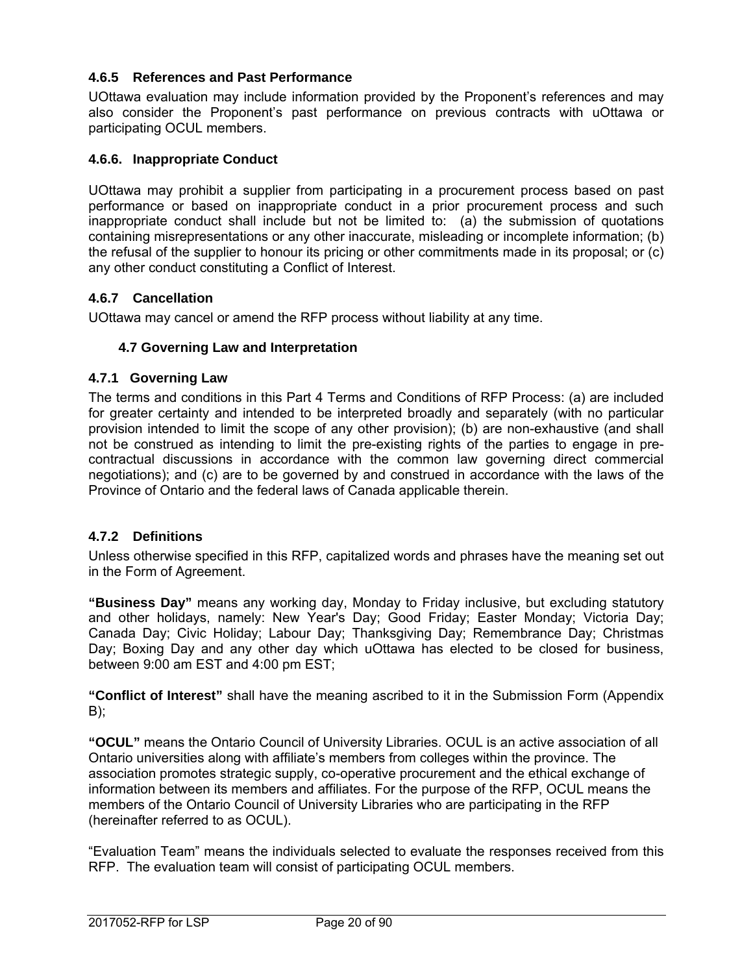## **4.6.5 References and Past Performance**

UOttawa evaluation may include information provided by the Proponent's references and may also consider the Proponent's past performance on previous contracts with uOttawa or participating OCUL members.

### **4.6.6. Inappropriate Conduct**

UOttawa may prohibit a supplier from participating in a procurement process based on past performance or based on inappropriate conduct in a prior procurement process and such inappropriate conduct shall include but not be limited to: (a) the submission of quotations containing misrepresentations or any other inaccurate, misleading or incomplete information; (b) the refusal of the supplier to honour its pricing or other commitments made in its proposal; or (c) any other conduct constituting a Conflict of Interest.

### **4.6.7 Cancellation**

UOttawa may cancel or amend the RFP process without liability at any time.

### **4.7 Governing Law and Interpretation**

#### **4.7.1 Governing Law**

The terms and conditions in this Part 4 Terms and Conditions of RFP Process: (a) are included for greater certainty and intended to be interpreted broadly and separately (with no particular provision intended to limit the scope of any other provision); (b) are non-exhaustive (and shall not be construed as intending to limit the pre-existing rights of the parties to engage in precontractual discussions in accordance with the common law governing direct commercial negotiations); and (c) are to be governed by and construed in accordance with the laws of the Province of Ontario and the federal laws of Canada applicable therein.

### **4.7.2 Definitions**

Unless otherwise specified in this RFP, capitalized words and phrases have the meaning set out in the Form of Agreement.

**"Business Day"** means any working day, Monday to Friday inclusive, but excluding statutory and other holidays, namely: New Year's Day; Good Friday; Easter Monday; Victoria Day; Canada Day; Civic Holiday; Labour Day; Thanksgiving Day; Remembrance Day; Christmas Day; Boxing Day and any other day which uOttawa has elected to be closed for business, between 9:00 am EST and 4:00 pm EST;

**"Conflict of Interest"** shall have the meaning ascribed to it in the Submission Form (Appendix  $B$ );

**"OCUL"** means the Ontario Council of University Libraries. OCUL is an active association of all Ontario universities along with affiliate's members from colleges within the province. The association promotes strategic supply, co-operative procurement and the ethical exchange of information between its members and affiliates. For the purpose of the RFP, OCUL means the members of the Ontario Council of University Libraries who are participating in the RFP (hereinafter referred to as OCUL).

"Evaluation Team" means the individuals selected to evaluate the responses received from this RFP. The evaluation team will consist of participating OCUL members.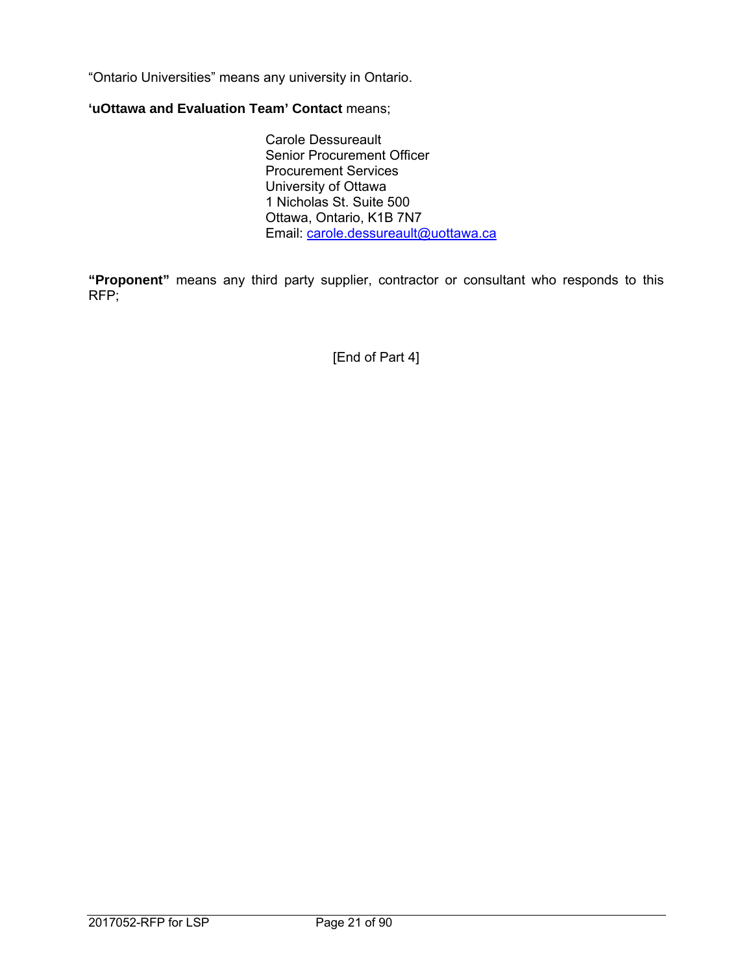"Ontario Universities" means any university in Ontario.

## **'uOttawa and Evaluation Team' Contact** means;

 Carole Dessureault Senior Procurement Officer Procurement Services University of Ottawa 1 Nicholas St. Suite 500 Ottawa, Ontario, K1B 7N7 Email: carole.dessureault@uottawa.ca

**"Proponent"** means any third party supplier, contractor or consultant who responds to this RFP;

[End of Part 4]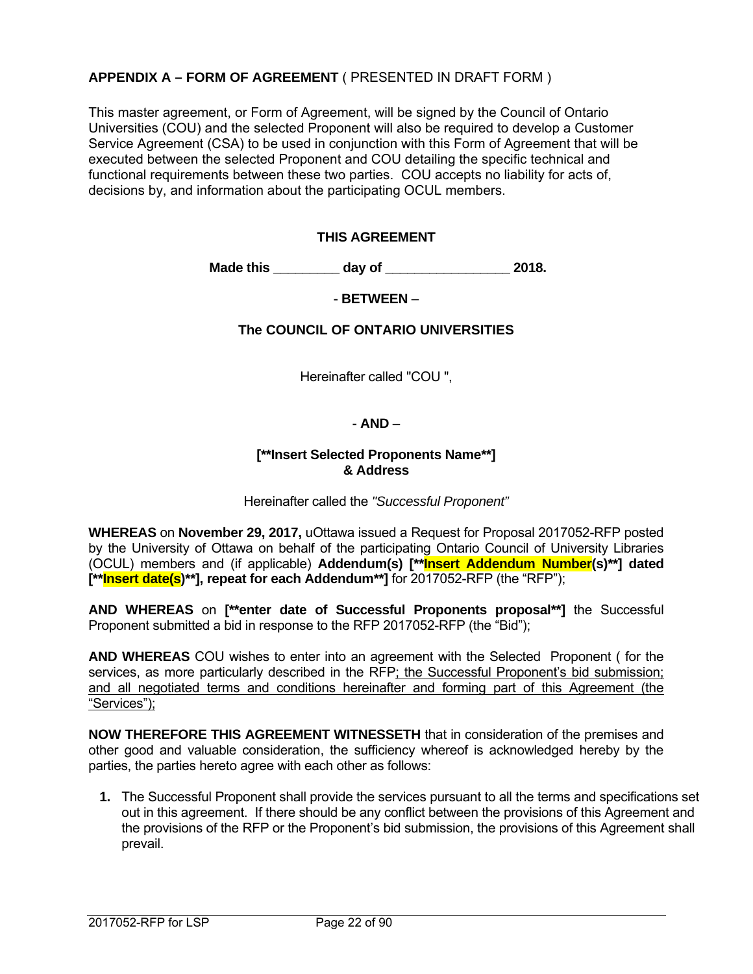## **APPENDIX A – FORM OF AGREEMENT** ( PRESENTED IN DRAFT FORM )

This master agreement, or Form of Agreement, will be signed by the Council of Ontario Universities (COU) and the selected Proponent will also be required to develop a Customer Service Agreement (CSA) to be used in conjunction with this Form of Agreement that will be executed between the selected Proponent and COU detailing the specific technical and functional requirements between these two parties. COU accepts no liability for acts of, decisions by, and information about the participating OCUL members.

#### **THIS AGREEMENT**

 **Made this \_\_\_\_\_\_\_\_\_ day of \_\_\_\_\_\_\_\_\_\_\_\_\_\_\_\_\_ 2018.** 

- **BETWEEN** –

**The COUNCIL OF ONTARIO UNIVERSITIES** 

Hereinafter called "COU ",

#### - **AND** –

#### **[\*\*Insert Selected Proponents Name\*\*] & Address**

Hereinafter called the *"Successful Proponent"*

**WHEREAS** on **November 29, 2017,** uOttawa issued a Request for Proposal 2017052-RFP posted by the University of Ottawa on behalf of the participating Ontario Council of University Libraries (OCUL) members and (if applicable) **Addendum(s) [\*\*Insert Addendum Number(s)\*\*] dated [\*\*Insert date(s)\*\*], repeat for each Addendum\*\*]** for 2017052-RFP (the "RFP");

**AND WHEREAS** on **[\*\*enter date of Successful Proponents proposal\*\*]** the Successful Proponent submitted a bid in response to the RFP 2017052-RFP (the "Bid");

**AND WHEREAS** COU wishes to enter into an agreement with the Selected Proponent ( for the services, as more particularly described in the RFP; the Successful Proponent's bid submission; and all negotiated terms and conditions hereinafter and forming part of this Agreement (the "Services");

**NOW THEREFORE THIS AGREEMENT WITNESSETH** that in consideration of the premises and other good and valuable consideration, the sufficiency whereof is acknowledged hereby by the parties, the parties hereto agree with each other as follows:

**1.** The Successful Proponent shall provide the services pursuant to all the terms and specifications set out in this agreement. If there should be any conflict between the provisions of this Agreement and the provisions of the RFP or the Proponent's bid submission, the provisions of this Agreement shall prevail.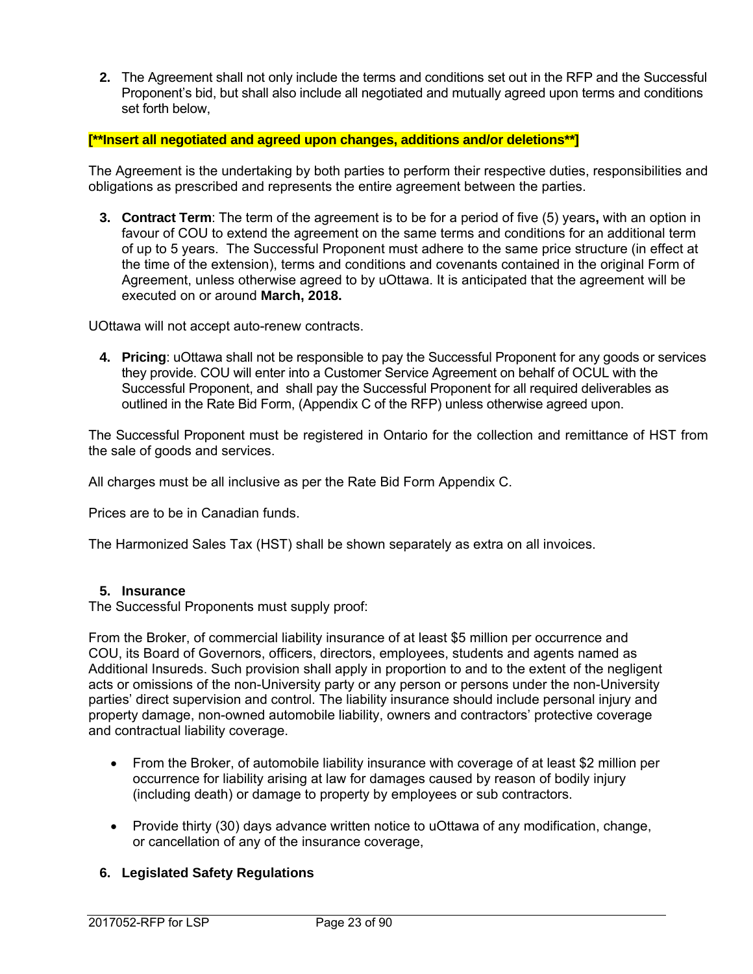**2.** The Agreement shall not only include the terms and conditions set out in the RFP and the Successful Proponent's bid, but shall also include all negotiated and mutually agreed upon terms and conditions set forth below,

#### **[\*\*Insert all negotiated and agreed upon changes, additions and/or deletions\*\*]**

The Agreement is the undertaking by both parties to perform their respective duties, responsibilities and obligations as prescribed and represents the entire agreement between the parties.

**3. Contract Term**: The term of the agreement is to be for a period of five (5) years**,** with an option in favour of COU to extend the agreement on the same terms and conditions for an additional term of up to 5 years. The Successful Proponent must adhere to the same price structure (in effect at the time of the extension), terms and conditions and covenants contained in the original Form of Agreement, unless otherwise agreed to by uOttawa. It is anticipated that the agreement will be executed on or around **March, 2018.** 

UOttawa will not accept auto-renew contracts.

**4. Pricing**: uOttawa shall not be responsible to pay the Successful Proponent for any goods or services they provide. COU will enter into a Customer Service Agreement on behalf of OCUL with the Successful Proponent, and shall pay the Successful Proponent for all required deliverables as outlined in the Rate Bid Form, (Appendix C of the RFP) unless otherwise agreed upon.

The Successful Proponent must be registered in Ontario for the collection and remittance of HST from the sale of goods and services.

All charges must be all inclusive as per the Rate Bid Form Appendix C.

Prices are to be in Canadian funds.

The Harmonized Sales Tax (HST) shall be shown separately as extra on all invoices.

#### **5. Insurance**

The Successful Proponents must supply proof:

From the Broker, of commercial liability insurance of at least \$5 million per occurrence and COU, its Board of Governors, officers, directors, employees, students and agents named as Additional Insureds. Such provision shall apply in proportion to and to the extent of the negligent acts or omissions of the non-University party or any person or persons under the non-University parties' direct supervision and control. The liability insurance should include personal injury and property damage, non-owned automobile liability, owners and contractors' protective coverage and contractual liability coverage.

- From the Broker, of automobile liability insurance with coverage of at least \$2 million per occurrence for liability arising at law for damages caused by reason of bodily injury (including death) or damage to property by employees or sub contractors.
- Provide thirty (30) days advance written notice to uOttawa of any modification, change, or cancellation of any of the insurance coverage,

### **6. Legislated Safety Regulations**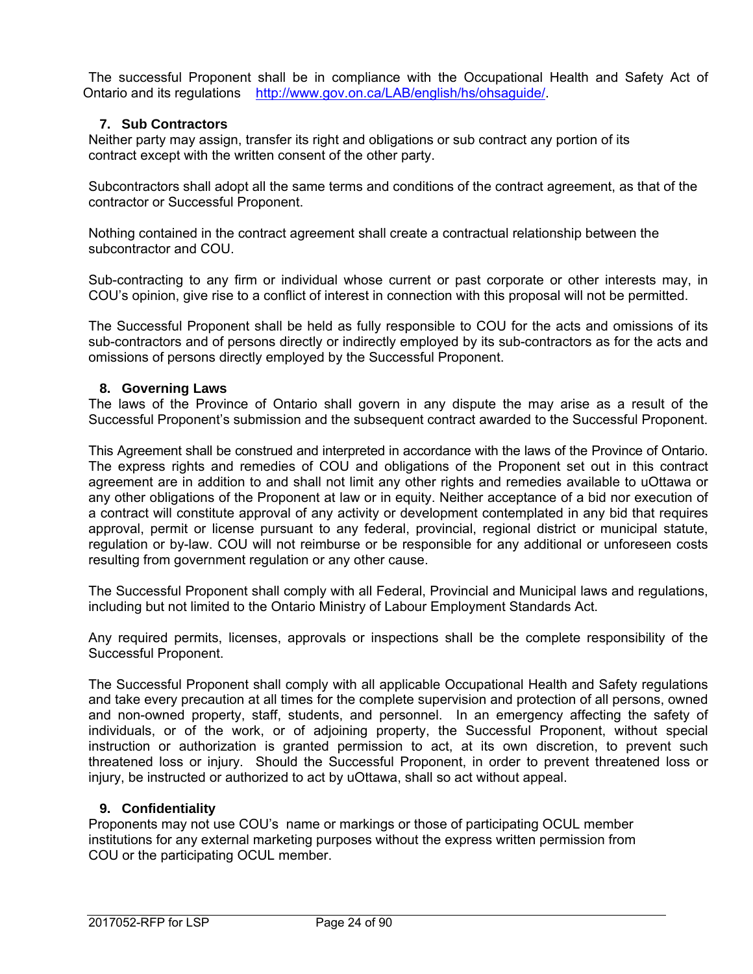The successful Proponent shall be in compliance with the Occupational Health and Safety Act of Ontario and its regulations http://www.gov.on.ca/LAB/english/hs/ohsaguide/.

## **7. Sub Contractors**

Neither party may assign, transfer its right and obligations or sub contract any portion of its contract except with the written consent of the other party.

Subcontractors shall adopt all the same terms and conditions of the contract agreement, as that of the contractor or Successful Proponent.

Nothing contained in the contract agreement shall create a contractual relationship between the subcontractor and COU.

Sub-contracting to any firm or individual whose current or past corporate or other interests may, in COU's opinion, give rise to a conflict of interest in connection with this proposal will not be permitted.

The Successful Proponent shall be held as fully responsible to COU for the acts and omissions of its sub-contractors and of persons directly or indirectly employed by its sub-contractors as for the acts and omissions of persons directly employed by the Successful Proponent.

#### **8. Governing Laws**

The laws of the Province of Ontario shall govern in any dispute the may arise as a result of the Successful Proponent's submission and the subsequent contract awarded to the Successful Proponent.

This Agreement shall be construed and interpreted in accordance with the laws of the Province of Ontario. The express rights and remedies of COU and obligations of the Proponent set out in this contract agreement are in addition to and shall not limit any other rights and remedies available to uOttawa or any other obligations of the Proponent at law or in equity. Neither acceptance of a bid nor execution of a contract will constitute approval of any activity or development contemplated in any bid that requires approval, permit or license pursuant to any federal, provincial, regional district or municipal statute, regulation or by-law. COU will not reimburse or be responsible for any additional or unforeseen costs resulting from government regulation or any other cause.

The Successful Proponent shall comply with all Federal, Provincial and Municipal laws and regulations, including but not limited to the Ontario Ministry of Labour Employment Standards Act.

Any required permits, licenses, approvals or inspections shall be the complete responsibility of the Successful Proponent.

The Successful Proponent shall comply with all applicable Occupational Health and Safety regulations and take every precaution at all times for the complete supervision and protection of all persons, owned and non-owned property, staff, students, and personnel. In an emergency affecting the safety of individuals, or of the work, or of adjoining property, the Successful Proponent, without special instruction or authorization is granted permission to act, at its own discretion, to prevent such threatened loss or injury. Should the Successful Proponent, in order to prevent threatened loss or injury, be instructed or authorized to act by uOttawa, shall so act without appeal.

### **9. Confidentiality**

Proponents may not use COU's name or markings or those of participating OCUL member institutions for any external marketing purposes without the express written permission from COU or the participating OCUL member.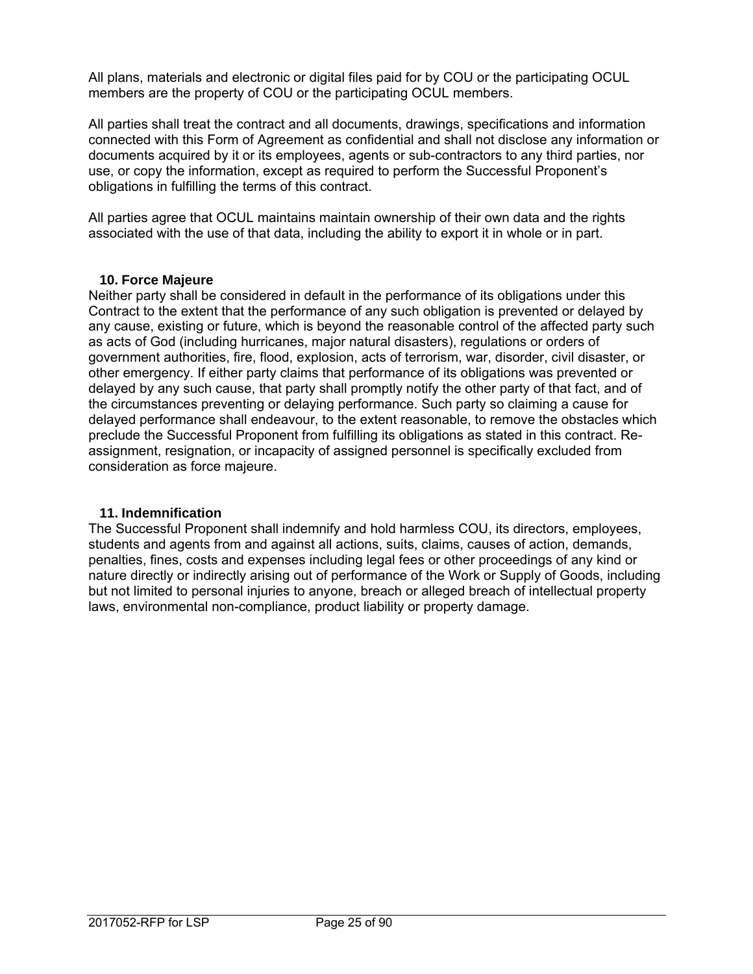All plans, materials and electronic or digital files paid for by COU or the participating OCUL members are the property of COU or the participating OCUL members.

All parties shall treat the contract and all documents, drawings, specifications and information connected with this Form of Agreement as confidential and shall not disclose any information or documents acquired by it or its employees, agents or sub-contractors to any third parties, nor use, or copy the information, except as required to perform the Successful Proponent's obligations in fulfilling the terms of this contract.

All parties agree that OCUL maintains maintain ownership of their own data and the rights associated with the use of that data, including the ability to export it in whole or in part.

#### **10. Force Majeure**

Neither party shall be considered in default in the performance of its obligations under this Contract to the extent that the performance of any such obligation is prevented or delayed by any cause, existing or future, which is beyond the reasonable control of the affected party such as acts of God (including hurricanes, major natural disasters), regulations or orders of government authorities, fire, flood, explosion, acts of terrorism, war, disorder, civil disaster, or other emergency. If either party claims that performance of its obligations was prevented or delayed by any such cause, that party shall promptly notify the other party of that fact, and of the circumstances preventing or delaying performance. Such party so claiming a cause for delayed performance shall endeavour, to the extent reasonable, to remove the obstacles which preclude the Successful Proponent from fulfilling its obligations as stated in this contract. Reassignment, resignation, or incapacity of assigned personnel is specifically excluded from consideration as force majeure.

### **11. Indemnification**

The Successful Proponent shall indemnify and hold harmless COU, its directors, employees, students and agents from and against all actions, suits, claims, causes of action, demands, penalties, fines, costs and expenses including legal fees or other proceedings of any kind or nature directly or indirectly arising out of performance of the Work or Supply of Goods, including but not limited to personal injuries to anyone, breach or alleged breach of intellectual property laws, environmental non-compliance, product liability or property damage.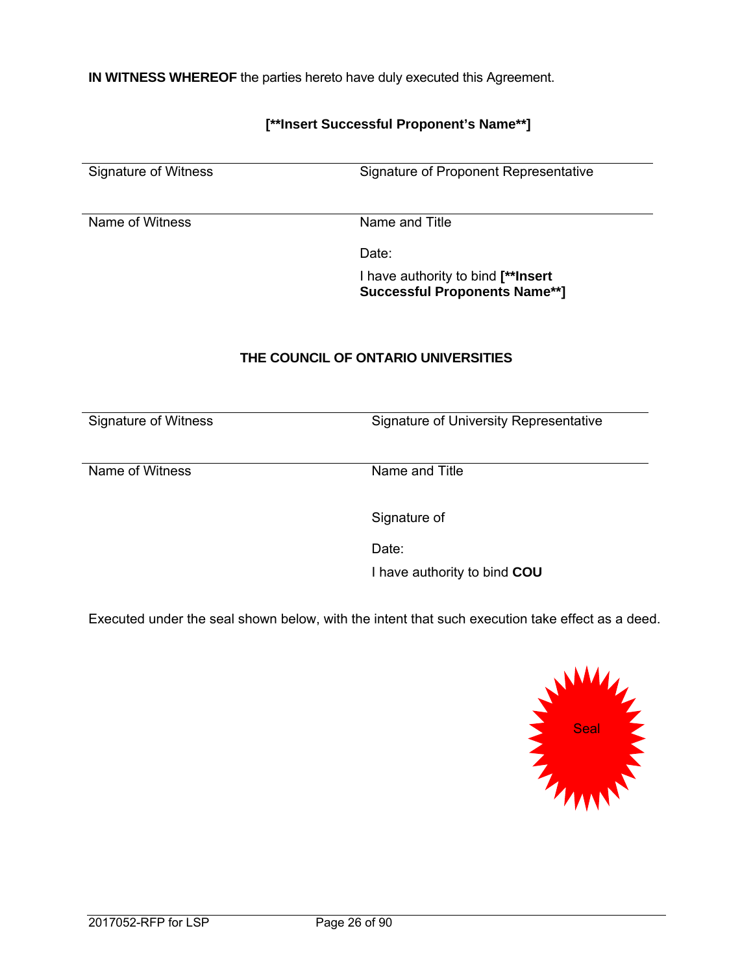**IN WITNESS WHEREOF** the parties hereto have duly executed this Agreement.

## **[\*\*Insert Successful Proponent's Name\*\*]**

Signature of Witness Signature of Proponent Representative

Name of Witness Name and Title

de la contrata de la contrata de la contrata de la contrata de la contrata de la contrata de la contrata de la

 I have authority to bind **[\*\*Insert Successful Proponents Name\*\*]** 

### **THE COUNCIL OF ONTARIO UNIVERSITIES**

Signature of Witness Signature of University Representative

Name of Witness Name and Title

Signature of

de la contrata de la contrata de la contrata de la contrata de la contrata de la contrata de la contrata de la

I have authority to bind **COU** 

Executed under the seal shown below, with the intent that such execution take effect as a deed.

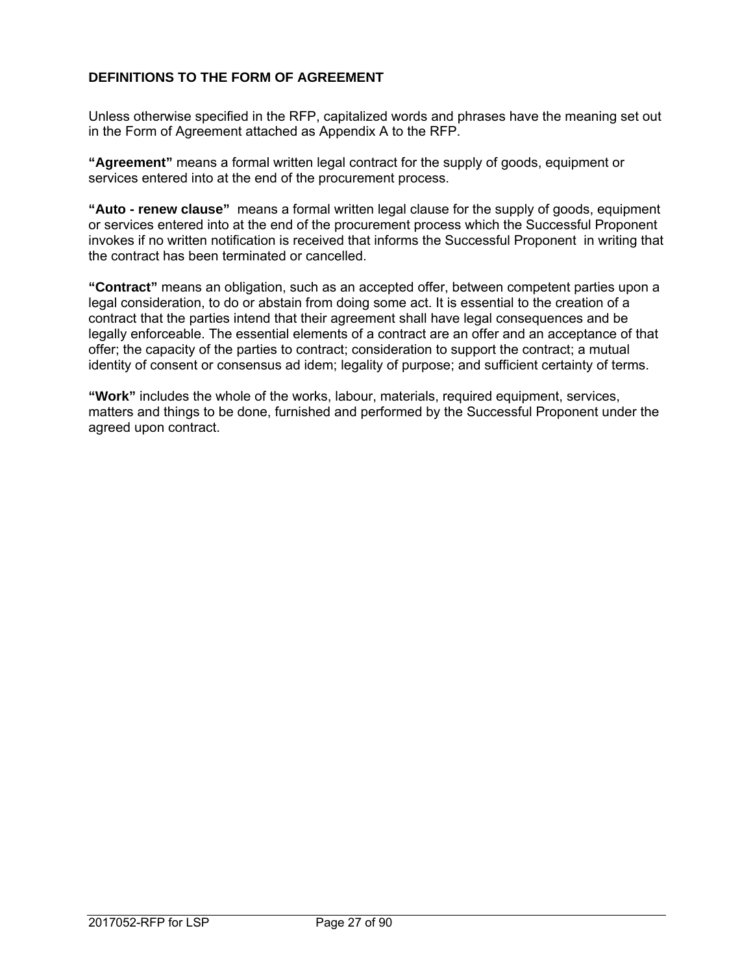## **DEFINITIONS TO THE FORM OF AGREEMENT**

Unless otherwise specified in the RFP, capitalized words and phrases have the meaning set out in the Form of Agreement attached as Appendix A to the RFP.

**"Agreement"** means a formal written legal contract for the supply of goods, equipment or services entered into at the end of the procurement process.

**"Auto - renew clause"** means a formal written legal clause for the supply of goods, equipment or services entered into at the end of the procurement process which the Successful Proponent invokes if no written notification is received that informs the Successful Proponent in writing that the contract has been terminated or cancelled.

**"Contract"** means an obligation, such as an accepted offer, between competent parties upon a legal consideration, to do or abstain from doing some act. It is essential to the creation of a contract that the parties intend that their agreement shall have legal consequences and be legally enforceable. The essential elements of a contract are an offer and an acceptance of that offer; the capacity of the parties to contract; consideration to support the contract; a mutual identity of consent or consensus ad idem; legality of purpose; and sufficient certainty of terms.

**"Work"** includes the whole of the works, labour, materials, required equipment, services, matters and things to be done, furnished and performed by the Successful Proponent under the agreed upon contract.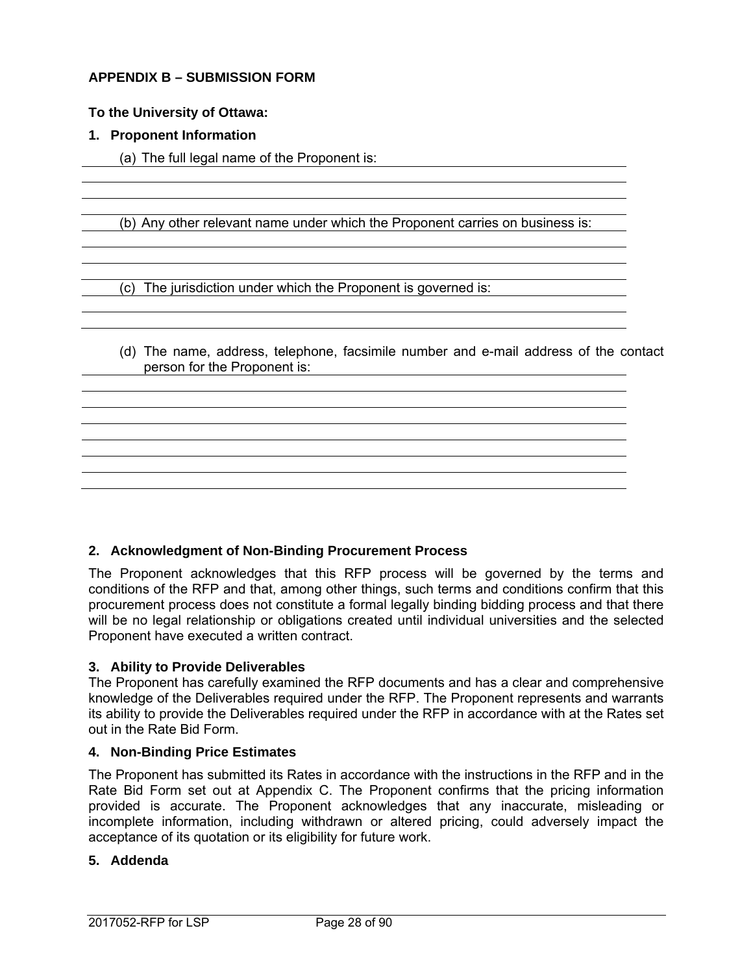### **APPENDIX B – SUBMISSION FORM**

#### **To the University of Ottawa:**

#### **1. Proponent Information**

(a) The full legal name of the Proponent is:

(b) Any other relevant name under which the Proponent carries on business is:

(c) The jurisdiction under which the Proponent is governed is:

(d) The name, address, telephone, facsimile number and e-mail address of the contact person for the Proponent is:

#### **2. Acknowledgment of Non-Binding Procurement Process**

The Proponent acknowledges that this RFP process will be governed by the terms and conditions of the RFP and that, among other things, such terms and conditions confirm that this procurement process does not constitute a formal legally binding bidding process and that there will be no legal relationship or obligations created until individual universities and the selected Proponent have executed a written contract.

#### **3. Ability to Provide Deliverables**

The Proponent has carefully examined the RFP documents and has a clear and comprehensive knowledge of the Deliverables required under the RFP. The Proponent represents and warrants its ability to provide the Deliverables required under the RFP in accordance with at the Rates set out in the Rate Bid Form.

#### **4. Non-Binding Price Estimates**

The Proponent has submitted its Rates in accordance with the instructions in the RFP and in the Rate Bid Form set out at Appendix C. The Proponent confirms that the pricing information provided is accurate. The Proponent acknowledges that any inaccurate, misleading or incomplete information, including withdrawn or altered pricing, could adversely impact the acceptance of its quotation or its eligibility for future work.

#### **5. Addenda**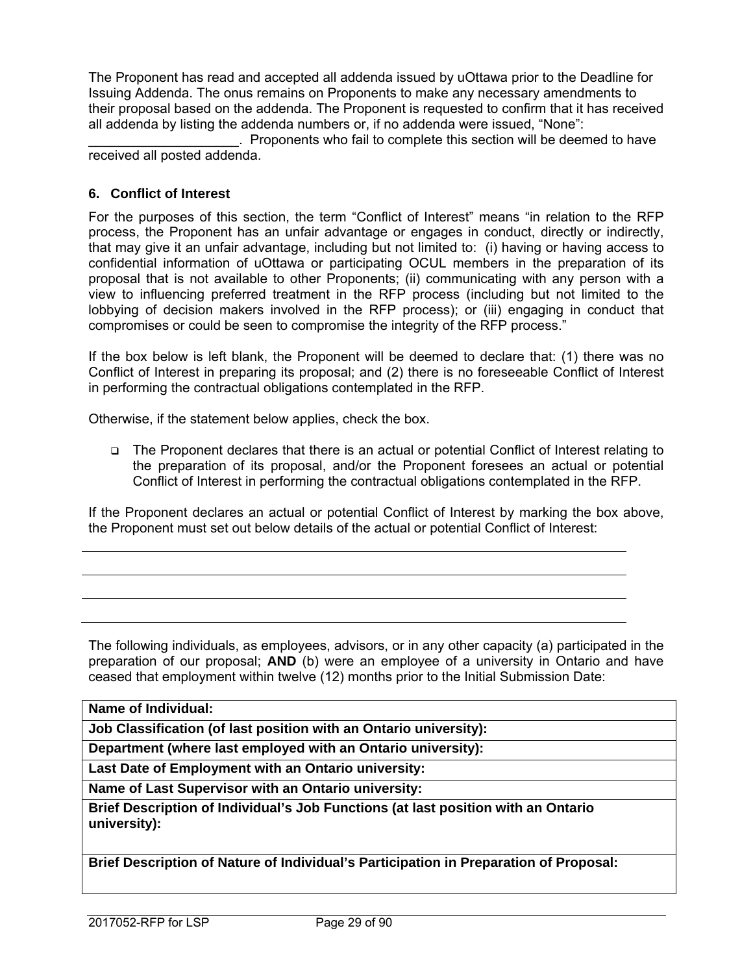The Proponent has read and accepted all addenda issued by uOttawa prior to the Deadline for Issuing Addenda. The onus remains on Proponents to make any necessary amendments to their proposal based on the addenda. The Proponent is requested to confirm that it has received all addenda by listing the addenda numbers or, if no addenda were issued, "None":

. Proponents who fail to complete this section will be deemed to have received all posted addenda.

### **6. Conflict of Interest**

For the purposes of this section, the term "Conflict of Interest" means "in relation to the RFP process, the Proponent has an unfair advantage or engages in conduct, directly or indirectly, that may give it an unfair advantage, including but not limited to: (i) having or having access to confidential information of uOttawa or participating OCUL members in the preparation of its proposal that is not available to other Proponents; (ii) communicating with any person with a view to influencing preferred treatment in the RFP process (including but not limited to the lobbying of decision makers involved in the RFP process); or (iii) engaging in conduct that compromises or could be seen to compromise the integrity of the RFP process."

If the box below is left blank, the Proponent will be deemed to declare that: (1) there was no Conflict of Interest in preparing its proposal; and (2) there is no foreseeable Conflict of Interest in performing the contractual obligations contemplated in the RFP.

Otherwise, if the statement below applies, check the box.

 The Proponent declares that there is an actual or potential Conflict of Interest relating to the preparation of its proposal, and/or the Proponent foresees an actual or potential Conflict of Interest in performing the contractual obligations contemplated in the RFP.

If the Proponent declares an actual or potential Conflict of Interest by marking the box above, the Proponent must set out below details of the actual or potential Conflict of Interest:

The following individuals, as employees, advisors, or in any other capacity (a) participated in the preparation of our proposal; **AND** (b) were an employee of a university in Ontario and have ceased that employment within twelve (12) months prior to the Initial Submission Date:

**Name of Individual:** 

**Job Classification (of last position with an Ontario university):** 

**Department (where last employed with an Ontario university):** 

**Last Date of Employment with an Ontario university:** 

**Name of Last Supervisor with an Ontario university:** 

**Brief Description of Individual's Job Functions (at last position with an Ontario university):** 

**Brief Description of Nature of Individual's Participation in Preparation of Proposal:**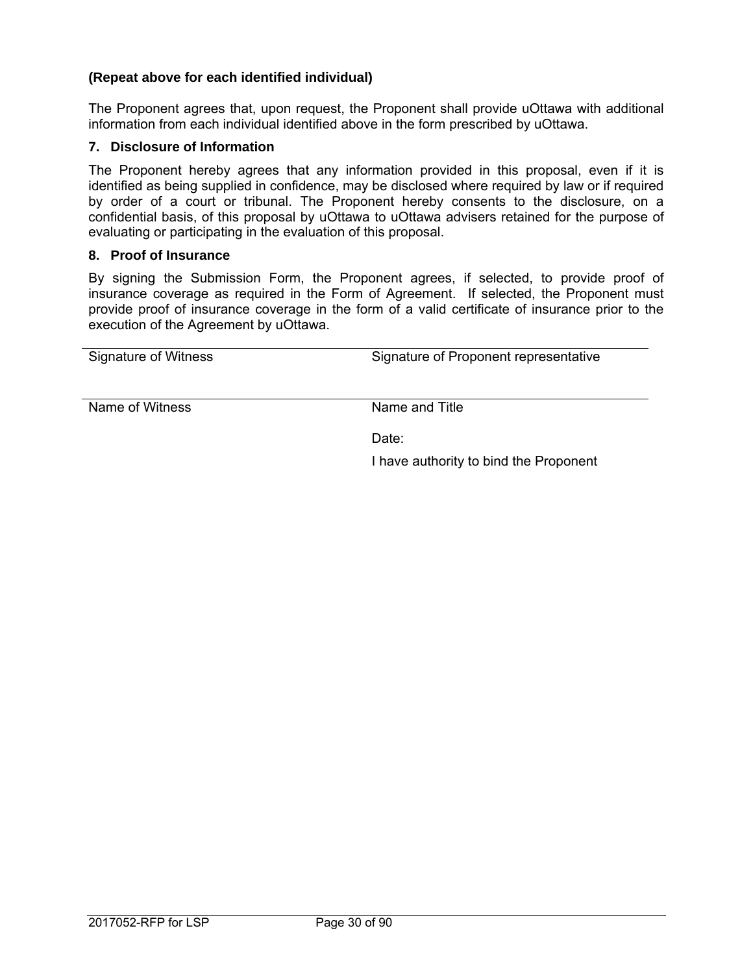### **(Repeat above for each identified individual)**

The Proponent agrees that, upon request, the Proponent shall provide uOttawa with additional information from each individual identified above in the form prescribed by uOttawa.

#### **7. Disclosure of Information**

The Proponent hereby agrees that any information provided in this proposal, even if it is identified as being supplied in confidence, may be disclosed where required by law or if required by order of a court or tribunal. The Proponent hereby consents to the disclosure, on a confidential basis, of this proposal by uOttawa to uOttawa advisers retained for the purpose of evaluating or participating in the evaluation of this proposal.

#### **8. Proof of Insurance**

By signing the Submission Form, the Proponent agrees, if selected, to provide proof of insurance coverage as required in the Form of Agreement. If selected, the Proponent must provide proof of insurance coverage in the form of a valid certificate of insurance prior to the execution of the Agreement by uOttawa.

| Signature of Witness | Signature of Proponent representative  |
|----------------------|----------------------------------------|
| Name of Witness      | Name and Title                         |
|                      |                                        |
|                      | Date:                                  |
|                      |                                        |
|                      | I have authority to bind the Proponent |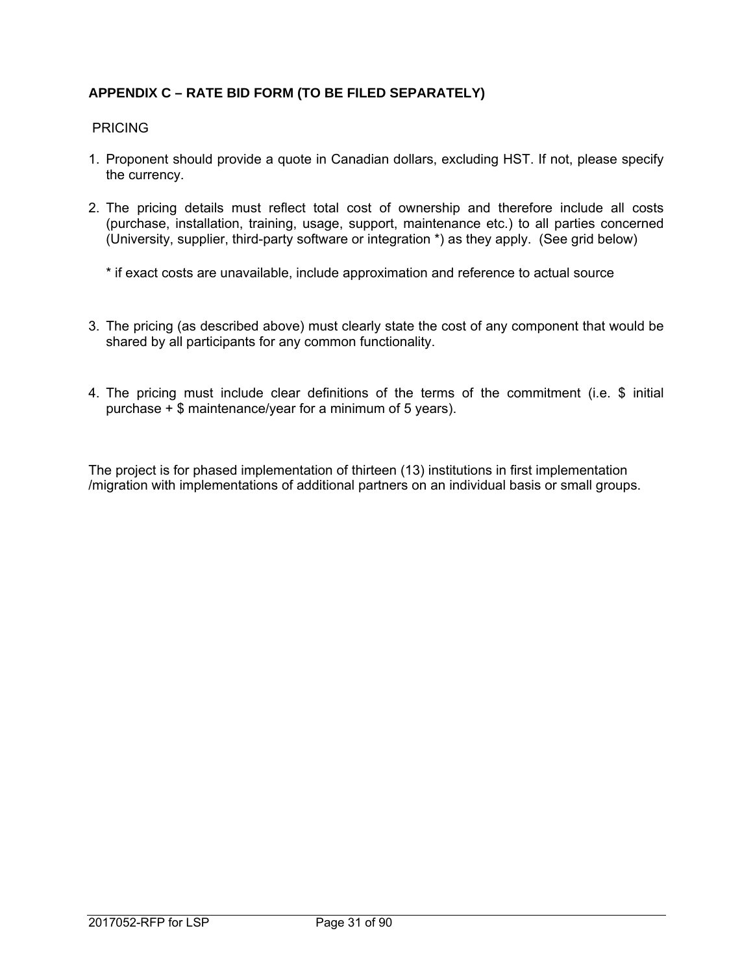## **APPENDIX C – RATE BID FORM (TO BE FILED SEPARATELY)**

#### **PRICING**

- 1. Proponent should provide a quote in Canadian dollars, excluding HST. If not, please specify the currency.
- 2. The pricing details must reflect total cost of ownership and therefore include all costs (purchase, installation, training, usage, support, maintenance etc.) to all parties concerned (University, supplier, third-party software or integration \*) as they apply. (See grid below)
	- \* if exact costs are unavailable, include approximation and reference to actual source
- 3. The pricing (as described above) must clearly state the cost of any component that would be shared by all participants for any common functionality.
- 4. The pricing must include clear definitions of the terms of the commitment (i.e. \$ initial purchase  $\pm$  \$ maintenance/year for a minimum of 5 years).

The project is for phased implementation of thirteen (13) institutions in first implementation /migration with implementations of additional partners on an individual basis or small groups.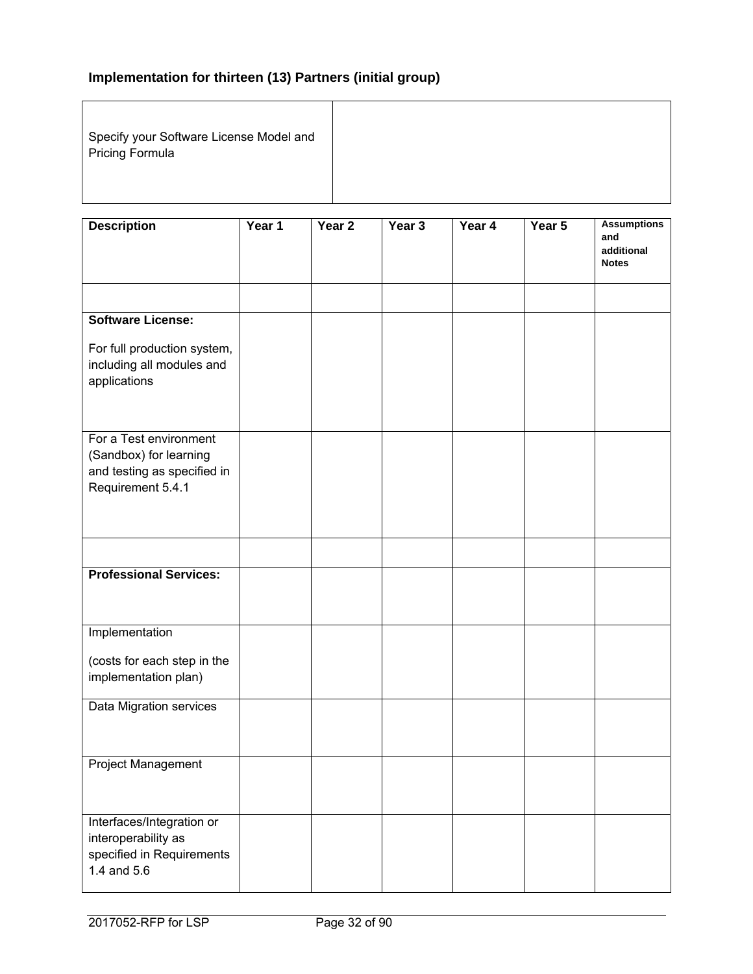# **Implementation for thirteen (13) Partners (initial group)**

Specify your Software License Model and Pricing Formula

| <b>Description</b>                                                                                   | Year 1 | Year 2 | Year 3 | Year 4 | Year 5 | <b>Assumptions</b><br>and<br>additional<br><b>Notes</b> |
|------------------------------------------------------------------------------------------------------|--------|--------|--------|--------|--------|---------------------------------------------------------|
|                                                                                                      |        |        |        |        |        |                                                         |
| <b>Software License:</b>                                                                             |        |        |        |        |        |                                                         |
| For full production system,<br>including all modules and<br>applications                             |        |        |        |        |        |                                                         |
| For a Test environment<br>(Sandbox) for learning<br>and testing as specified in<br>Requirement 5.4.1 |        |        |        |        |        |                                                         |
|                                                                                                      |        |        |        |        |        |                                                         |
| <b>Professional Services:</b>                                                                        |        |        |        |        |        |                                                         |
| Implementation                                                                                       |        |        |        |        |        |                                                         |
| (costs for each step in the<br>implementation plan)                                                  |        |        |        |        |        |                                                         |
| Data Migration services                                                                              |        |        |        |        |        |                                                         |
| Project Management                                                                                   |        |        |        |        |        |                                                         |
| Interfaces/Integration or<br>interoperability as<br>specified in Requirements<br>1.4 and 5.6         |        |        |        |        |        |                                                         |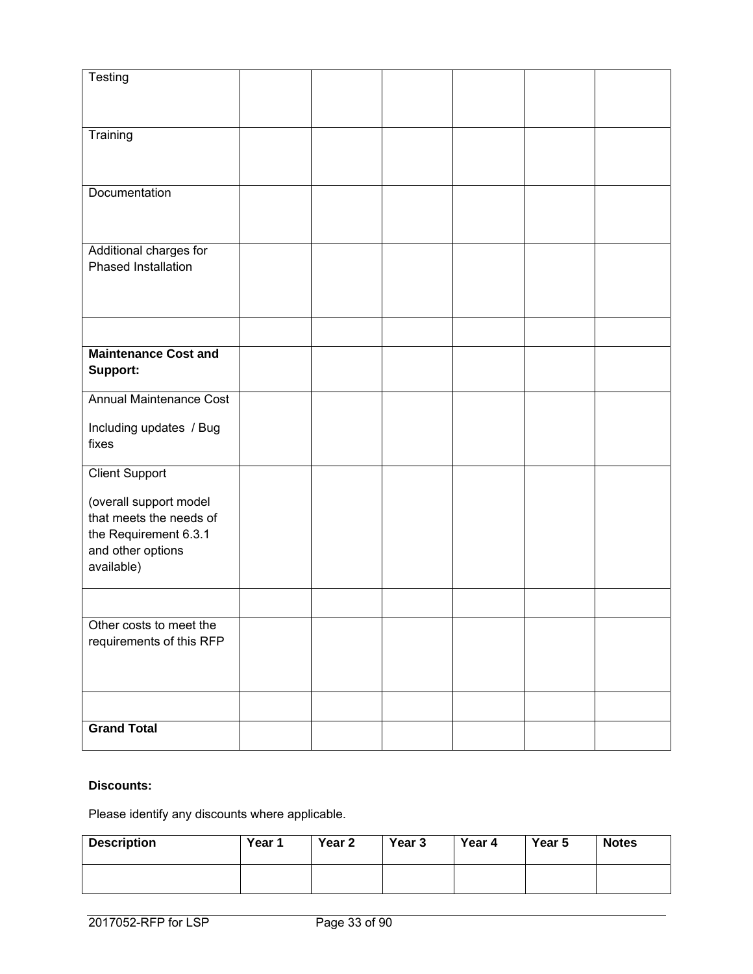| Testing                        |  |  |  |
|--------------------------------|--|--|--|
|                                |  |  |  |
|                                |  |  |  |
| Training                       |  |  |  |
|                                |  |  |  |
|                                |  |  |  |
| Documentation                  |  |  |  |
|                                |  |  |  |
|                                |  |  |  |
| Additional charges for         |  |  |  |
| Phased Installation            |  |  |  |
|                                |  |  |  |
|                                |  |  |  |
|                                |  |  |  |
|                                |  |  |  |
| <b>Maintenance Cost and</b>    |  |  |  |
| Support:                       |  |  |  |
| <b>Annual Maintenance Cost</b> |  |  |  |
|                                |  |  |  |
| Including updates / Bug        |  |  |  |
| fixes                          |  |  |  |
|                                |  |  |  |
| <b>Client Support</b>          |  |  |  |
| (overall support model         |  |  |  |
| that meets the needs of        |  |  |  |
| the Requirement 6.3.1          |  |  |  |
| and other options              |  |  |  |
| available)                     |  |  |  |
|                                |  |  |  |
|                                |  |  |  |
| Other costs to meet the        |  |  |  |
| requirements of this RFP       |  |  |  |
|                                |  |  |  |
|                                |  |  |  |
|                                |  |  |  |
|                                |  |  |  |
| <b>Grand Total</b>             |  |  |  |
|                                |  |  |  |

## **Discounts:**

Please identify any discounts where applicable.

| <b>Description</b> | Year 1 | Year 2 | Year 3 | Year 4 | Year 5 | <b>Notes</b> |
|--------------------|--------|--------|--------|--------|--------|--------------|
|                    |        |        |        |        |        |              |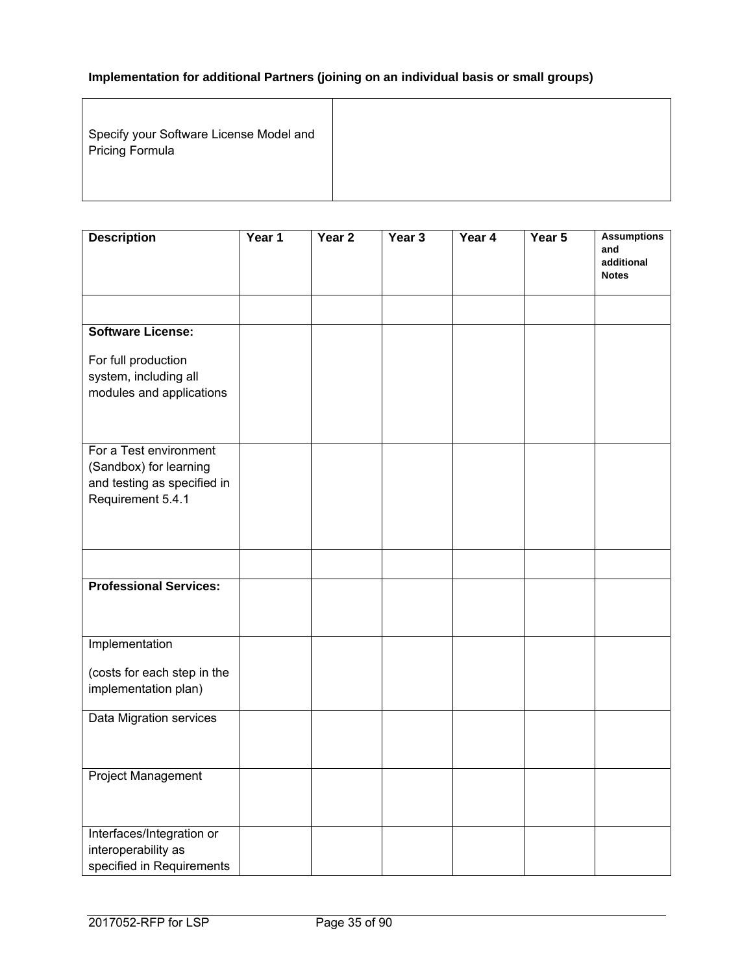# **Implementation for additional Partners (joining on an individual basis or small groups)**

| Specify your Software License Model and<br>Pricing Formula |  |
|------------------------------------------------------------|--|
|                                                            |  |

| <b>Description</b>                                | Year 1 | Year <sub>2</sub> | Year 3 | Year 4 | Year 5 | <b>Assumptions</b><br>and  |
|---------------------------------------------------|--------|-------------------|--------|--------|--------|----------------------------|
|                                                   |        |                   |        |        |        | additional<br><b>Notes</b> |
|                                                   |        |                   |        |        |        |                            |
| <b>Software License:</b>                          |        |                   |        |        |        |                            |
| For full production                               |        |                   |        |        |        |                            |
| system, including all<br>modules and applications |        |                   |        |        |        |                            |
|                                                   |        |                   |        |        |        |                            |
| For a Test environment                            |        |                   |        |        |        |                            |
| (Sandbox) for learning                            |        |                   |        |        |        |                            |
| and testing as specified in                       |        |                   |        |        |        |                            |
| Requirement 5.4.1                                 |        |                   |        |        |        |                            |
|                                                   |        |                   |        |        |        |                            |
|                                                   |        |                   |        |        |        |                            |
| <b>Professional Services:</b>                     |        |                   |        |        |        |                            |
|                                                   |        |                   |        |        |        |                            |
| Implementation                                    |        |                   |        |        |        |                            |
| (costs for each step in the                       |        |                   |        |        |        |                            |
| implementation plan)                              |        |                   |        |        |        |                            |
| Data Migration services                           |        |                   |        |        |        |                            |
|                                                   |        |                   |        |        |        |                            |
| Project Management                                |        |                   |        |        |        |                            |
|                                                   |        |                   |        |        |        |                            |
| Interfaces/Integration or                         |        |                   |        |        |        |                            |
| interoperability as                               |        |                   |        |        |        |                            |
| specified in Requirements                         |        |                   |        |        |        |                            |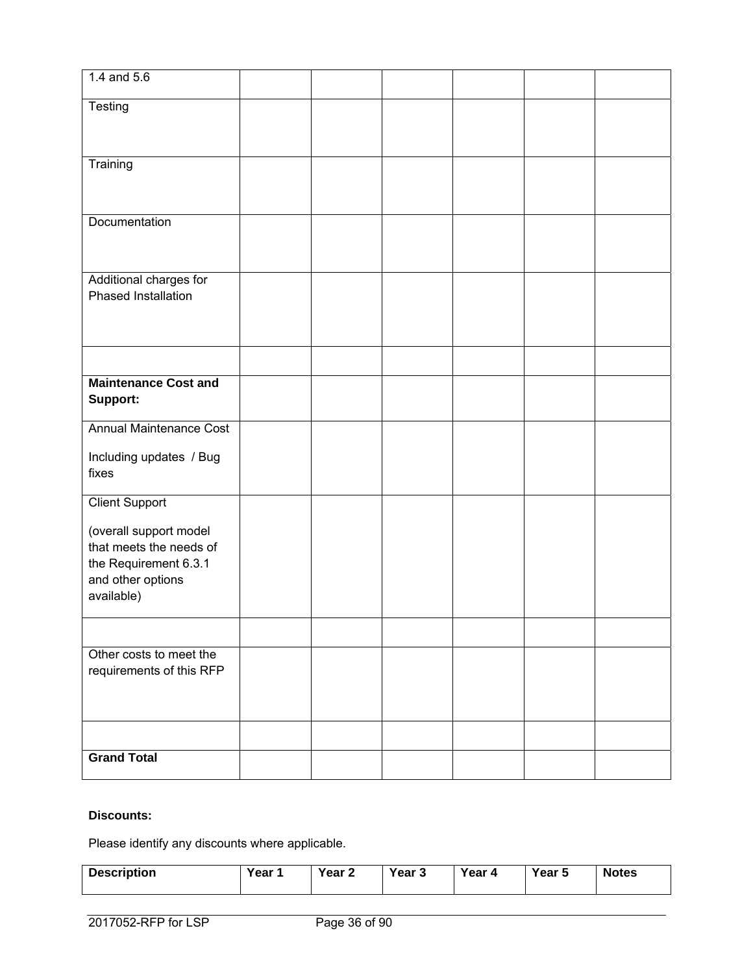| 1.4 and $5.6$                                     |  |  |  |
|---------------------------------------------------|--|--|--|
| Testing                                           |  |  |  |
|                                                   |  |  |  |
| Training                                          |  |  |  |
|                                                   |  |  |  |
|                                                   |  |  |  |
| Documentation                                     |  |  |  |
|                                                   |  |  |  |
| Additional charges for                            |  |  |  |
| Phased Installation                               |  |  |  |
|                                                   |  |  |  |
|                                                   |  |  |  |
|                                                   |  |  |  |
| <b>Maintenance Cost and</b><br>Support:           |  |  |  |
| <b>Annual Maintenance Cost</b>                    |  |  |  |
|                                                   |  |  |  |
| Including updates / Bug<br>fixes                  |  |  |  |
|                                                   |  |  |  |
| <b>Client Support</b>                             |  |  |  |
| (overall support model<br>that meets the needs of |  |  |  |
| the Requirement 6.3.1                             |  |  |  |
| and other options                                 |  |  |  |
| available)                                        |  |  |  |
|                                                   |  |  |  |
| Other costs to meet the                           |  |  |  |
| requirements of this RFP                          |  |  |  |
|                                                   |  |  |  |
|                                                   |  |  |  |
| <b>Grand Total</b>                                |  |  |  |
|                                                   |  |  |  |

# **Discounts:**

Please identify any discounts where applicable.

| <b>Description</b> | Year 1 | Year 2 | Year 3 | Year 4 | Year 5 | <b>Notes</b> |
|--------------------|--------|--------|--------|--------|--------|--------------|
|--------------------|--------|--------|--------|--------|--------|--------------|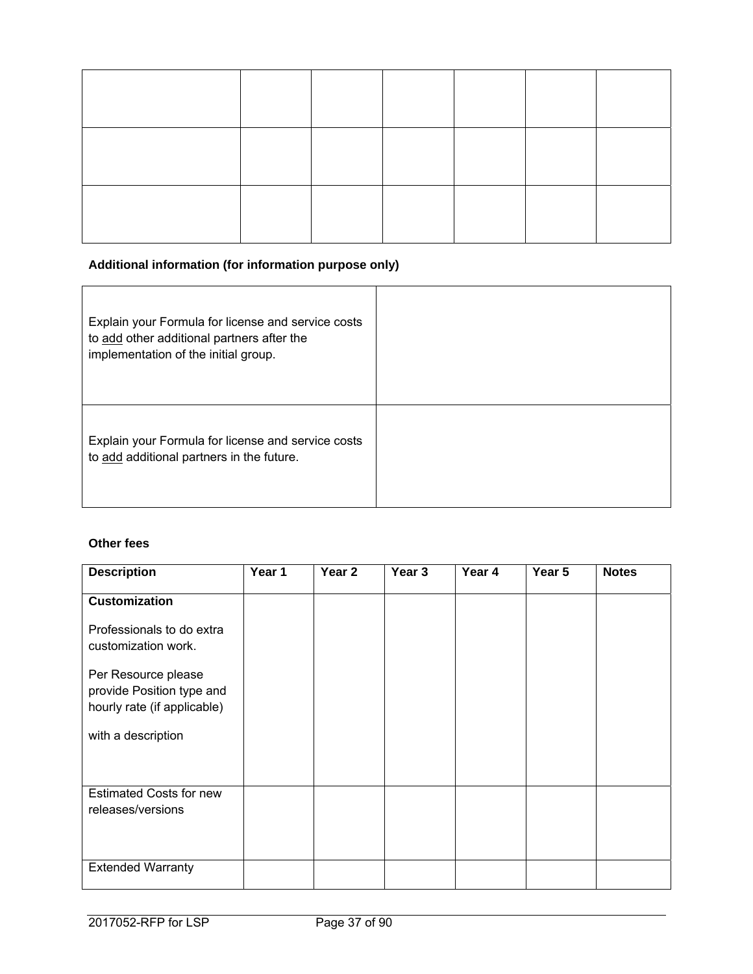# **Additional information (for information purpose only)**

| Explain your Formula for license and service costs<br>to add other additional partners after the<br>implementation of the initial group. |  |
|------------------------------------------------------------------------------------------------------------------------------------------|--|
| Explain your Formula for license and service costs<br>to add additional partners in the future.                                          |  |

# **Other fees**

| <b>Description</b>                                                              | Year 1 | Year 2 | Year 3 | Year 4 | Year 5 | <b>Notes</b> |
|---------------------------------------------------------------------------------|--------|--------|--------|--------|--------|--------------|
| <b>Customization</b>                                                            |        |        |        |        |        |              |
| Professionals to do extra<br>customization work.                                |        |        |        |        |        |              |
| Per Resource please<br>provide Position type and<br>hourly rate (if applicable) |        |        |        |        |        |              |
| with a description                                                              |        |        |        |        |        |              |
| <b>Estimated Costs for new</b><br>releases/versions                             |        |        |        |        |        |              |
| <b>Extended Warranty</b>                                                        |        |        |        |        |        |              |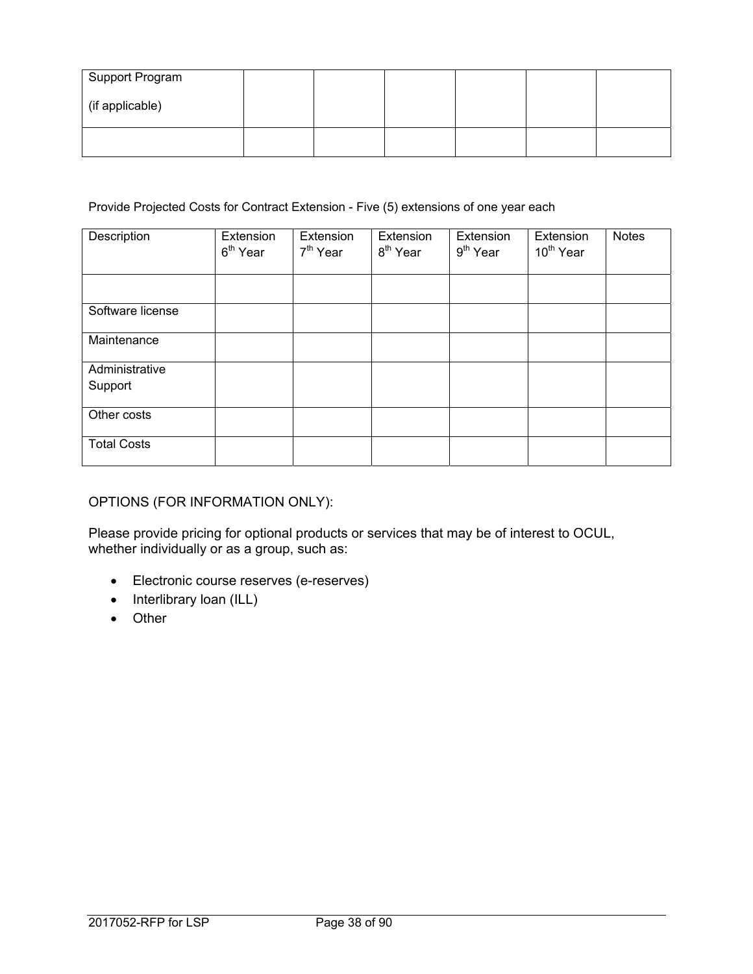| Support Program |  |  |  |
|-----------------|--|--|--|
| (if applicable) |  |  |  |
|                 |  |  |  |

#### Provide Projected Costs for Contract Extension - Five (5) extensions of one year each

| Description               | Extension<br>6 <sup>th</sup> Year | Extension<br>7 <sup>th</sup> Year | Extension<br>8 <sup>th</sup> Year | Extension<br>$9th$ Year | Extension<br>10 <sup>th</sup> Year | <b>Notes</b> |
|---------------------------|-----------------------------------|-----------------------------------|-----------------------------------|-------------------------|------------------------------------|--------------|
|                           |                                   |                                   |                                   |                         |                                    |              |
| Software license          |                                   |                                   |                                   |                         |                                    |              |
| Maintenance               |                                   |                                   |                                   |                         |                                    |              |
| Administrative<br>Support |                                   |                                   |                                   |                         |                                    |              |
| Other costs               |                                   |                                   |                                   |                         |                                    |              |
| <b>Total Costs</b>        |                                   |                                   |                                   |                         |                                    |              |

# OPTIONS (FOR INFORMATION ONLY):

Please provide pricing for optional products or services that may be of interest to OCUL, whether individually or as a group, such as:

- Electronic course reserves (e-reserves)
- $\bullet$  Interlibrary loan (ILL)
- Other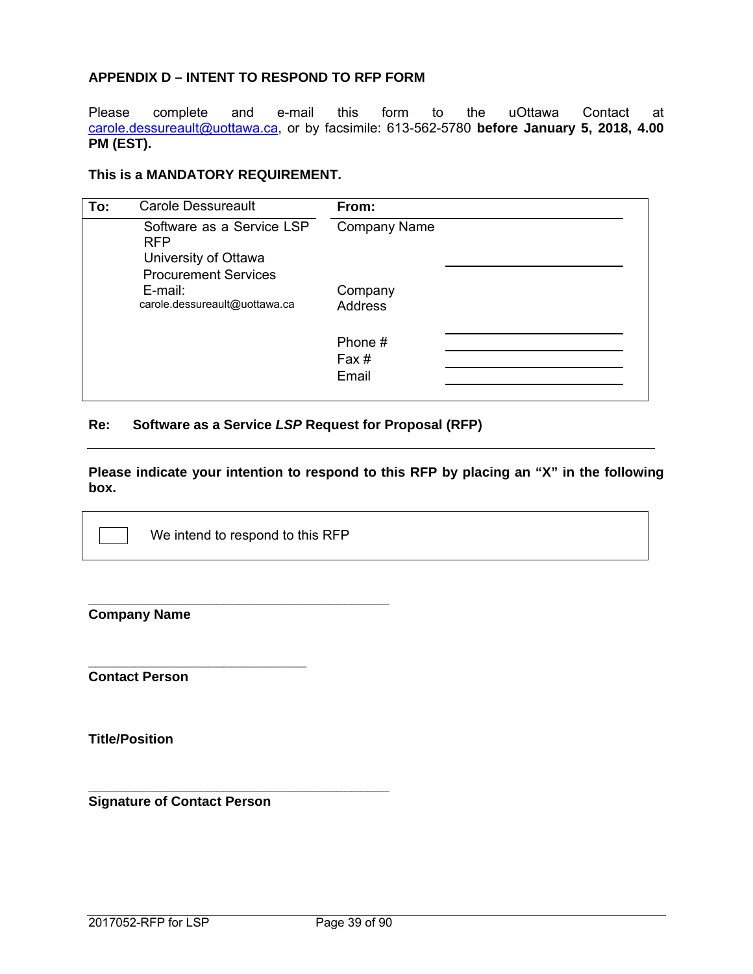## **APPENDIX D – INTENT TO RESPOND TO RFP FORM**

Please complete and e-mail this form to the uOttawa Contact at carole.dessureault@uottawa.ca, or by facsimile: 613-562-5780 **before January 5, 2018, 4.00 PM (EST).**

#### **This is a MANDATORY REQUIREMENT.**

| To: | <b>Carole Dessureault</b>                                                                      | From:                     |
|-----|------------------------------------------------------------------------------------------------|---------------------------|
|     | Software as a Service LSP<br><b>RFP</b><br>University of Ottawa<br><b>Procurement Services</b> | <b>Company Name</b>       |
|     | E-mail:<br>carole.dessureault@uottawa.ca                                                       | Company<br><b>Address</b> |
|     |                                                                                                | Phone #<br>Fax#<br>Email  |

# **Re: Software as a Service** *LSP* **Request for Proposal (RFP)**

**Please indicate your intention to respond to this RFP by placing an "X" in the following box.** 

We intend to respond to this RFP

**\_\_\_\_\_\_\_\_\_\_\_\_\_\_\_\_\_\_\_\_\_\_\_\_\_\_\_\_\_\_\_\_\_\_\_\_\_\_\_\_** 

**\_\_\_\_\_\_\_\_\_\_\_\_\_\_\_\_\_\_\_\_\_\_\_\_\_\_\_\_\_\_\_\_\_\_\_\_\_\_\_\_** 

| <b>Company Name</b> |  |
|---------------------|--|
|---------------------|--|

**Contact Person** 

**Title/Position** 

**Signature of Contact Person** 

**\_\_\_\_\_\_\_\_\_\_\_\_\_\_\_\_\_\_\_\_\_\_\_\_\_\_\_\_\_**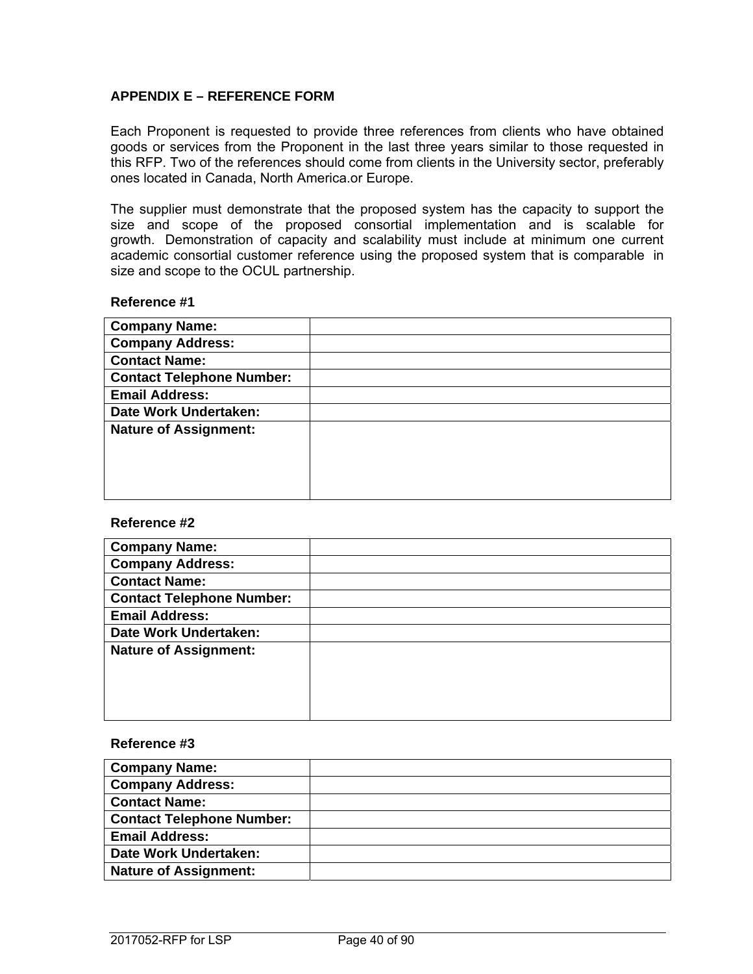#### **APPENDIX E – REFERENCE FORM**

Each Proponent is requested to provide three references from clients who have obtained goods or services from the Proponent in the last three years similar to those requested in this RFP. Two of the references should come from clients in the University sector, preferably ones located in Canada, North America.or Europe.

The supplier must demonstrate that the proposed system has the capacity to support the size and scope of the proposed consortial implementation and is scalable for growth. Demonstration of capacity and scalability must include at minimum one current academic consortial customer reference using the proposed system that is comparable in size and scope to the OCUL partnership.

#### **Reference #1**

| <b>Company Name:</b>             |  |
|----------------------------------|--|
| <b>Company Address:</b>          |  |
| <b>Contact Name:</b>             |  |
| <b>Contact Telephone Number:</b> |  |
| <b>Email Address:</b>            |  |
| Date Work Undertaken:            |  |
| <b>Nature of Assignment:</b>     |  |
|                                  |  |
|                                  |  |
|                                  |  |
|                                  |  |

#### **Reference #2**

| <b>Company Name:</b>             |  |
|----------------------------------|--|
| <b>Company Address:</b>          |  |
| <b>Contact Name:</b>             |  |
| <b>Contact Telephone Number:</b> |  |
| <b>Email Address:</b>            |  |
| Date Work Undertaken:            |  |
| <b>Nature of Assignment:</b>     |  |
|                                  |  |
|                                  |  |
|                                  |  |
|                                  |  |

#### **Reference #3**

| <b>Company Name:</b>             |  |
|----------------------------------|--|
| <b>Company Address:</b>          |  |
| <b>Contact Name:</b>             |  |
| <b>Contact Telephone Number:</b> |  |
| <b>Email Address:</b>            |  |
| Date Work Undertaken:            |  |
| <b>Nature of Assignment:</b>     |  |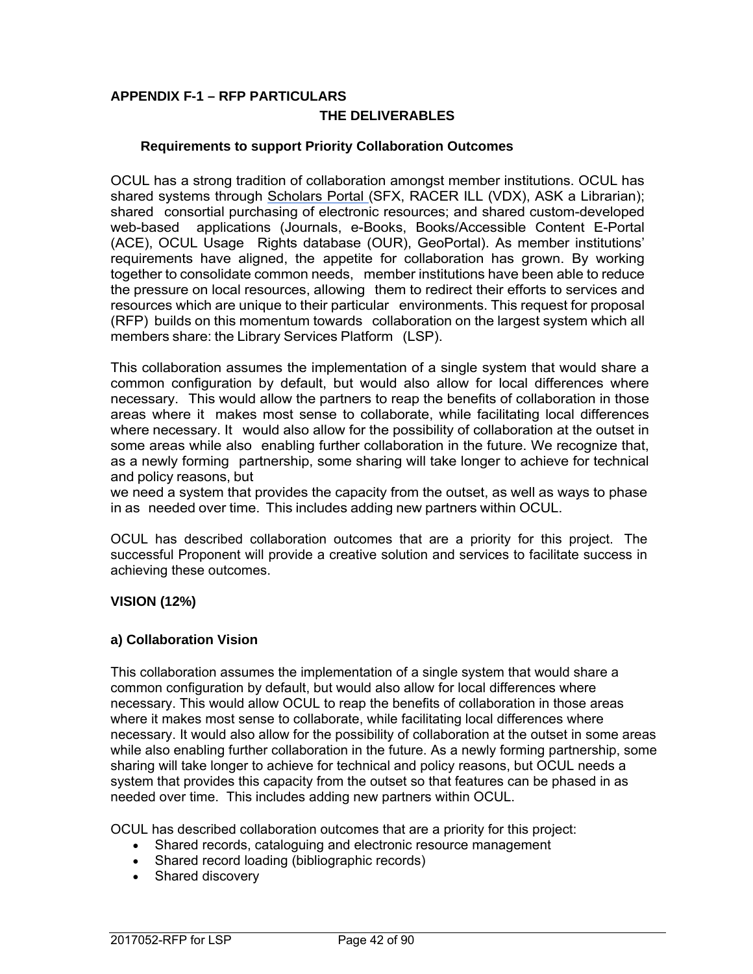# **APPENDIX F-1 – RFP PARTICULARS THE DELIVERABLES**

# **Requirements to support Priority Collaboration Outcomes**

OCUL has a strong tradition of collaboration amongst member institutions. OCUL has shared systems through Scholars Portal (SFX, RACER ILL (VDX), ASK a Librarian); shared consortial purchasing of electronic resources; and shared custom-developed web-based applications (Journals, e-Books, Books/Accessible Content E-Portal (ACE), OCUL Usage Rights database (OUR), GeoPortal). As member institutions' requirements have aligned, the appetite for collaboration has grown. By working together to consolidate common needs, member institutions have been able to reduce the pressure on local resources, allowing them to redirect their efforts to services and resources which are unique to their particular environments. This request for proposal (RFP) builds on this momentum towards collaboration on the largest system which all members share: the Library Services Platform (LSP).

This collaboration assumes the implementation of a single system that would share a common configuration by default, but would also allow for local differences where necessary. This would allow the partners to reap the benefits of collaboration in those areas where it makes most sense to collaborate, while facilitating local differences where necessary. It would also allow for the possibility of collaboration at the outset in some areas while also enabling further collaboration in the future. We recognize that, as a newly forming partnership, some sharing will take longer to achieve for technical and policy reasons, but

we need a system that provides the capacity from the outset, as well as ways to phase in as needed over time. This includes adding new partners within OCUL.

OCUL has described collaboration outcomes that are a priority for this project. The successful Proponent will provide a creative solution and services to facilitate success in achieving these outcomes.

## **VISION (12%)**

## **a) Collaboration Vision**

This collaboration assumes the implementation of a single system that would share a common configuration by default, but would also allow for local differences where necessary. This would allow OCUL to reap the benefits of collaboration in those areas where it makes most sense to collaborate, while facilitating local differences where necessary. It would also allow for the possibility of collaboration at the outset in some areas while also enabling further collaboration in the future. As a newly forming partnership, some sharing will take longer to achieve for technical and policy reasons, but OCUL needs a system that provides this capacity from the outset so that features can be phased in as needed over time. This includes adding new partners within OCUL.

OCUL has described collaboration outcomes that are a priority for this project:

- Shared records, cataloguing and electronic resource management
- Shared record loading (bibliographic records)
- Shared discovery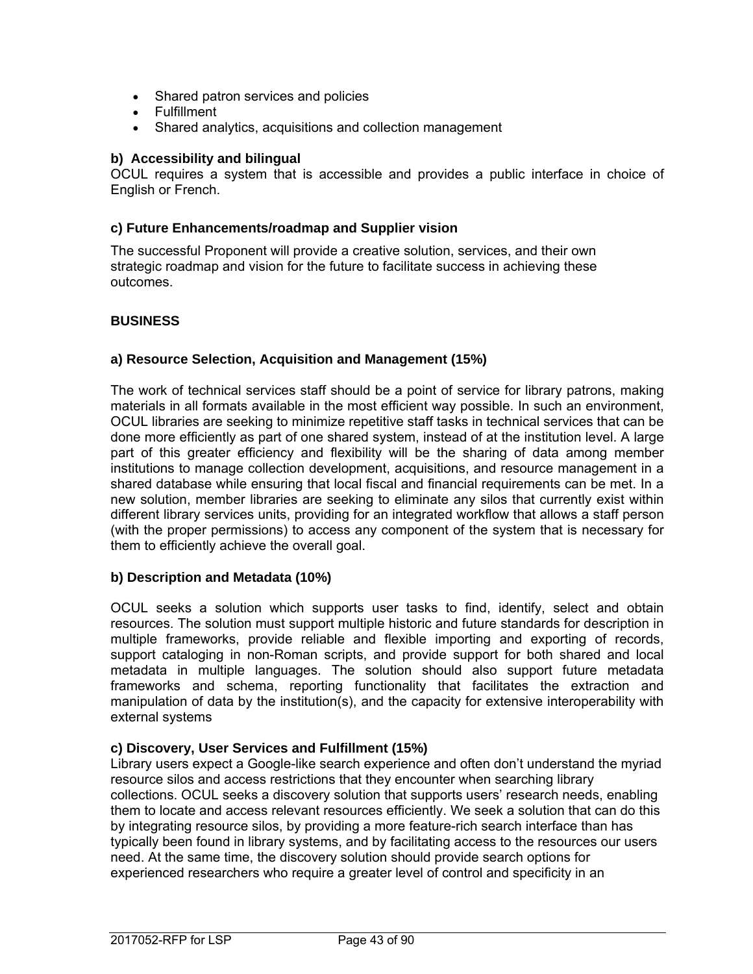- Shared patron services and policies
- Fulfillment
- Shared analytics, acquisitions and collection management

#### **b) Accessibility and bilingual**

OCUL requires a system that is accessible and provides a public interface in choice of English or French.

#### **c) Future Enhancements/roadmap and Supplier vision**

The successful Proponent will provide a creative solution, services, and their own strategic roadmap and vision for the future to facilitate success in achieving these outcomes.

# **BUSINESS**

## **a) Resource Selection, Acquisition and Management (15%)**

The work of technical services staff should be a point of service for library patrons, making materials in all formats available in the most efficient way possible. In such an environment, OCUL libraries are seeking to minimize repetitive staff tasks in technical services that can be done more efficiently as part of one shared system, instead of at the institution level. A large part of this greater efficiency and flexibility will be the sharing of data among member institutions to manage collection development, acquisitions, and resource management in a shared database while ensuring that local fiscal and financial requirements can be met. In a new solution, member libraries are seeking to eliminate any silos that currently exist within different library services units, providing for an integrated workflow that allows a staff person (with the proper permissions) to access any component of the system that is necessary for them to efficiently achieve the overall goal.

## **b) Description and Metadata (10%)**

OCUL seeks a solution which supports user tasks to find, identify, select and obtain resources. The solution must support multiple historic and future standards for description in multiple frameworks, provide reliable and flexible importing and exporting of records, support cataloging in non-Roman scripts, and provide support for both shared and local metadata in multiple languages. The solution should also support future metadata frameworks and schema, reporting functionality that facilitates the extraction and manipulation of data by the institution(s), and the capacity for extensive interoperability with external systems

## **c) Discovery, User Services and Fulfillment (15%)**

Library users expect a Google-like search experience and often don't understand the myriad resource silos and access restrictions that they encounter when searching library collections. OCUL seeks a discovery solution that supports users' research needs, enabling them to locate and access relevant resources efficiently. We seek a solution that can do this by integrating resource silos, by providing a more feature-rich search interface than has typically been found in library systems, and by facilitating access to the resources our users need. At the same time, the discovery solution should provide search options for experienced researchers who require a greater level of control and specificity in an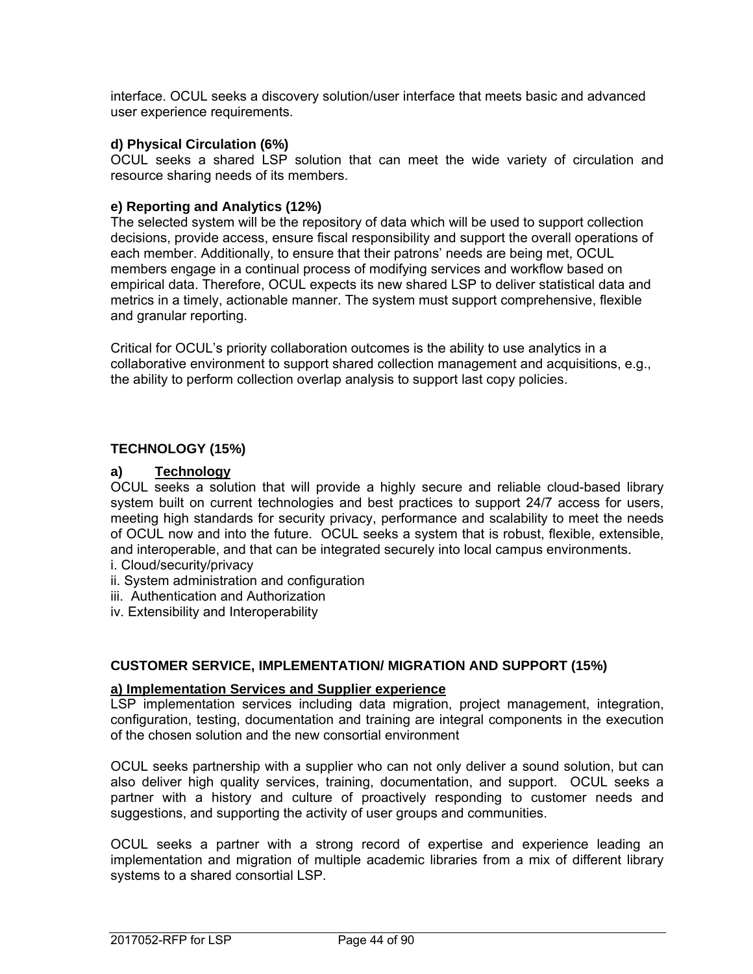interface. OCUL seeks a discovery solution/user interface that meets basic and advanced user experience requirements.

#### **d) Physical Circulation (6%)**

OCUL seeks a shared LSP solution that can meet the wide variety of circulation and resource sharing needs of its members.

#### **e) Reporting and Analytics (12%)**

The selected system will be the repository of data which will be used to support collection decisions, provide access, ensure fiscal responsibility and support the overall operations of each member. Additionally, to ensure that their patrons' needs are being met, OCUL members engage in a continual process of modifying services and workflow based on empirical data. Therefore, OCUL expects its new shared LSP to deliver statistical data and metrics in a timely, actionable manner. The system must support comprehensive, flexible and granular reporting.

Critical for OCUL's priority collaboration outcomes is the ability to use analytics in a collaborative environment to support shared collection management and acquisitions, e.g., the ability to perform collection overlap analysis to support last copy policies.

#### **TECHNOLOGY (15%)**

#### **a) Technology**

OCUL seeks a solution that will provide a highly secure and reliable cloud-based library system built on current technologies and best practices to support 24/7 access for users, meeting high standards for security privacy, performance and scalability to meet the needs of OCUL now and into the future. OCUL seeks a system that is robust, flexible, extensible, and interoperable, and that can be integrated securely into local campus environments.

- i. Cloud/security/privacy
- ii. System administration and configuration
- iii. Authentication and Authorization
- iv. Extensibility and Interoperability

#### **CUSTOMER SERVICE, IMPLEMENTATION/ MIGRATION AND SUPPORT (15%)**

#### **a) Implementation Services and Supplier experience**

LSP implementation services including data migration, project management, integration, configuration, testing, documentation and training are integral components in the execution of the chosen solution and the new consortial environment

OCUL seeks partnership with a supplier who can not only deliver a sound solution, but can also deliver high quality services, training, documentation, and support. OCUL seeks a partner with a history and culture of proactively responding to customer needs and suggestions, and supporting the activity of user groups and communities.

OCUL seeks a partner with a strong record of expertise and experience leading an implementation and migration of multiple academic libraries from a mix of different library systems to a shared consortial LSP.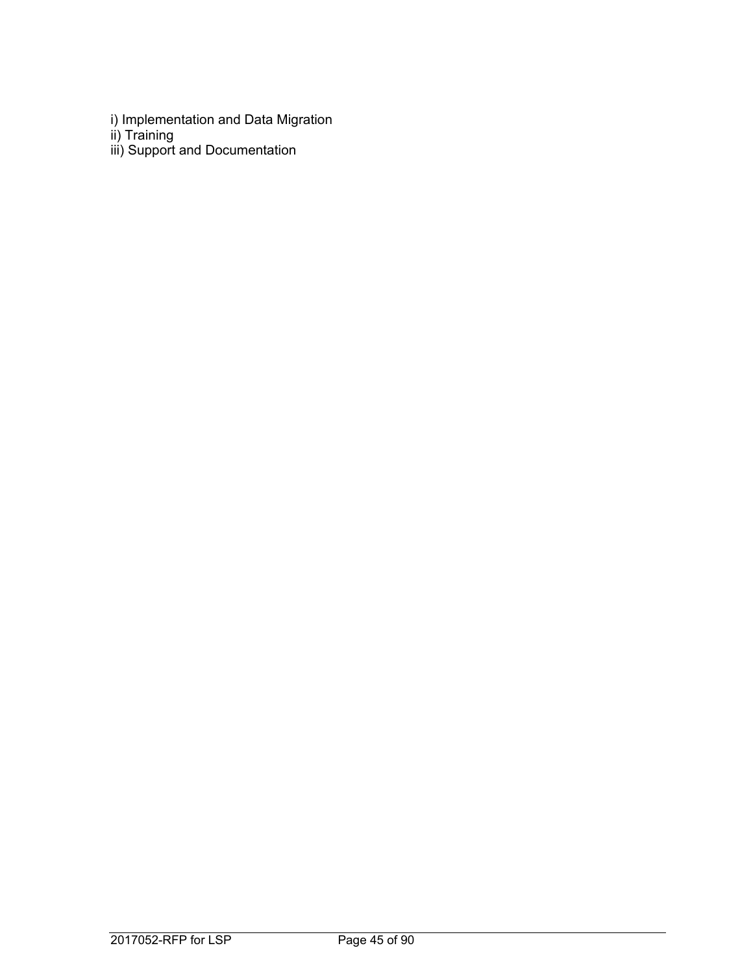- i) Implementation and Data Migration
- ii) Training
- iii) Support and Documentation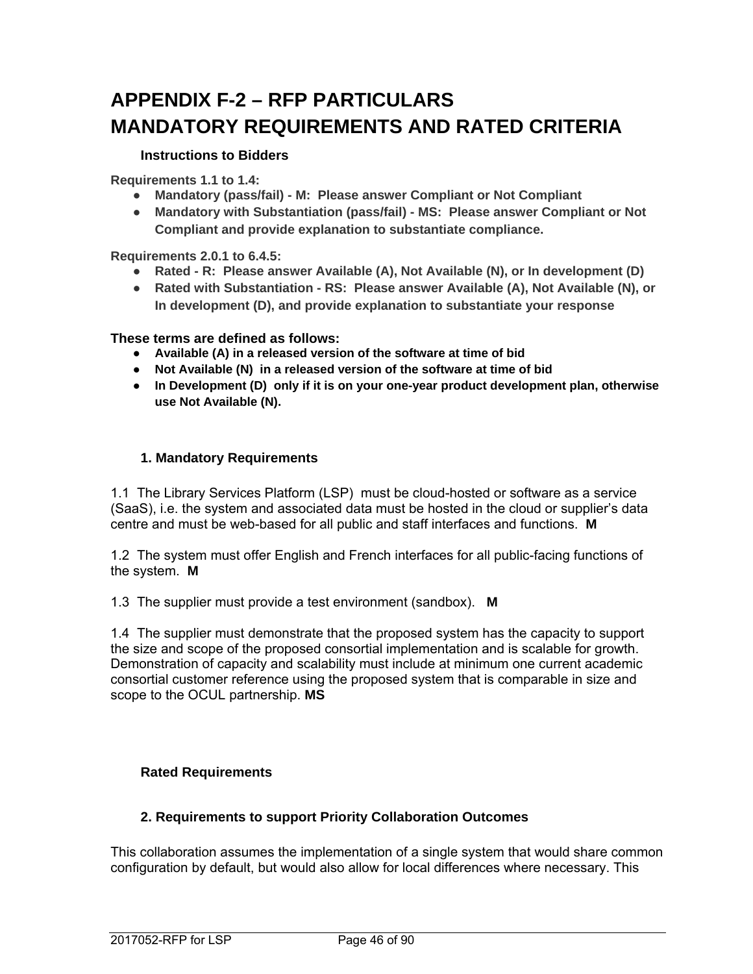# **APPENDIX F-2 – RFP PARTICULARS MANDATORY REQUIREMENTS AND RATED CRITERIA**

# **Instructions to Bidders**

**Requirements 1.1 to 1.4:** 

- **Mandatory (pass/fail) M: Please answer Compliant or Not Compliant**
- **Mandatory with Substantiation (pass/fail) MS: Please answer Compliant or Not Compliant and provide explanation to substantiate compliance.**

**Requirements 2.0.1 to 6.4.5:** 

- **Rated R: Please answer Available (A), Not Available (N), or In development (D)**
- **Rated with Substantiation RS: Please answer Available (A), Not Available (N), or In development (D), and provide explanation to substantiate your response**

**These terms are defined as follows:** 

- **Available (A) in a released version of the software at time of bid**
- **Not Available (N) in a released version of the software at time of bid**
- **In Development (D) only if it is on your one-year product development plan, otherwise use Not Available (N).**

## **1. Mandatory Requirements**

1.1 The Library Services Platform (LSP) must be cloud-hosted or software as a service (SaaS), i.e. the system and associated data must be hosted in the cloud or supplier's data centre and must be web-based for all public and staff interfaces and functions. **M** 

1.2 The system must offer English and French interfaces for all public-facing functions of the system. **M** 

1.3 The supplier must provide a test environment (sandbox). **M** 

1.4 The supplier must demonstrate that the proposed system has the capacity to support the size and scope of the proposed consortial implementation and is scalable for growth. Demonstration of capacity and scalability must include at minimum one current academic consortial customer reference using the proposed system that is comparable in size and scope to the OCUL partnership. **MS**

## **Rated Requirements**

## **2. Requirements to support Priority Collaboration Outcomes**

This collaboration assumes the implementation of a single system that would share common configuration by default, but would also allow for local differences where necessary. This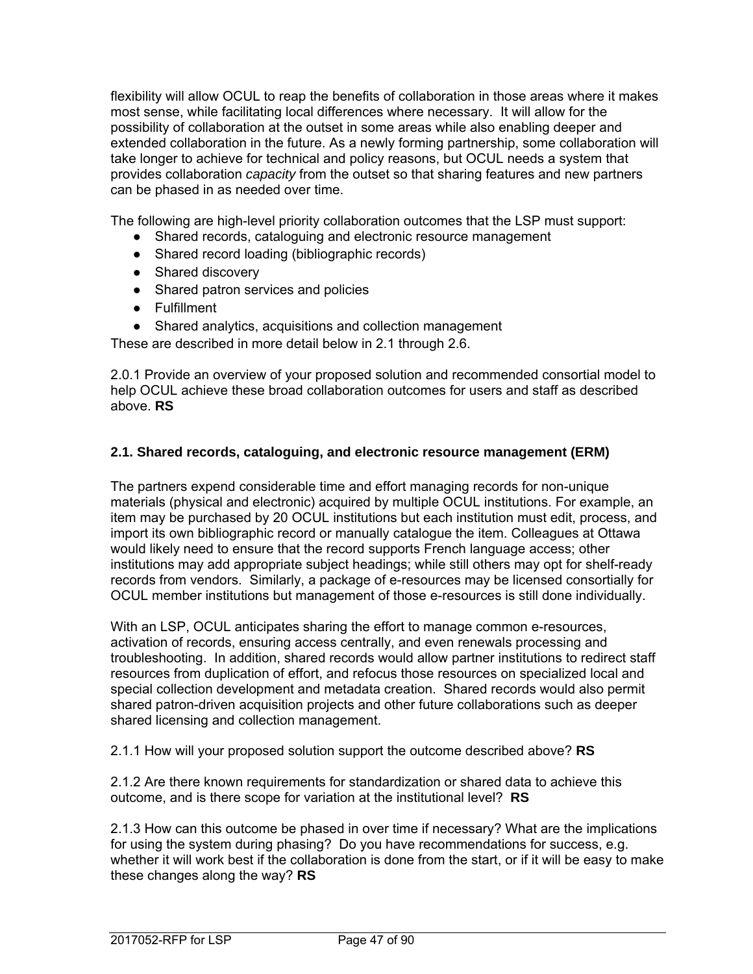flexibility will allow OCUL to reap the benefits of collaboration in those areas where it makes most sense, while facilitating local differences where necessary. It will allow for the possibility of collaboration at the outset in some areas while also enabling deeper and extended collaboration in the future. As a newly forming partnership, some collaboration will take longer to achieve for technical and policy reasons, but OCUL needs a system that provides collaboration *capacity* from the outset so that sharing features and new partners can be phased in as needed over time.

The following are high-level priority collaboration outcomes that the LSP must support:

- Shared records, cataloguing and electronic resource management
- Shared record loading (bibliographic records)
- Shared discovery
- Shared patron services and policies
- Fulfillment
- Shared analytics, acquisitions and collection management

These are described in more detail below in 2.1 through 2.6.

2.0.1 Provide an overview of your proposed solution and recommended consortial model to help OCUL achieve these broad collaboration outcomes for users and staff as described above. **RS** 

## **2.1. Shared records, cataloguing, and electronic resource management (ERM)**

The partners expend considerable time and effort managing records for non-unique materials (physical and electronic) acquired by multiple OCUL institutions. For example, an item may be purchased by 20 OCUL institutions but each institution must edit, process, and import its own bibliographic record or manually catalogue the item. Colleagues at Ottawa would likely need to ensure that the record supports French language access; other institutions may add appropriate subject headings; while still others may opt for shelf-ready records from vendors. Similarly, a package of e-resources may be licensed consortially for OCUL member institutions but management of those e-resources is still done individually.

With an LSP, OCUL anticipates sharing the effort to manage common e-resources, activation of records, ensuring access centrally, and even renewals processing and troubleshooting. In addition, shared records would allow partner institutions to redirect staff resources from duplication of effort, and refocus those resources on specialized local and special collection development and metadata creation. Shared records would also permit shared patron-driven acquisition projects and other future collaborations such as deeper shared licensing and collection management.

2.1.1 How will your proposed solution support the outcome described above? **RS**

2.1.2 Are there known requirements for standardization or shared data to achieve this outcome, and is there scope for variation at the institutional level? **RS**

2.1.3 How can this outcome be phased in over time if necessary? What are the implications for using the system during phasing? Do you have recommendations for success, e.g. whether it will work best if the collaboration is done from the start, or if it will be easy to make these changes along the way? **RS**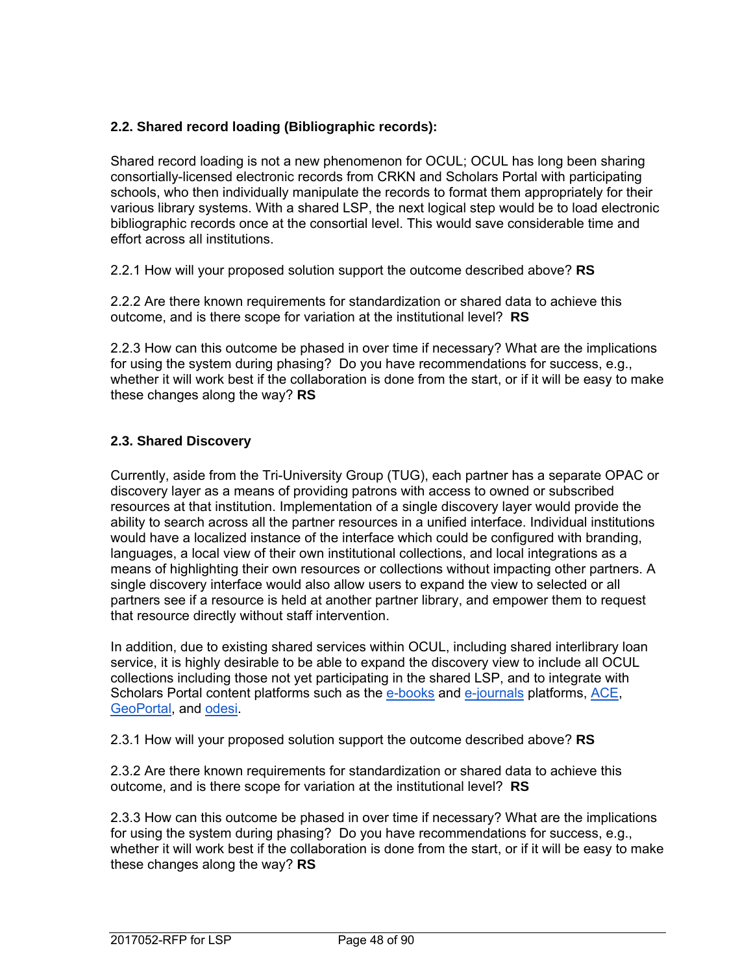# **2.2. Shared record loading (Bibliographic records):**

Shared record loading is not a new phenomenon for OCUL; OCUL has long been sharing consortially-licensed electronic records from CRKN and Scholars Portal with participating schools, who then individually manipulate the records to format them appropriately for their various library systems. With a shared LSP, the next logical step would be to load electronic bibliographic records once at the consortial level. This would save considerable time and effort across all institutions.

2.2.1 How will your proposed solution support the outcome described above? **RS**

2.2.2 Are there known requirements for standardization or shared data to achieve this outcome, and is there scope for variation at the institutional level? **RS**

2.2.3 How can this outcome be phased in over time if necessary? What are the implications for using the system during phasing? Do you have recommendations for success, e.g., whether it will work best if the collaboration is done from the start, or if it will be easy to make these changes along the way? **RS**

# **2.3. Shared Discovery**

Currently, aside from the Tri-University Group (TUG), each partner has a separate OPAC or discovery layer as a means of providing patrons with access to owned or subscribed resources at that institution. Implementation of a single discovery layer would provide the ability to search across all the partner resources in a unified interface. Individual institutions would have a localized instance of the interface which could be configured with branding, languages, a local view of their own institutional collections, and local integrations as a means of highlighting their own resources or collections without impacting other partners. A single discovery interface would also allow users to expand the view to selected or all partners see if a resource is held at another partner library, and empower them to request that resource directly without staff intervention.

In addition, due to existing shared services within OCUL, including shared interlibrary loan service, it is highly desirable to be able to expand the discovery view to include all OCUL collections including those not yet participating in the shared LSP, and to integrate with Scholars Portal content platforms such as the e-books and e-journals platforms, ACE, GeoPortal, and odesi.

2.3.1 How will your proposed solution support the outcome described above? **RS**

2.3.2 Are there known requirements for standardization or shared data to achieve this outcome, and is there scope for variation at the institutional level? **RS**

2.3.3 How can this outcome be phased in over time if necessary? What are the implications for using the system during phasing? Do you have recommendations for success, e.g., whether it will work best if the collaboration is done from the start, or if it will be easy to make these changes along the way? **RS**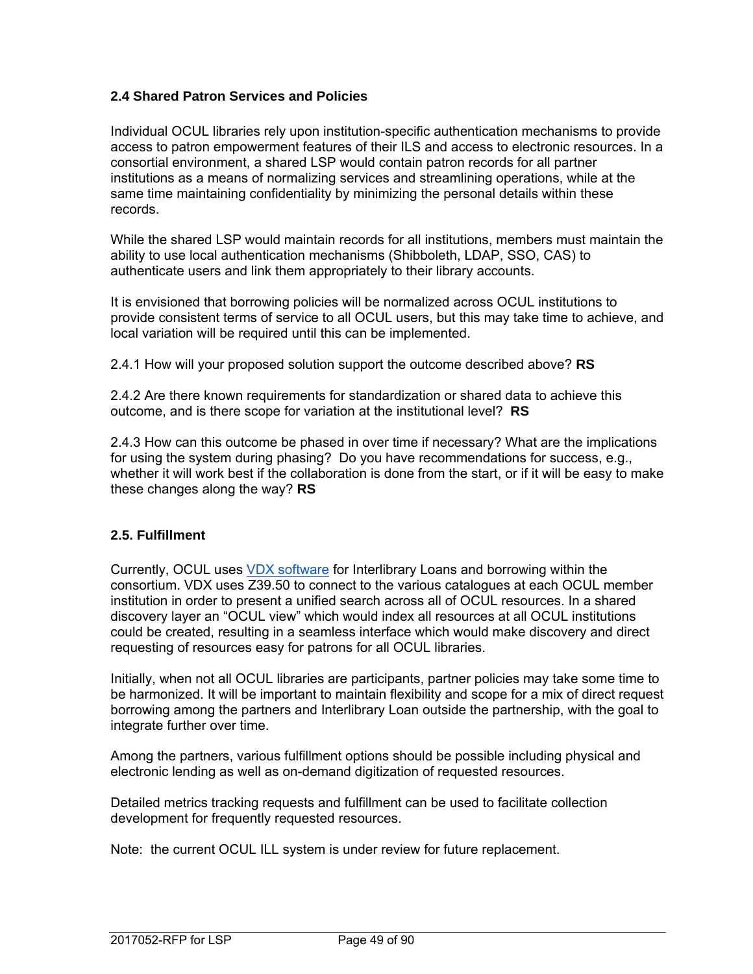# **2.4 Shared Patron Services and Policies**

Individual OCUL libraries rely upon institution-specific authentication mechanisms to provide access to patron empowerment features of their ILS and access to electronic resources. In a consortial environment, a shared LSP would contain patron records for all partner institutions as a means of normalizing services and streamlining operations, while at the same time maintaining confidentiality by minimizing the personal details within these records.

While the shared LSP would maintain records for all institutions, members must maintain the ability to use local authentication mechanisms (Shibboleth, LDAP, SSO, CAS) to authenticate users and link them appropriately to their library accounts.

It is envisioned that borrowing policies will be normalized across OCUL institutions to provide consistent terms of service to all OCUL users, but this may take time to achieve, and local variation will be required until this can be implemented.

2.4.1 How will your proposed solution support the outcome described above? **RS**

2.4.2 Are there known requirements for standardization or shared data to achieve this outcome, and is there scope for variation at the institutional level? **RS**

2.4.3 How can this outcome be phased in over time if necessary? What are the implications for using the system during phasing? Do you have recommendations for success, e.g., whether it will work best if the collaboration is done from the start, or if it will be easy to make these changes along the way? **RS**

## **2.5. Fulfillment**

Currently, OCUL uses VDX software for Interlibrary Loans and borrowing within the consortium. VDX uses Z39.50 to connect to the various catalogues at each OCUL member institution in order to present a unified search across all of OCUL resources. In a shared discovery layer an "OCUL view" which would index all resources at all OCUL institutions could be created, resulting in a seamless interface which would make discovery and direct requesting of resources easy for patrons for all OCUL libraries.

Initially, when not all OCUL libraries are participants, partner policies may take some time to be harmonized. It will be important to maintain flexibility and scope for a mix of direct request borrowing among the partners and Interlibrary Loan outside the partnership, with the goal to integrate further over time.

Among the partners, various fulfillment options should be possible including physical and electronic lending as well as on-demand digitization of requested resources.

Detailed metrics tracking requests and fulfillment can be used to facilitate collection development for frequently requested resources.

Note: the current OCUL ILL system is under review for future replacement.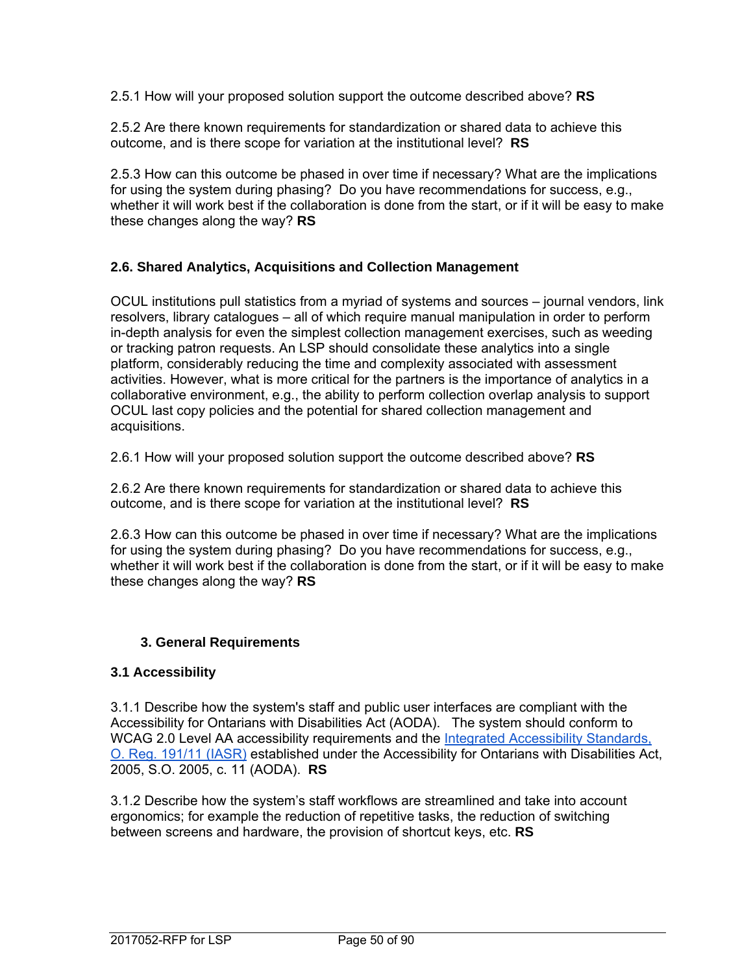2.5.1 How will your proposed solution support the outcome described above? **RS**

2.5.2 Are there known requirements for standardization or shared data to achieve this outcome, and is there scope for variation at the institutional level? **RS**

2.5.3 How can this outcome be phased in over time if necessary? What are the implications for using the system during phasing? Do you have recommendations for success, e.g., whether it will work best if the collaboration is done from the start, or if it will be easy to make these changes along the way? **RS**

# **2.6. Shared Analytics, Acquisitions and Collection Management**

OCUL institutions pull statistics from a myriad of systems and sources – journal vendors, link resolvers, library catalogues – all of which require manual manipulation in order to perform in-depth analysis for even the simplest collection management exercises, such as weeding or tracking patron requests. An LSP should consolidate these analytics into a single platform, considerably reducing the time and complexity associated with assessment activities. However, what is more critical for the partners is the importance of analytics in a collaborative environment, e.g., the ability to perform collection overlap analysis to support OCUL last copy policies and the potential for shared collection management and acquisitions.

2.6.1 How will your proposed solution support the outcome described above? **RS**

2.6.2 Are there known requirements for standardization or shared data to achieve this outcome, and is there scope for variation at the institutional level? **RS**

2.6.3 How can this outcome be phased in over time if necessary? What are the implications for using the system during phasing? Do you have recommendations for success, e.g., whether it will work best if the collaboration is done from the start, or if it will be easy to make these changes along the way? **RS**

## **3. General Requirements**

## **3.1 Accessibility**

3.1.1 Describe how the system's staff and public user interfaces are compliant with the Accessibility for Ontarians with Disabilities Act (AODA). The system should conform to WCAG 2.0 Level AA accessibility requirements and the Integrated Accessibility Standards, O. Reg. 191/11 (IASR) established under the Accessibility for Ontarians with Disabilities Act, 2005, S.O. 2005, c. 11 (AODA). **RS**

3.1.2 Describe how the system's staff workflows are streamlined and take into account ergonomics; for example the reduction of repetitive tasks, the reduction of switching between screens and hardware, the provision of shortcut keys, etc. **RS**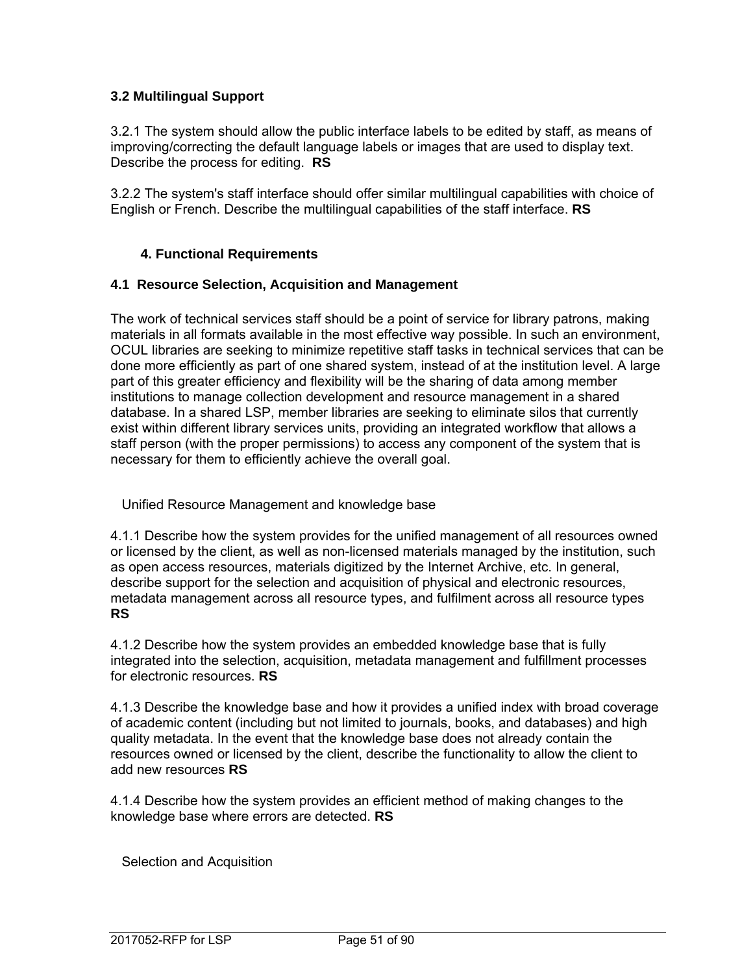# **3.2 Multilingual Support**

3.2.1 The system should allow the public interface labels to be edited by staff, as means of improving/correcting the default language labels or images that are used to display text. Describe the process for editing. **RS**

3.2.2 The system's staff interface should offer similar multilingual capabilities with choice of English or French. Describe the multilingual capabilities of the staff interface. **RS**

# **4. Functional Requirements**

#### **4.1 Resource Selection, Acquisition and Management**

The work of technical services staff should be a point of service for library patrons, making materials in all formats available in the most effective way possible. In such an environment, OCUL libraries are seeking to minimize repetitive staff tasks in technical services that can be done more efficiently as part of one shared system, instead of at the institution level. A large part of this greater efficiency and flexibility will be the sharing of data among member institutions to manage collection development and resource management in a shared database. In a shared LSP, member libraries are seeking to eliminate silos that currently exist within different library services units, providing an integrated workflow that allows a staff person (with the proper permissions) to access any component of the system that is necessary for them to efficiently achieve the overall goal.

Unified Resource Management and knowledge base

4.1.1 Describe how the system provides for the unified management of all resources owned or licensed by the client, as well as non-licensed materials managed by the institution, such as open access resources, materials digitized by the Internet Archive, etc. In general, describe support for the selection and acquisition of physical and electronic resources, metadata management across all resource types, and fulfilment across all resource types **RS**

4.1.2 Describe how the system provides an embedded knowledge base that is fully integrated into the selection, acquisition, metadata management and fulfillment processes for electronic resources. **RS**

4.1.3 Describe the knowledge base and how it provides a unified index with broad coverage of academic content (including but not limited to journals, books, and databases) and high quality metadata. In the event that the knowledge base does not already contain the resources owned or licensed by the client, describe the functionality to allow the client to add new resources **RS**

4.1.4 Describe how the system provides an efficient method of making changes to the knowledge base where errors are detected. **RS**

Selection and Acquisition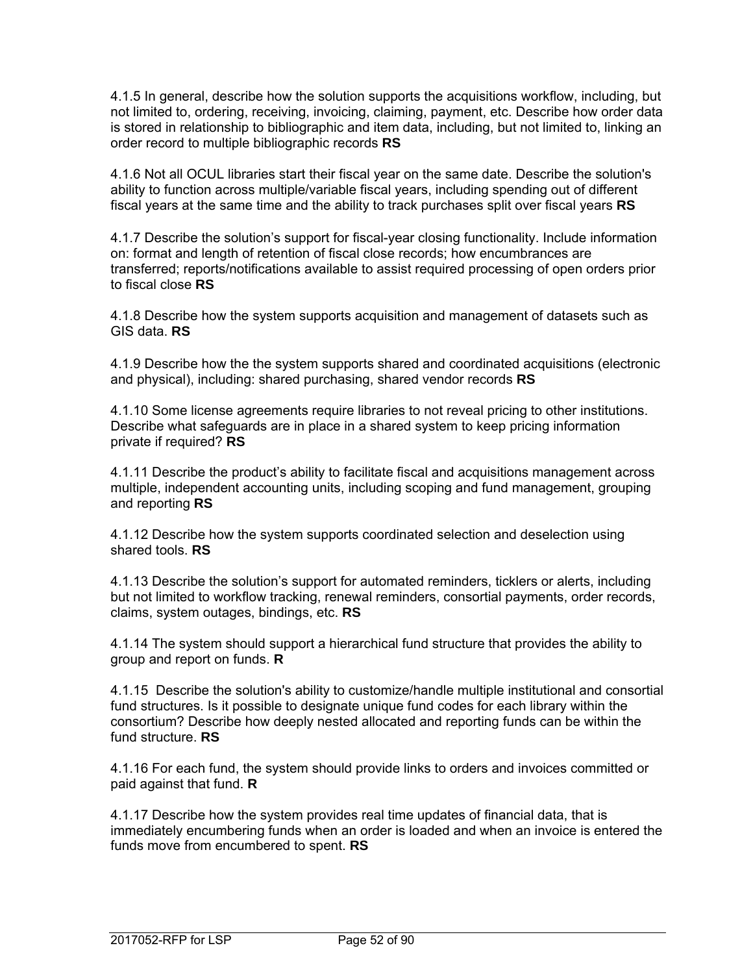4.1.5 In general, describe how the solution supports the acquisitions workflow, including, but not limited to, ordering, receiving, invoicing, claiming, payment, etc. Describe how order data is stored in relationship to bibliographic and item data, including, but not limited to, linking an order record to multiple bibliographic records **RS**

4.1.6 Not all OCUL libraries start their fiscal year on the same date. Describe the solution's ability to function across multiple/variable fiscal years, including spending out of different fiscal years at the same time and the ability to track purchases split over fiscal years **RS**

4.1.7 Describe the solution's support for fiscal-year closing functionality. Include information on: format and length of retention of fiscal close records; how encumbrances are transferred; reports/notifications available to assist required processing of open orders prior to fiscal close **RS**

4.1.8 Describe how the system supports acquisition and management of datasets such as GIS data. **RS**

4.1.9 Describe how the the system supports shared and coordinated acquisitions (electronic and physical), including: shared purchasing, shared vendor records **RS**

4.1.10 Some license agreements require libraries to not reveal pricing to other institutions. Describe what safeguards are in place in a shared system to keep pricing information private if required? **RS**

4.1.11 Describe the product's ability to facilitate fiscal and acquisitions management across multiple, independent accounting units, including scoping and fund management, grouping and reporting **RS**

4.1.12 Describe how the system supports coordinated selection and deselection using shared tools. **RS**

4.1.13 Describe the solution's support for automated reminders, ticklers or alerts, including but not limited to workflow tracking, renewal reminders, consortial payments, order records, claims, system outages, bindings, etc. **RS**

4.1.14 The system should support a hierarchical fund structure that provides the ability to group and report on funds. **R**

4.1.15 Describe the solution's ability to customize/handle multiple institutional and consortial fund structures. Is it possible to designate unique fund codes for each library within the consortium? Describe how deeply nested allocated and reporting funds can be within the fund structure. **RS**

4.1.16 For each fund, the system should provide links to orders and invoices committed or paid against that fund. **R**

4.1.17 Describe how the system provides real time updates of financial data, that is immediately encumbering funds when an order is loaded and when an invoice is entered the funds move from encumbered to spent. **RS**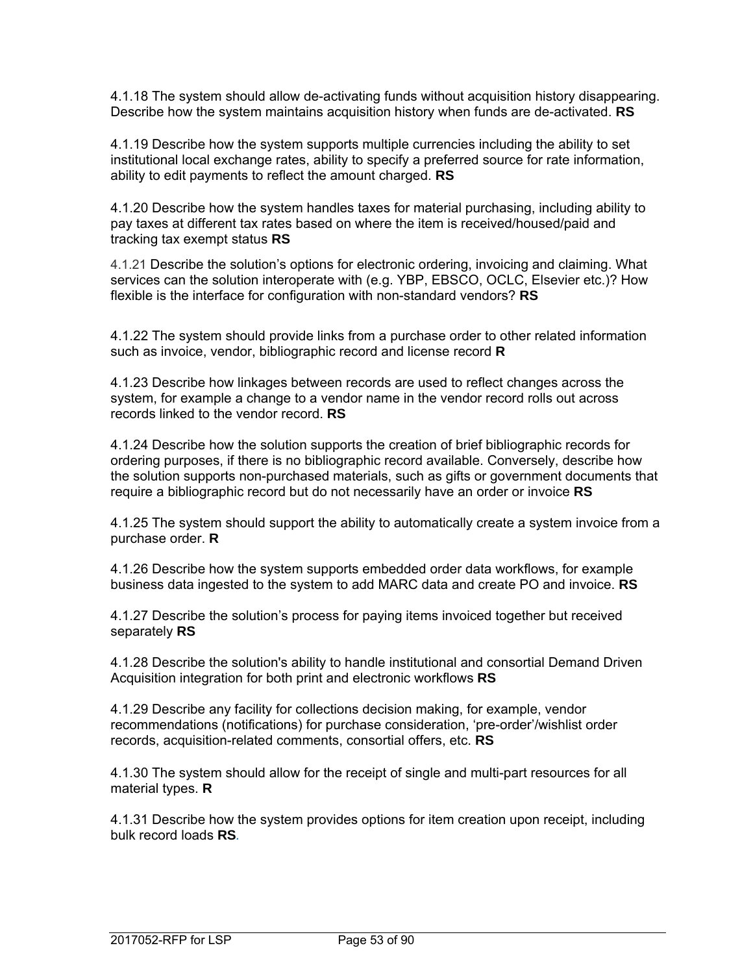4.1.18 The system should allow de-activating funds without acquisition history disappearing. Describe how the system maintains acquisition history when funds are de-activated. **RS**

4.1.19 Describe how the system supports multiple currencies including the ability to set institutional local exchange rates, ability to specify a preferred source for rate information, ability to edit payments to reflect the amount charged. **RS**

4.1.20 Describe how the system handles taxes for material purchasing, including ability to pay taxes at different tax rates based on where the item is received/housed/paid and tracking tax exempt status **RS**

4.1.21 Describe the solution's options for electronic ordering, invoicing and claiming. What services can the solution interoperate with (e.g. YBP, EBSCO, OCLC, Elsevier etc.)? How flexible is the interface for configuration with non-standard vendors? **RS**

4.1.22 The system should provide links from a purchase order to other related information such as invoice, vendor, bibliographic record and license record **R**

4.1.23 Describe how linkages between records are used to reflect changes across the system, for example a change to a vendor name in the vendor record rolls out across records linked to the vendor record. **RS**

4.1.24 Describe how the solution supports the creation of brief bibliographic records for ordering purposes, if there is no bibliographic record available. Conversely, describe how the solution supports non-purchased materials, such as gifts or government documents that require a bibliographic record but do not necessarily have an order or invoice **RS**

4.1.25 The system should support the ability to automatically create a system invoice from a purchase order. **R**

4.1.26 Describe how the system supports embedded order data workflows, for example business data ingested to the system to add MARC data and create PO and invoice. **RS**

4.1.27 Describe the solution's process for paying items invoiced together but received separately **RS**

4.1.28 Describe the solution's ability to handle institutional and consortial Demand Driven Acquisition integration for both print and electronic workflows **RS**

4.1.29 Describe any facility for collections decision making, for example, vendor recommendations (notifications) for purchase consideration, 'pre-order'/wishlist order records, acquisition-related comments, consortial offers, etc. **RS**

4.1.30 The system should allow for the receipt of single and multi-part resources for all material types. **R**

4.1.31 Describe how the system provides options for item creation upon receipt, including bulk record loads **RS***.*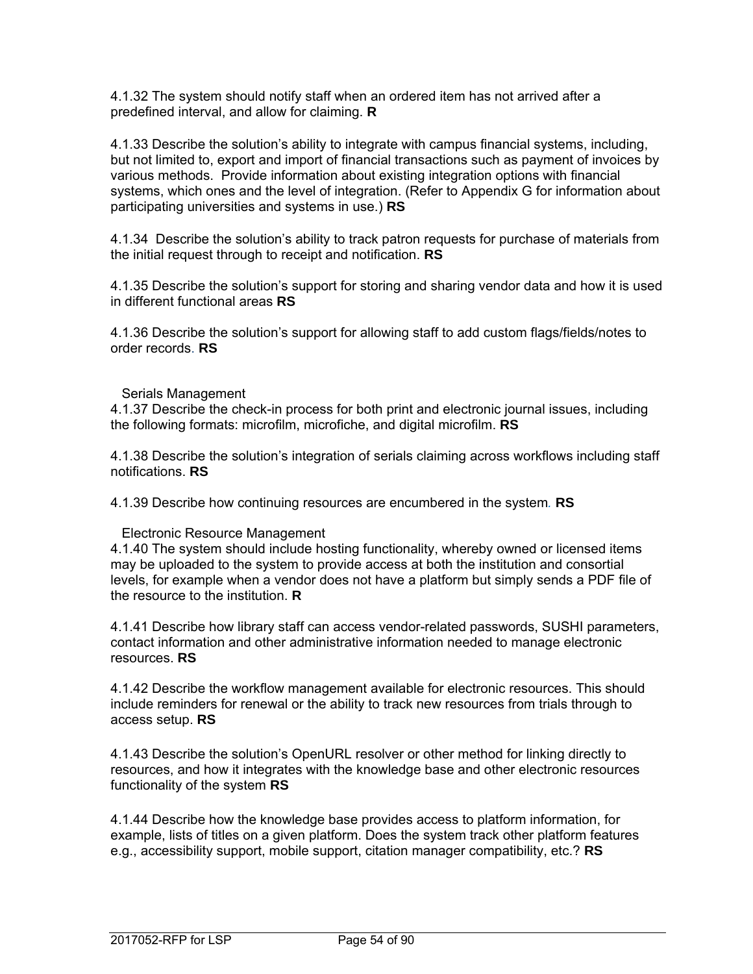4.1.32 The system should notify staff when an ordered item has not arrived after a predefined interval, and allow for claiming. **R** 

4.1.33 Describe the solution's ability to integrate with campus financial systems, including, but not limited to, export and import of financial transactions such as payment of invoices by various methods. Provide information about existing integration options with financial systems, which ones and the level of integration. (Refer to Appendix G for information about participating universities and systems in use.) **RS**

4.1.34 Describe the solution's ability to track patron requests for purchase of materials from the initial request through to receipt and notification. **RS**

4.1.35 Describe the solution's support for storing and sharing vendor data and how it is used in different functional areas **RS**

4.1.36 Describe the solution's support for allowing staff to add custom flags/fields/notes to order records. **RS**

#### Serials Management

4.1.37 Describe the check-in process for both print and electronic journal issues, including the following formats: microfilm, microfiche, and digital microfilm. **RS**

4.1.38 Describe the solution's integration of serials claiming across workflows including staff notifications. **RS**

4.1.39 Describe how continuing resources are encumbered in the system*.* **RS** 

#### Electronic Resource Management

4.1.40 The system should include hosting functionality, whereby owned or licensed items may be uploaded to the system to provide access at both the institution and consortial levels, for example when a vendor does not have a platform but simply sends a PDF file of the resource to the institution. **R**

4.1.41 Describe how library staff can access vendor-related passwords, SUSHI parameters, contact information and other administrative information needed to manage electronic resources. **RS**

4.1.42 Describe the workflow management available for electronic resources. This should include reminders for renewal or the ability to track new resources from trials through to access setup. **RS**

4.1.43 Describe the solution's OpenURL resolver or other method for linking directly to resources, and how it integrates with the knowledge base and other electronic resources functionality of the system **RS**

4.1.44 Describe how the knowledge base provides access to platform information, for example, lists of titles on a given platform. Does the system track other platform features e.g., accessibility support, mobile support, citation manager compatibility, etc.? **RS**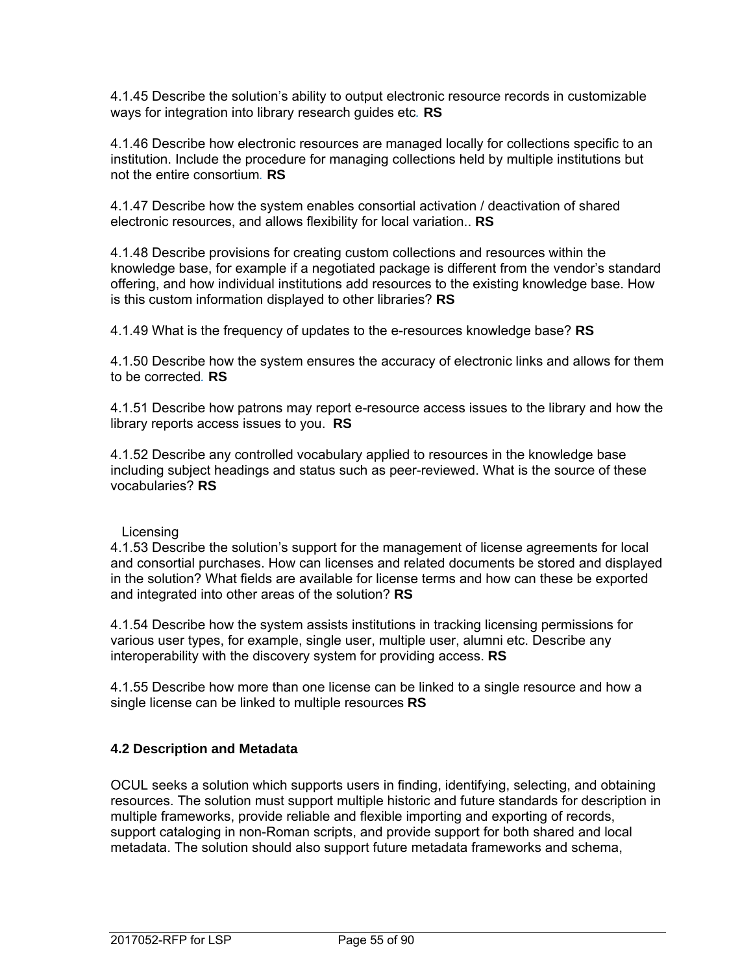4.1.45 Describe the solution's ability to output electronic resource records in customizable ways for integration into library research guides etc*.* **RS**

4.1.46 Describe how electronic resources are managed locally for collections specific to an institution. Include the procedure for managing collections held by multiple institutions but not the entire consortium*.* **RS**

4.1.47 Describe how the system enables consortial activation / deactivation of shared electronic resources, and allows flexibility for local variation.. **RS**

4.1.48 Describe provisions for creating custom collections and resources within the knowledge base, for example if a negotiated package is different from the vendor's standard offering, and how individual institutions add resources to the existing knowledge base. How is this custom information displayed to other libraries? **RS**

4.1.49 What is the frequency of updates to the e-resources knowledge base? **RS**

4.1.50 Describe how the system ensures the accuracy of electronic links and allows for them to be corrected*.* **RS**

4.1.51 Describe how patrons may report e-resource access issues to the library and how the library reports access issues to you. **RS**

4.1.52 Describe any controlled vocabulary applied to resources in the knowledge base including subject headings and status such as peer-reviewed. What is the source of these vocabularies? **RS**

Licensing

4.1.53 Describe the solution's support for the management of license agreements for local and consortial purchases. How can licenses and related documents be stored and displayed in the solution? What fields are available for license terms and how can these be exported and integrated into other areas of the solution? **RS**

4.1.54 Describe how the system assists institutions in tracking licensing permissions for various user types, for example, single user, multiple user, alumni etc. Describe any interoperability with the discovery system for providing access. **RS**

4.1.55 Describe how more than one license can be linked to a single resource and how a single license can be linked to multiple resources **RS**

## **4.2 Description and Metadata**

OCUL seeks a solution which supports users in finding, identifying, selecting, and obtaining resources. The solution must support multiple historic and future standards for description in multiple frameworks, provide reliable and flexible importing and exporting of records, support cataloging in non-Roman scripts, and provide support for both shared and local metadata. The solution should also support future metadata frameworks and schema,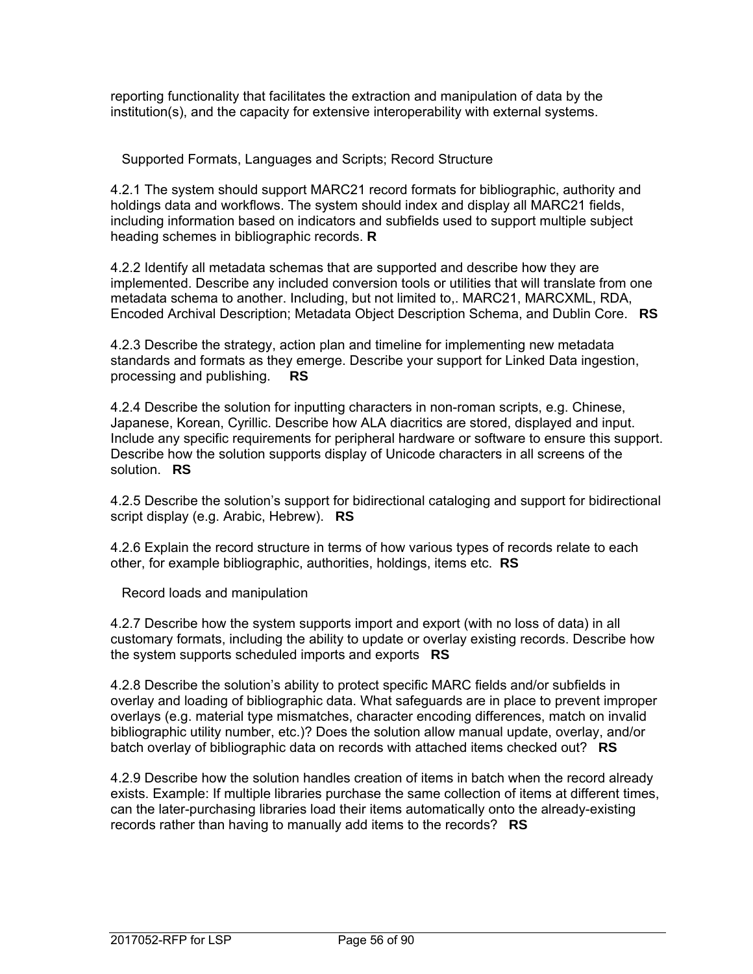reporting functionality that facilitates the extraction and manipulation of data by the institution(s), and the capacity for extensive interoperability with external systems.

Supported Formats, Languages and Scripts; Record Structure

4.2.1 The system should support MARC21 record formats for bibliographic, authority and holdings data and workflows. The system should index and display all MARC21 fields, including information based on indicators and subfields used to support multiple subject heading schemes in bibliographic records. **R** 

4.2.2 Identify all metadata schemas that are supported and describe how they are implemented. Describe any included conversion tools or utilities that will translate from one metadata schema to another. Including, but not limited to,. MARC21, MARCXML, RDA, Encoded Archival Description; Metadata Object Description Schema, and Dublin Core. **RS**

4.2.3 Describe the strategy, action plan and timeline for implementing new metadata standards and formats as they emerge. Describe your support for Linked Data ingestion, processing and publishing. **RS** 

4.2.4 Describe the solution for inputting characters in non-roman scripts, e.g. Chinese, Japanese, Korean, Cyrillic. Describe how ALA diacritics are stored, displayed and input. Include any specific requirements for peripheral hardware or software to ensure this support. Describe how the solution supports display of Unicode characters in all screens of the solution. **RS**

4.2.5 Describe the solution's support for bidirectional cataloging and support for bidirectional script display (e.g. Arabic, Hebrew). **RS**

4.2.6 Explain the record structure in terms of how various types of records relate to each other, for example bibliographic, authorities, holdings, items etc. **RS**

Record loads and manipulation

4.2.7 Describe how the system supports import and export (with no loss of data) in all customary formats, including the ability to update or overlay existing records. Describe how the system supports scheduled imports and exports **RS**

4.2.8 Describe the solution's ability to protect specific MARC fields and/or subfields in overlay and loading of bibliographic data. What safeguards are in place to prevent improper overlays (e.g. material type mismatches, character encoding differences, match on invalid bibliographic utility number, etc.)? Does the solution allow manual update, overlay, and/or batch overlay of bibliographic data on records with attached items checked out? **RS**

4.2.9 Describe how the solution handles creation of items in batch when the record already exists. Example: If multiple libraries purchase the same collection of items at different times, can the later-purchasing libraries load their items automatically onto the already-existing records rather than having to manually add items to the records? **RS**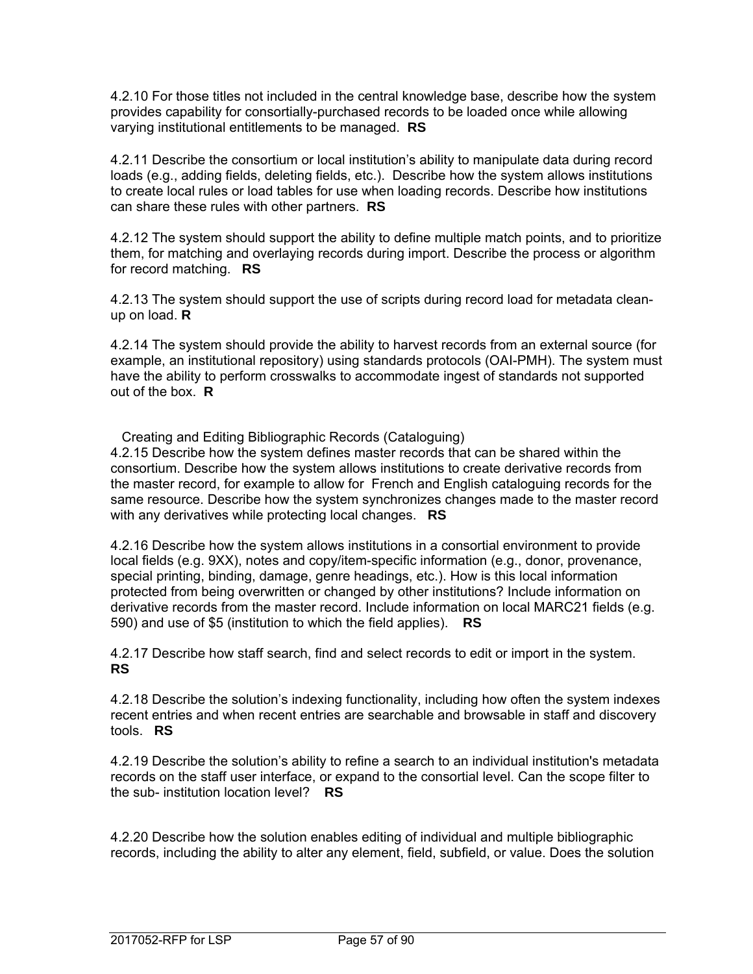4.2.10 For those titles not included in the central knowledge base, describe how the system provides capability for consortially-purchased records to be loaded once while allowing varying institutional entitlements to be managed. **RS**

4.2.11 Describe the consortium or local institution's ability to manipulate data during record loads (e.g., adding fields, deleting fields, etc.). Describe how the system allows institutions to create local rules or load tables for use when loading records. Describe how institutions can share these rules with other partners. **RS**

4.2.12 The system should support the ability to define multiple match points, and to prioritize them, for matching and overlaying records during import. Describe the process or algorithm for record matching. **RS**

4.2.13 The system should support the use of scripts during record load for metadata cleanup on load. **R**

4.2.14 The system should provide the ability to harvest records from an external source (for example, an institutional repository) using standards protocols (OAI-PMH). The system must have the ability to perform crosswalks to accommodate ingest of standards not supported out of the box. **R**

Creating and Editing Bibliographic Records (Cataloguing) 4.2.15 Describe how the system defines master records that can be shared within the consortium. Describe how the system allows institutions to create derivative records from the master record, for example to allow for French and English cataloguing records for the same resource. Describe how the system synchronizes changes made to the master record with any derivatives while protecting local changes. **RS**

4.2.16 Describe how the system allows institutions in a consortial environment to provide local fields (e.g. 9XX), notes and copy/item-specific information (e.g., donor, provenance, special printing, binding, damage, genre headings, etc.). How is this local information protected from being overwritten or changed by other institutions? Include information on derivative records from the master record. Include information on local MARC21 fields (e.g. 590) and use of \$5 (institution to which the field applies). **RS**

4.2.17 Describe how staff search, find and select records to edit or import in the system. **RS**

4.2.18 Describe the solution's indexing functionality, including how often the system indexes recent entries and when recent entries are searchable and browsable in staff and discovery tools. **RS**

4.2.19 Describe the solution's ability to refine a search to an individual institution's metadata records on the staff user interface, or expand to the consortial level. Can the scope filter to the sub- institution location level? **RS**

4.2.20 Describe how the solution enables editing of individual and multiple bibliographic records, including the ability to alter any element, field, subfield, or value. Does the solution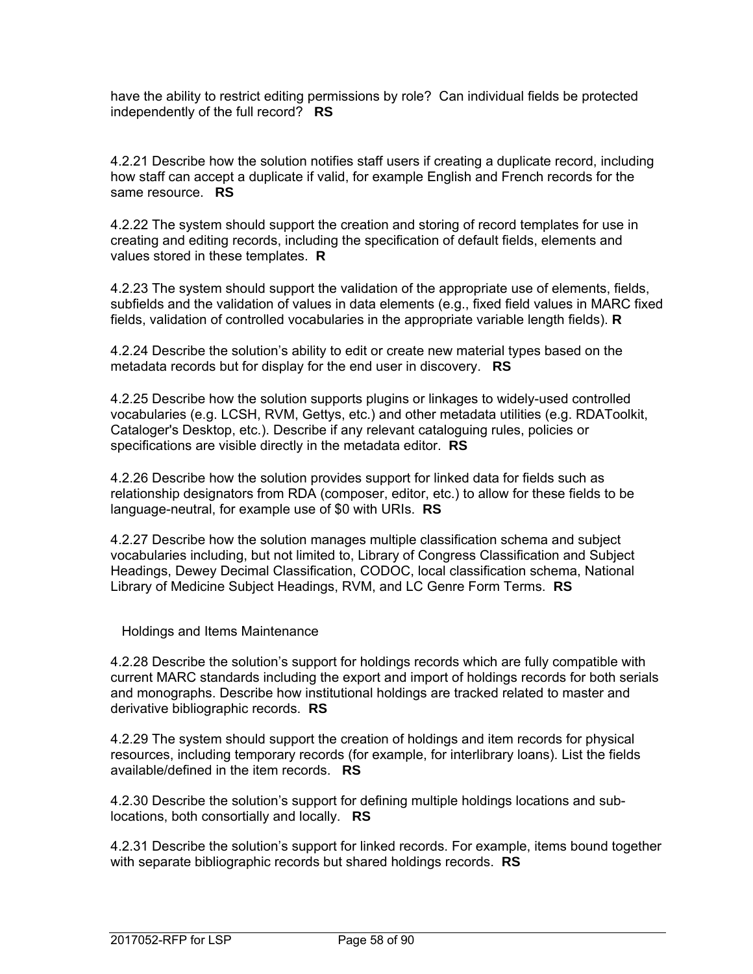have the ability to restrict editing permissions by role? Can individual fields be protected independently of the full record? **RS**

4.2.21 Describe how the solution notifies staff users if creating a duplicate record, including how staff can accept a duplicate if valid, for example English and French records for the same resource. **RS**

4.2.22 The system should support the creation and storing of record templates for use in creating and editing records, including the specification of default fields, elements and values stored in these templates. **R**

4.2.23 The system should support the validation of the appropriate use of elements, fields, subfields and the validation of values in data elements (e.g., fixed field values in MARC fixed fields, validation of controlled vocabularies in the appropriate variable length fields). **R**

4.2.24 Describe the solution's ability to edit or create new material types based on the metadata records but for display for the end user in discovery. **RS**

4.2.25 Describe how the solution supports plugins or linkages to widely-used controlled vocabularies (e.g. LCSH, RVM, Gettys, etc.) and other metadata utilities (e.g. RDAToolkit, Cataloger's Desktop, etc.). Describe if any relevant cataloguing rules, policies or specifications are visible directly in the metadata editor. **RS**

4.2.26 Describe how the solution provides support for linked data for fields such as relationship designators from RDA (composer, editor, etc.) to allow for these fields to be language-neutral, for example use of \$0 with URIs. **RS**

4.2.27 Describe how the solution manages multiple classification schema and subject vocabularies including, but not limited to, Library of Congress Classification and Subject Headings, Dewey Decimal Classification, CODOC, local classification schema, National Library of Medicine Subject Headings, RVM, and LC Genre Form Terms. **RS**

Holdings and Items Maintenance

4.2.28 Describe the solution's support for holdings records which are fully compatible with current MARC standards including the export and import of holdings records for both serials and monographs. Describe how institutional holdings are tracked related to master and derivative bibliographic records. **RS**

4.2.29 The system should support the creation of holdings and item records for physical resources, including temporary records (for example, for interlibrary loans). List the fields available/defined in the item records. **RS** 

4.2.30 Describe the solution's support for defining multiple holdings locations and sublocations, both consortially and locally. **RS**

4.2.31 Describe the solution's support for linked records. For example, items bound together with separate bibliographic records but shared holdings records. **RS**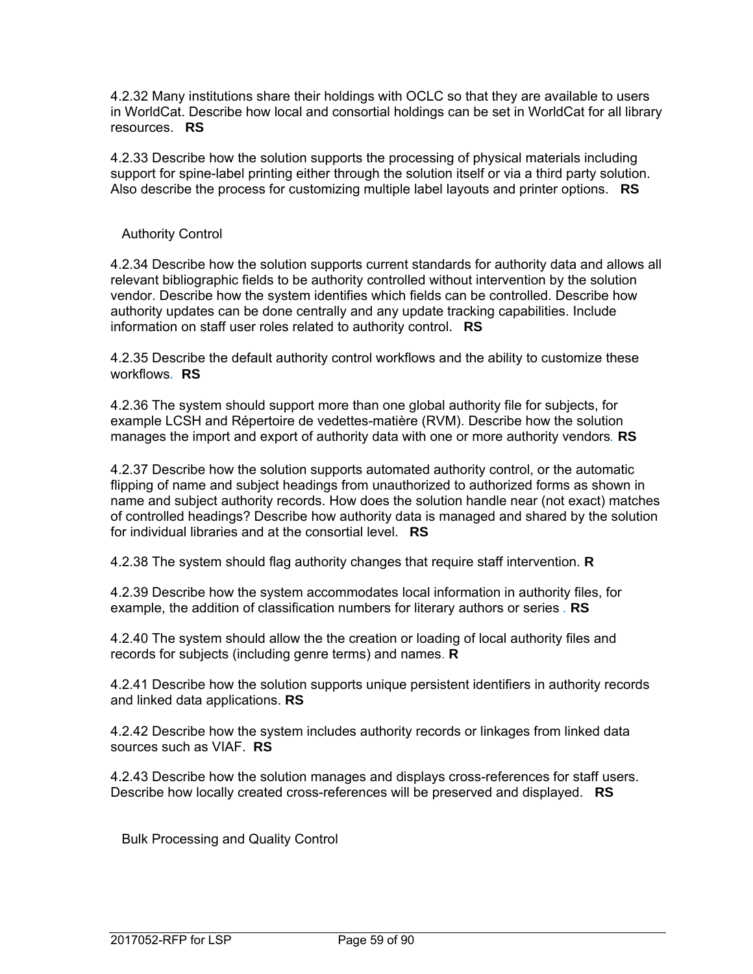4.2.32 Many institutions share their holdings with OCLC so that they are available to users in WorldCat. Describe how local and consortial holdings can be set in WorldCat for all library resources. **RS**

4.2.33 Describe how the solution supports the processing of physical materials including support for spine-label printing either through the solution itself or via a third party solution. Also describe the process for customizing multiple label layouts and printer options. **RS**

# Authority Control

4.2.34 Describe how the solution supports current standards for authority data and allows all relevant bibliographic fields to be authority controlled without intervention by the solution vendor. Describe how the system identifies which fields can be controlled. Describe how authority updates can be done centrally and any update tracking capabilities. Include information on staff user roles related to authority control. **RS**

4.2.35 Describe the default authority control workflows and the ability to customize these workflows*.* **RS** 

4.2.36 The system should support more than one global authority file for subjects, for example LCSH and Répertoire de vedettes-matière (RVM). Describe how the solution manages the import and export of authority data with one or more authority vendors*.* **RS** 

4.2.37 Describe how the solution supports automated authority control, or the automatic flipping of name and subject headings from unauthorized to authorized forms as shown in name and subject authority records. How does the solution handle near (not exact) matches of controlled headings? Describe how authority data is managed and shared by the solution for individual libraries and at the consortial level. **RS**

4.2.38 The system should flag authority changes that require staff intervention. **R**

4.2.39 Describe how the system accommodates local information in authority files, for example, the addition of classification numbers for literary authors or series *.* **RS**

4.2.40 The system should allow the the creation or loading of local authority files and records for subjects (including genre terms) and names. **R**

4.2.41 Describe how the solution supports unique persistent identifiers in authority records and linked data applications. **RS**

4.2.42 Describe how the system includes authority records or linkages from linked data sources such as VIAF. **RS**

4.2.43 Describe how the solution manages and displays cross-references for staff users. Describe how locally created cross-references will be preserved and displayed. **RS**

Bulk Processing and Quality Control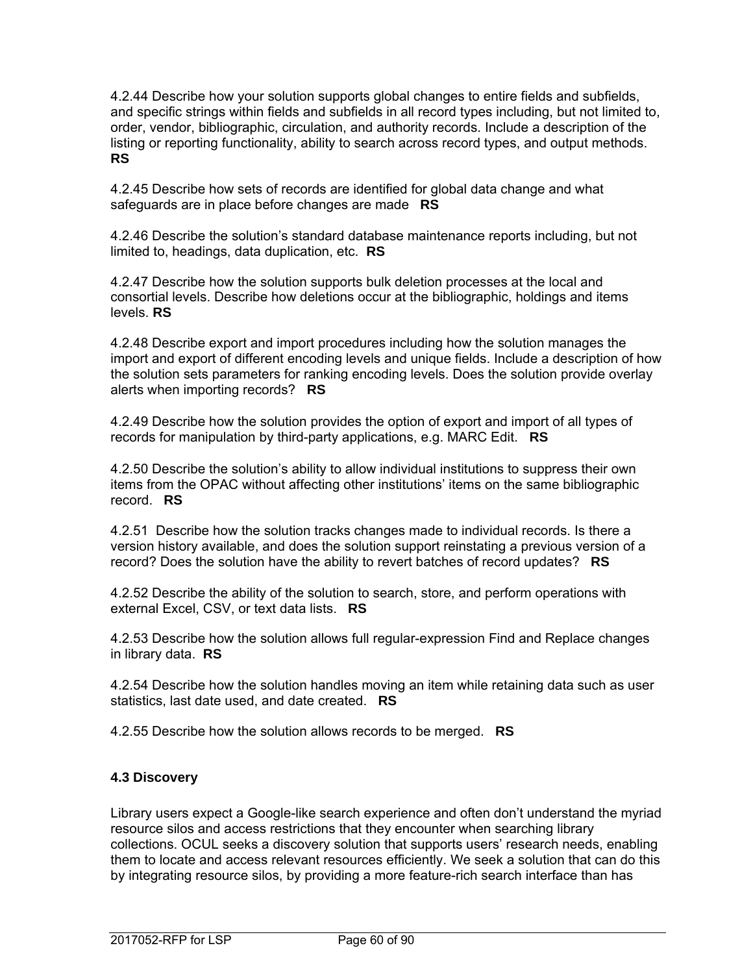4.2.44 Describe how your solution supports global changes to entire fields and subfields, and specific strings within fields and subfields in all record types including, but not limited to, order, vendor, bibliographic, circulation, and authority records. Include a description of the listing or reporting functionality, ability to search across record types, and output methods. **RS**

4.2.45 Describe how sets of records are identified for global data change and what safeguards are in place before changes are made **RS**

4.2.46 Describe the solution's standard database maintenance reports including, but not limited to, headings, data duplication, etc. **RS**

4.2.47 Describe how the solution supports bulk deletion processes at the local and consortial levels. Describe how deletions occur at the bibliographic, holdings and items levels. **RS**

4.2.48 Describe export and import procedures including how the solution manages the import and export of different encoding levels and unique fields. Include a description of how the solution sets parameters for ranking encoding levels. Does the solution provide overlay alerts when importing records? **RS**

4.2.49 Describe how the solution provides the option of export and import of all types of records for manipulation by third-party applications, e.g. MARC Edit. **RS**

4.2.50 Describe the solution's ability to allow individual institutions to suppress their own items from the OPAC without affecting other institutions' items on the same bibliographic record. **RS**

4.2.51 Describe how the solution tracks changes made to individual records. Is there a version history available, and does the solution support reinstating a previous version of a record? Does the solution have the ability to revert batches of record updates? **RS**

4.2.52 Describe the ability of the solution to search, store, and perform operations with external Excel, CSV, or text data lists. **RS**

4.2.53 Describe how the solution allows full regular-expression Find and Replace changes in library data. **RS**

4.2.54 Describe how the solution handles moving an item while retaining data such as user statistics, last date used, and date created. **RS**

4.2.55 Describe how the solution allows records to be merged. **RS**

# **4.3 Discovery**

Library users expect a Google-like search experience and often don't understand the myriad resource silos and access restrictions that they encounter when searching library collections. OCUL seeks a discovery solution that supports users' research needs, enabling them to locate and access relevant resources efficiently. We seek a solution that can do this by integrating resource silos, by providing a more feature-rich search interface than has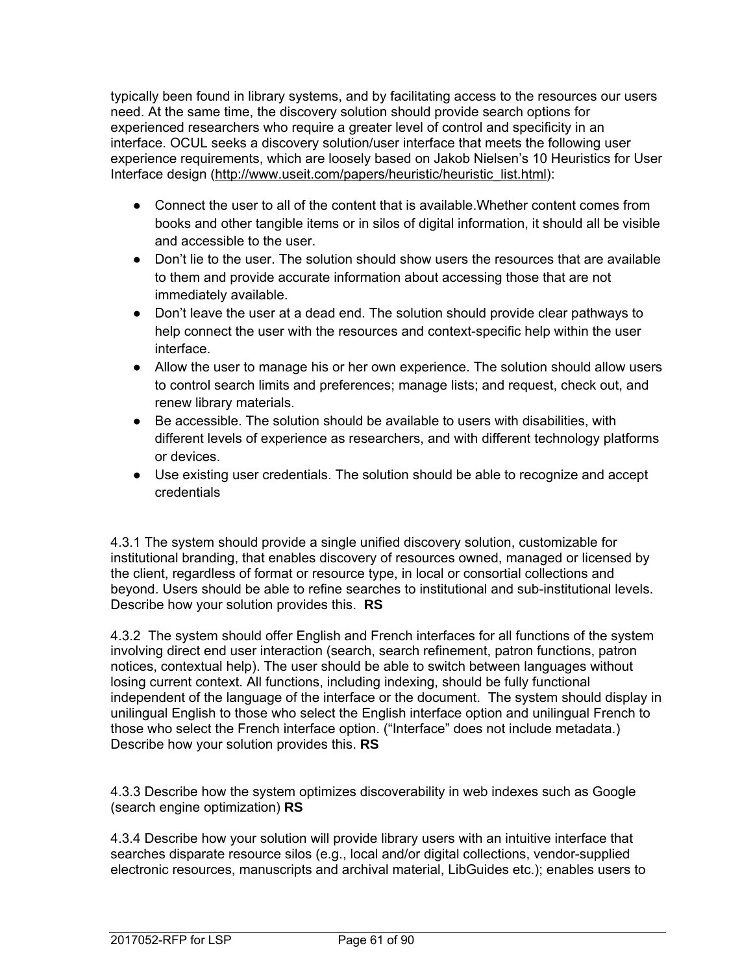typically been found in library systems, and by facilitating access to the resources our users need. At the same time, the discovery solution should provide search options for experienced researchers who require a greater level of control and specificity in an interface. OCUL seeks a discovery solution/user interface that meets the following user experience requirements, which are loosely based on Jakob Nielsen's 10 Heuristics for User Interface design (http://www.useit.com/papers/heuristic/heuristic\_list.html):

- Connect the user to all of the content that is available. Whether content comes from books and other tangible items or in silos of digital information, it should all be visible and accessible to the user.
- Don't lie to the user. The solution should show users the resources that are available to them and provide accurate information about accessing those that are not immediately available.
- Don't leave the user at a dead end. The solution should provide clear pathways to help connect the user with the resources and context-specific help within the user interface.
- Allow the user to manage his or her own experience. The solution should allow users to control search limits and preferences; manage lists; and request, check out, and renew library materials.
- Be accessible. The solution should be available to users with disabilities, with different levels of experience as researchers, and with different technology platforms or devices.
- Use existing user credentials. The solution should be able to recognize and accept credentials

4.3.1 The system should provide a single unified discovery solution, customizable for institutional branding, that enables discovery of resources owned, managed or licensed by the client, regardless of format or resource type, in local or consortial collections and beyond. Users should be able to refine searches to institutional and sub-institutional levels. Describe how your solution provides this. **RS** 

4.3.2 The system should offer English and French interfaces for all functions of the system involving direct end user interaction (search, search refinement, patron functions, patron notices, contextual help). The user should be able to switch between languages without losing current context. All functions, including indexing, should be fully functional independent of the language of the interface or the document. The system should display in unilingual English to those who select the English interface option and unilingual French to those who select the French interface option. ("Interface" does not include metadata.) Describe how your solution provides this. **RS**

4.3.3 Describe how the system optimizes discoverability in web indexes such as Google (search engine optimization) **RS**

4.3.4 Describe how your solution will provide library users with an intuitive interface that searches disparate resource silos (e.g., local and/or digital collections, vendor-supplied electronic resources, manuscripts and archival material, LibGuides etc.); enables users to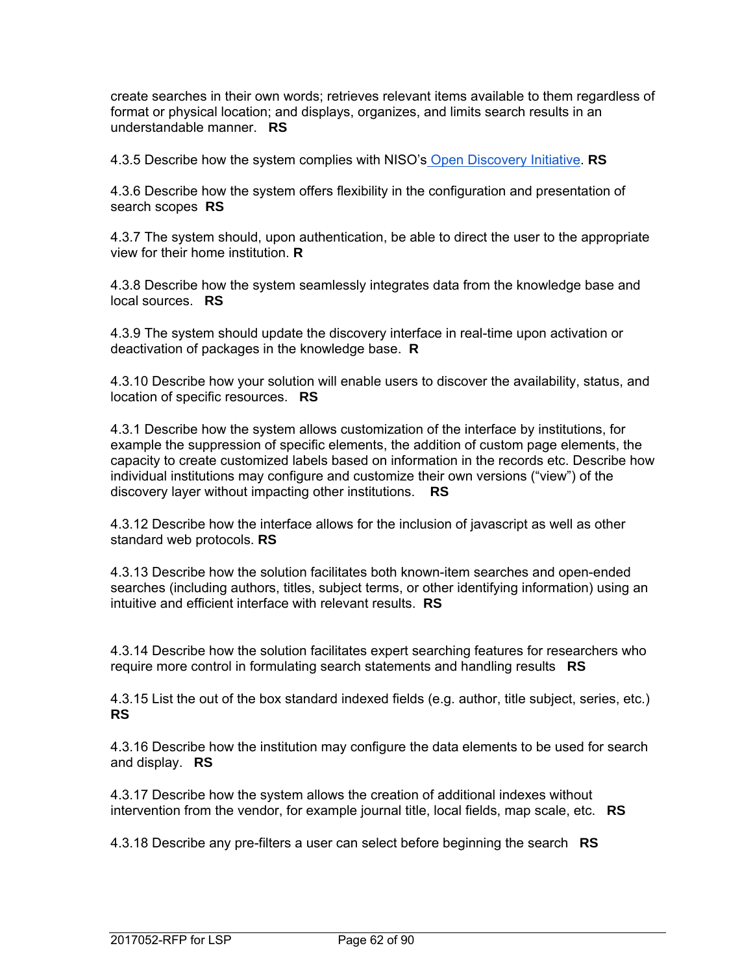create searches in their own words; retrieves relevant items available to them regardless of format or physical location; and displays, organizes, and limits search results in an understandable manner. **RS** 

4.3.5 Describe how the system complies with NISO's Open Discovery Initiative. **RS** 

4.3.6 Describe how the system offers flexibility in the configuration and presentation of search scopes **RS**

4.3.7 The system should, upon authentication, be able to direct the user to the appropriate view for their home institution. **R**

4.3.8 Describe how the system seamlessly integrates data from the knowledge base and local sources. **RS** 

4.3.9 The system should update the discovery interface in real-time upon activation or deactivation of packages in the knowledge base. **R**

4.3.10 Describe how your solution will enable users to discover the availability, status, and location of specific resources. **RS** 

4.3.1 Describe how the system allows customization of the interface by institutions, for example the suppression of specific elements, the addition of custom page elements, the capacity to create customized labels based on information in the records etc. Describe how individual institutions may configure and customize their own versions ("view") of the discovery layer without impacting other institutions. **RS** 

4.3.12 Describe how the interface allows for the inclusion of javascript as well as other standard web protocols. **RS** 

4.3.13 Describe how the solution facilitates both known-item searches and open-ended searches (including authors, titles, subject terms, or other identifying information) using an intuitive and efficient interface with relevant results. **RS** 

4.3.14 Describe how the solution facilitates expert searching features for researchers who require more control in formulating search statements and handling results **RS** 

4.3.15 List the out of the box standard indexed fields (e.g. author, title subject, series, etc.) **RS** 

4.3.16 Describe how the institution may configure the data elements to be used for search and display. **RS** 

4.3.17 Describe how the system allows the creation of additional indexes without intervention from the vendor, for example journal title, local fields, map scale, etc. **RS** 

4.3.18 Describe any pre-filters a user can select before beginning the search **RS**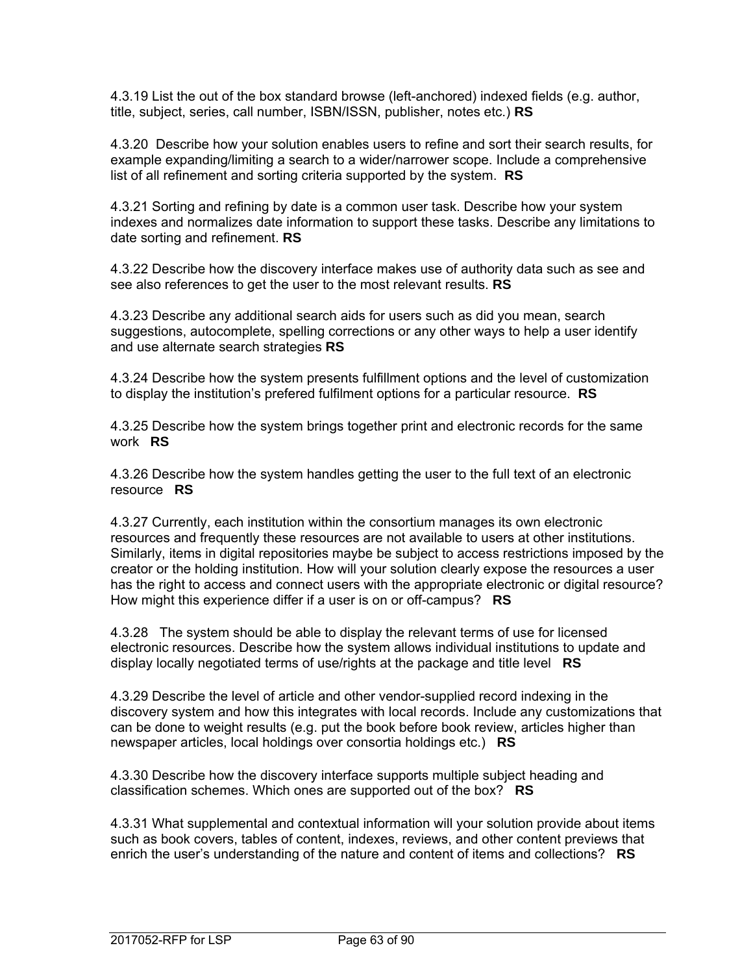4.3.19 List the out of the box standard browse (left-anchored) indexed fields (e.g. author, title, subject, series, call number, ISBN/ISSN, publisher, notes etc.) **RS**

4.3.20 Describe how your solution enables users to refine and sort their search results, for example expanding/limiting a search to a wider/narrower scope. Include a comprehensive list of all refinement and sorting criteria supported by the system. **RS**

4.3.21 Sorting and refining by date is a common user task. Describe how your system indexes and normalizes date information to support these tasks. Describe any limitations to date sorting and refinement. **RS**

4.3.22 Describe how the discovery interface makes use of authority data such as see and see also references to get the user to the most relevant results. **RS**

4.3.23 Describe any additional search aids for users such as did you mean, search suggestions, autocomplete, spelling corrections or any other ways to help a user identify and use alternate search strategies **RS**

4.3.24 Describe how the system presents fulfillment options and the level of customization to display the institution's prefered fulfilment options for a particular resource. **RS** 

4.3.25 Describe how the system brings together print and electronic records for the same work **RS** 

4.3.26 Describe how the system handles getting the user to the full text of an electronic resource **RS** 

4.3.27 Currently, each institution within the consortium manages its own electronic resources and frequently these resources are not available to users at other institutions. Similarly, items in digital repositories maybe be subject to access restrictions imposed by the creator or the holding institution. How will your solution clearly expose the resources a user has the right to access and connect users with the appropriate electronic or digital resource? How might this experience differ if a user is on or off-campus? **RS** 

4.3.28 The system should be able to display the relevant terms of use for licensed electronic resources. Describe how the system allows individual institutions to update and display locally negotiated terms of use/rights at the package and title level **RS**

4.3.29 Describe the level of article and other vendor-supplied record indexing in the discovery system and how this integrates with local records. Include any customizations that can be done to weight results (e.g. put the book before book review, articles higher than newspaper articles, local holdings over consortia holdings etc.) **RS** 

4.3.30 Describe how the discovery interface supports multiple subject heading and classification schemes. Which ones are supported out of the box? **RS** 

4.3.31 What supplemental and contextual information will your solution provide about items such as book covers, tables of content, indexes, reviews, and other content previews that enrich the user's understanding of the nature and content of items and collections? **RS**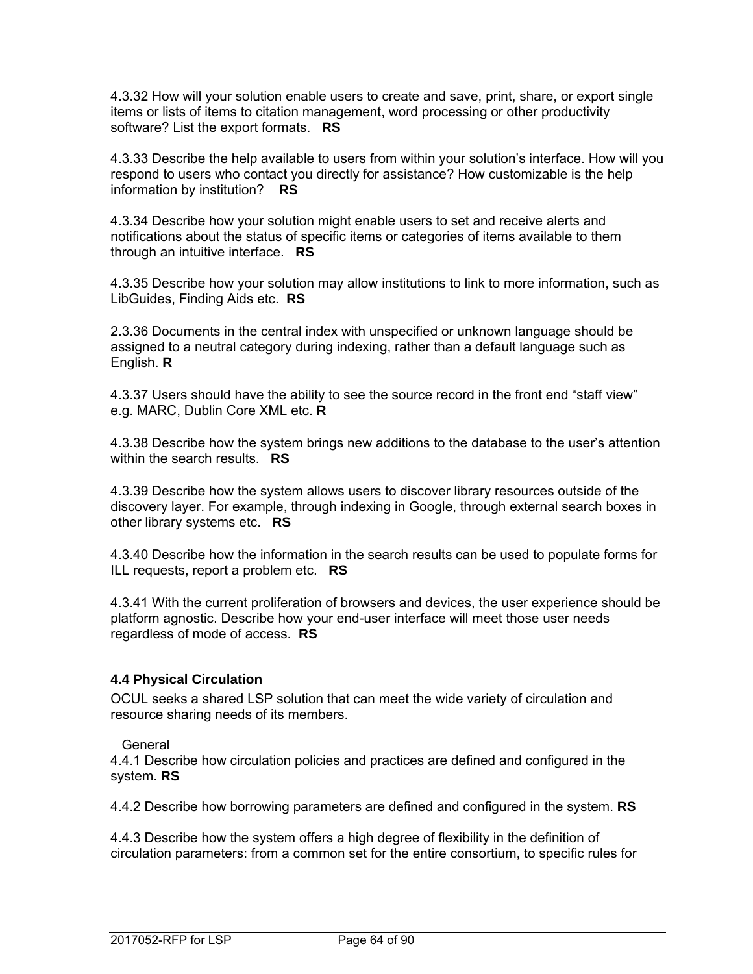4.3.32 How will your solution enable users to create and save, print, share, or export single items or lists of items to citation management, word processing or other productivity software? List the export formats. **RS** 

4.3.33 Describe the help available to users from within your solution's interface. How will you respond to users who contact you directly for assistance? How customizable is the help information by institution? **RS** 

4.3.34 Describe how your solution might enable users to set and receive alerts and notifications about the status of specific items or categories of items available to them through an intuitive interface. **RS** 

4.3.35 Describe how your solution may allow institutions to link to more information, such as LibGuides, Finding Aids etc. **RS** 

2.3.36 Documents in the central index with unspecified or unknown language should be assigned to a neutral category during indexing, rather than a default language such as English. **R**

4.3.37 Users should have the ability to see the source record in the front end "staff view" e.g. MARC, Dublin Core XML etc. **R**

4.3.38 Describe how the system brings new additions to the database to the user's attention within the search results. **RS** 

4.3.39 Describe how the system allows users to discover library resources outside of the discovery layer. For example, through indexing in Google, through external search boxes in other library systems etc. **RS** 

4.3.40 Describe how the information in the search results can be used to populate forms for ILL requests, report a problem etc. **RS** 

4.3.41 With the current proliferation of browsers and devices, the user experience should be platform agnostic. Describe how your end-user interface will meet those user needs regardless of mode of access. **RS**

#### **4.4 Physical Circulation**

OCUL seeks a shared LSP solution that can meet the wide variety of circulation and resource sharing needs of its members.

#### General

4.4.1 Describe how circulation policies and practices are defined and configured in the system. **RS**

4.4.2 Describe how borrowing parameters are defined and configured in the system. **RS**

4.4.3 Describe how the system offers a high degree of flexibility in the definition of circulation parameters: from a common set for the entire consortium, to specific rules for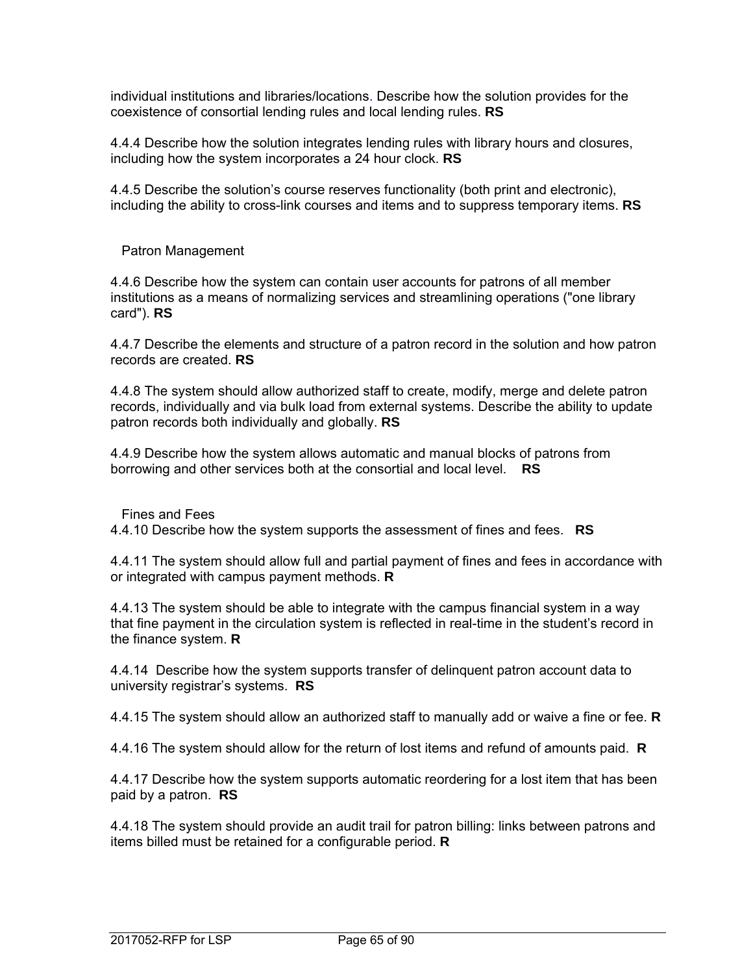individual institutions and libraries/locations. Describe how the solution provides for the coexistence of consortial lending rules and local lending rules. **RS**

4.4.4 Describe how the solution integrates lending rules with library hours and closures, including how the system incorporates a 24 hour clock. **RS**

4.4.5 Describe the solution's course reserves functionality (both print and electronic), including the ability to cross-link courses and items and to suppress temporary items. **RS**

Patron Management

4.4.6 Describe how the system can contain user accounts for patrons of all member institutions as a means of normalizing services and streamlining operations ("one library card"). **RS**

4.4.7 Describe the elements and structure of a patron record in the solution and how patron records are created. **RS**

4.4.8 The system should allow authorized staff to create, modify, merge and delete patron records, individually and via bulk load from external systems. Describe the ability to update patron records both individually and globally. **RS** 

4.4.9 Describe how the system allows automatic and manual blocks of patrons from borrowing and other services both at the consortial and local level. **RS**

Fines and Fees

4.4.10 Describe how the system supports the assessment of fines and fees. **RS**

4.4.11 The system should allow full and partial payment of fines and fees in accordance with or integrated with campus payment methods. **R**

4.4.13 The system should be able to integrate with the campus financial system in a way that fine payment in the circulation system is reflected in real-time in the student's record in the finance system. **R**

4.4.14 Describe how the system supports transfer of delinquent patron account data to university registrar's systems. **RS**

4.4.15 The system should allow an authorized staff to manually add or waive a fine or fee. **R**

4.4.16 The system should allow for the return of lost items and refund of amounts paid. **R**

4.4.17 Describe how the system supports automatic reordering for a lost item that has been paid by a patron. **RS**

4.4.18 The system should provide an audit trail for patron billing: links between patrons and items billed must be retained for a configurable period. **R**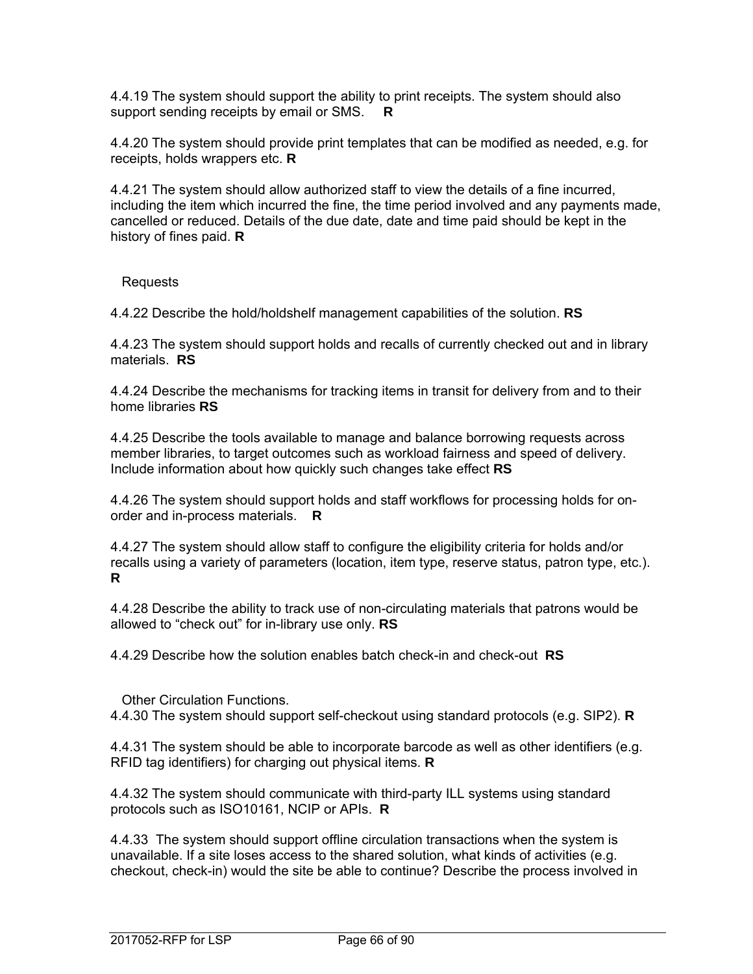4.4.19 The system should support the ability to print receipts. The system should also support sending receipts by email or SMS. **R**

4.4.20 The system should provide print templates that can be modified as needed, e.g. for receipts, holds wrappers etc. **R**

4.4.21 The system should allow authorized staff to view the details of a fine incurred, including the item which incurred the fine, the time period involved and any payments made, cancelled or reduced. Details of the due date, date and time paid should be kept in the history of fines paid. **R**

Requests

4.4.22 Describe the hold/holdshelf management capabilities of the solution. **RS**

4.4.23 The system should support holds and recalls of currently checked out and in library materials. **RS**

4.4.24 Describe the mechanisms for tracking items in transit for delivery from and to their home libraries **RS**

4.4.25 Describe the tools available to manage and balance borrowing requests across member libraries, to target outcomes such as workload fairness and speed of delivery. Include information about how quickly such changes take effect **RS**

4.4.26 The system should support holds and staff workflows for processing holds for onorder and in-process materials. **R**

4.4.27 The system should allow staff to configure the eligibility criteria for holds and/or recalls using a variety of parameters (location, item type, reserve status, patron type, etc.). **R**

4.4.28 Describe the ability to track use of non-circulating materials that patrons would be allowed to "check out" for in-library use only. **RS**

4.4.29 Describe how the solution enables batch check-in and check-out **RS**

Other Circulation Functions.

4.4.30 The system should support self-checkout using standard protocols (e.g. SIP2). **R** 

4.4.31 The system should be able to incorporate barcode as well as other identifiers (e.g. RFID tag identifiers) for charging out physical items. **R** 

4.4.32 The system should communicate with third-party ILL systems using standard protocols such as ISO10161, NCIP or APIs. **R**

4.4.33 The system should support offline circulation transactions when the system is unavailable. If a site loses access to the shared solution, what kinds of activities (e.g. checkout, check-in) would the site be able to continue? Describe the process involved in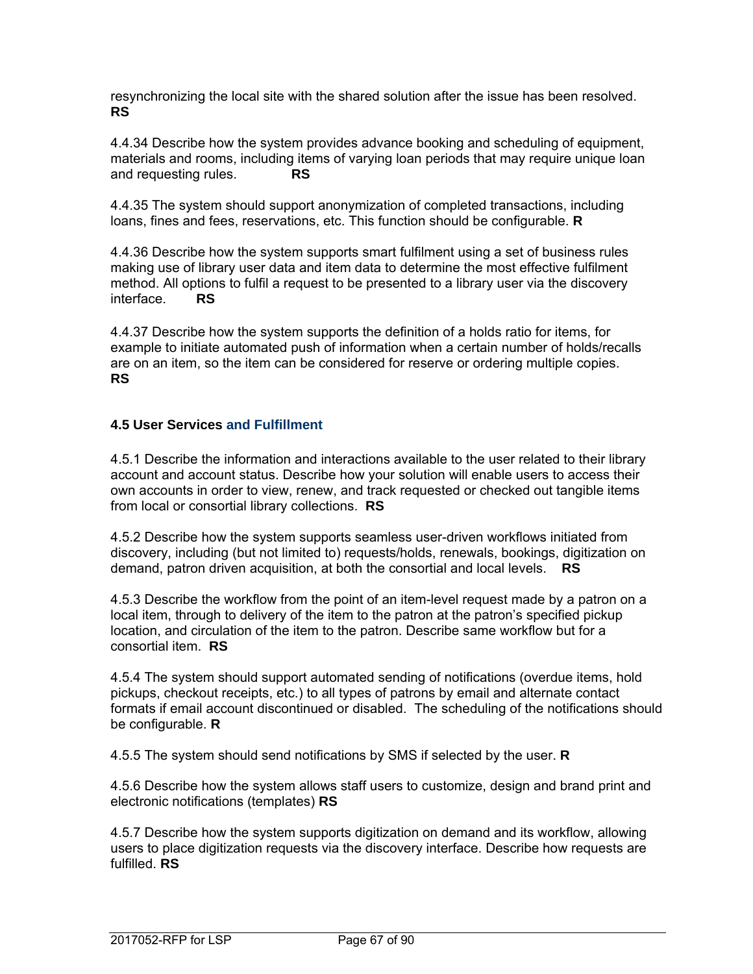resynchronizing the local site with the shared solution after the issue has been resolved. **RS** 

4.4.34 Describe how the system provides advance booking and scheduling of equipment, materials and rooms, including items of varying loan periods that may require unique loan and requesting rules. **RS**

4.4.35 The system should support anonymization of completed transactions, including loans, fines and fees, reservations, etc. This function should be configurable. **R**

4.4.36 Describe how the system supports smart fulfilment using a set of business rules making use of library user data and item data to determine the most effective fulfilment method. All options to fulfil a request to be presented to a library user via the discovery interface. **RS**

4.4.37 Describe how the system supports the definition of a holds ratio for items, for example to initiate automated push of information when a certain number of holds/recalls are on an item, so the item can be considered for reserve or ordering multiple copies. **RS**

## **4.5 User Services and Fulfillment**

4.5.1 Describe the information and interactions available to the user related to their library account and account status. Describe how your solution will enable users to access their own accounts in order to view, renew, and track requested or checked out tangible items from local or consortial library collections. **RS**

4.5.2 Describe how the system supports seamless user-driven workflows initiated from discovery, including (but not limited to) requests/holds, renewals, bookings, digitization on demand, patron driven acquisition, at both the consortial and local levels. **RS** 

4.5.3 Describe the workflow from the point of an item-level request made by a patron on a local item, through to delivery of the item to the patron at the patron's specified pickup location, and circulation of the item to the patron. Describe same workflow but for a consortial item. **RS**

4.5.4 The system should support automated sending of notifications (overdue items, hold pickups, checkout receipts, etc.) to all types of patrons by email and alternate contact formats if email account discontinued or disabled. The scheduling of the notifications should be configurable. **R** 

4.5.5 The system should send notifications by SMS if selected by the user. **R**

4.5.6 Describe how the system allows staff users to customize, design and brand print and electronic notifications (templates) **RS**

4.5.7 Describe how the system supports digitization on demand and its workflow, allowing users to place digitization requests via the discovery interface. Describe how requests are fulfilled. **RS**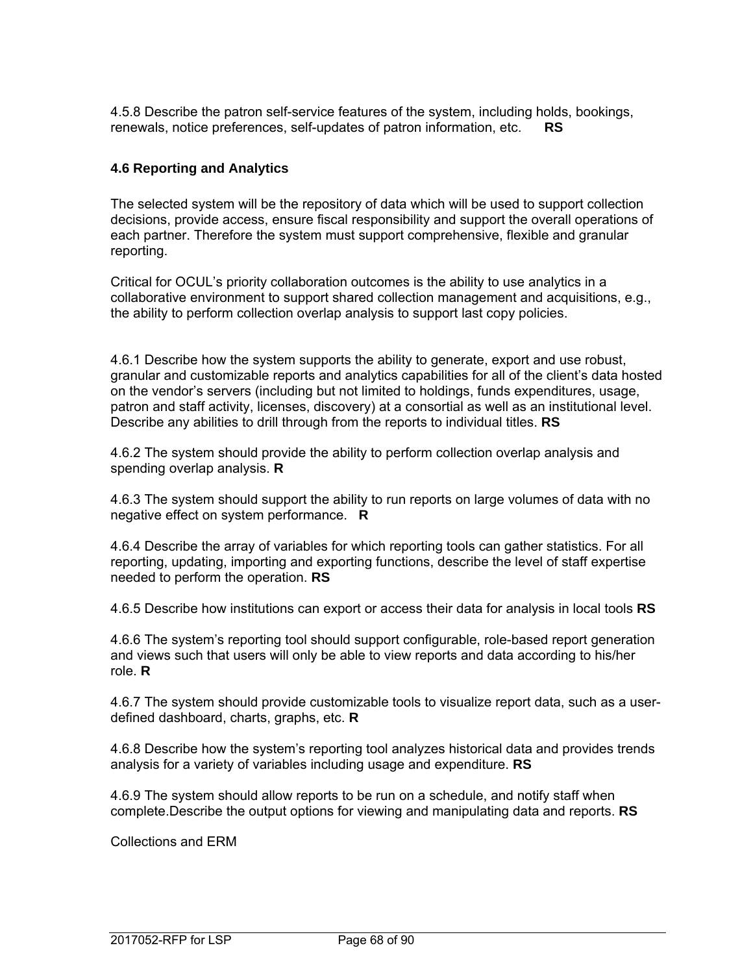4.5.8 Describe the patron self-service features of the system, including holds, bookings, renewals, notice preferences, self-updates of patron information, etc. **RS**

#### **4.6 Reporting and Analytics**

The selected system will be the repository of data which will be used to support collection decisions, provide access, ensure fiscal responsibility and support the overall operations of each partner. Therefore the system must support comprehensive, flexible and granular reporting.

Critical for OCUL's priority collaboration outcomes is the ability to use analytics in a collaborative environment to support shared collection management and acquisitions, e.g., the ability to perform collection overlap analysis to support last copy policies.

4.6.1 Describe how the system supports the ability to generate, export and use robust, granular and customizable reports and analytics capabilities for all of the client's data hosted on the vendor's servers (including but not limited to holdings, funds expenditures, usage, patron and staff activity, licenses, discovery) at a consortial as well as an institutional level. Describe any abilities to drill through from the reports to individual titles. **RS** 

4.6.2 The system should provide the ability to perform collection overlap analysis and spending overlap analysis. **R**

4.6.3 The system should support the ability to run reports on large volumes of data with no negative effect on system performance. **R**

4.6.4 Describe the array of variables for which reporting tools can gather statistics. For all reporting, updating, importing and exporting functions, describe the level of staff expertise needed to perform the operation. **RS**

4.6.5 Describe how institutions can export or access their data for analysis in local tools **RS**

4.6.6 The system's reporting tool should support configurable, role-based report generation and views such that users will only be able to view reports and data according to his/her role. **R**

4.6.7 The system should provide customizable tools to visualize report data, such as a userdefined dashboard, charts, graphs, etc. **R**

4.6.8 Describe how the system's reporting tool analyzes historical data and provides trends analysis for a variety of variables including usage and expenditure. **RS**

4.6.9 The system should allow reports to be run on a schedule, and notify staff when complete.Describe the output options for viewing and manipulating data and reports. **RS**

Collections and ERM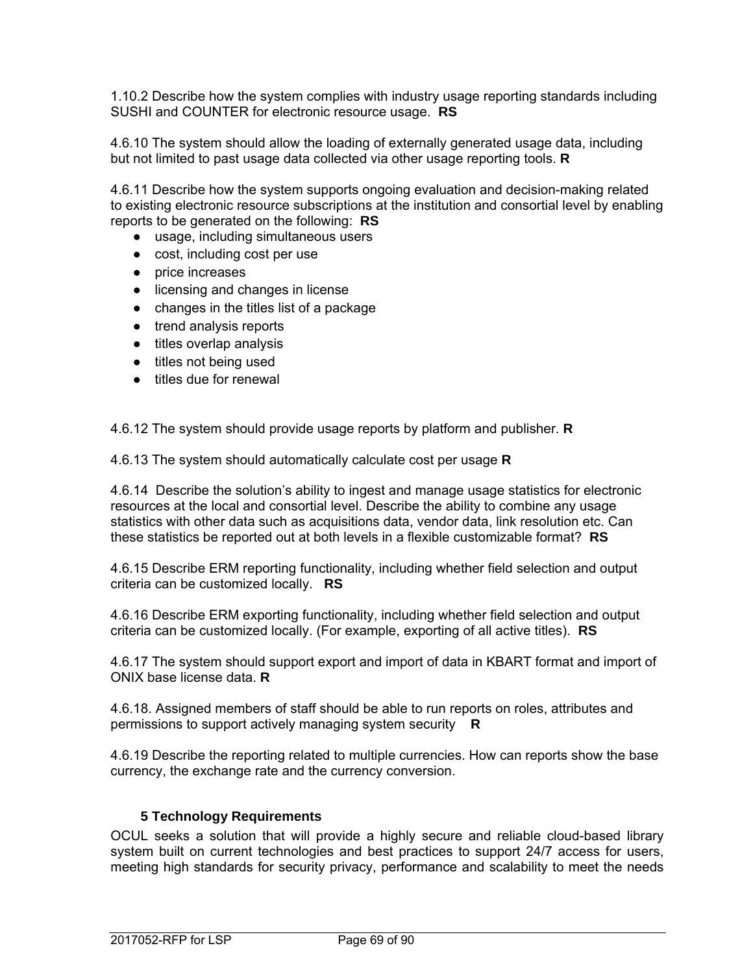1.10.2 Describe how the system complies with industry usage reporting standards including SUSHI and COUNTER for electronic resource usage. **RS**

4.6.10 The system should allow the loading of externally generated usage data, including but not limited to past usage data collected via other usage reporting tools. **R**

4.6.11 Describe how the system supports ongoing evaluation and decision-making related to existing electronic resource subscriptions at the institution and consortial level by enabling reports to be generated on the following: **RS**

- usage, including simultaneous users
- cost, including cost per use
- price increases
- licensing and changes in license
- changes in the titles list of a package
- trend analysis reports
- titles overlap analysis
- titles not being used
- titles due for renewal

4.6.12 The system should provide usage reports by platform and publisher. **R**

4.6.13 The system should automatically calculate cost per usage **R**

4.6.14 Describe the solution's ability to ingest and manage usage statistics for electronic resources at the local and consortial level. Describe the ability to combine any usage statistics with other data such as acquisitions data, vendor data, link resolution etc. Can these statistics be reported out at both levels in a flexible customizable format? **RS**

4.6.15 Describe ERM reporting functionality, including whether field selection and output criteria can be customized locally. **RS**

4.6.16 Describe ERM exporting functionality, including whether field selection and output criteria can be customized locally. (For example, exporting of all active titles). **RS**

4.6.17 The system should support export and import of data in KBART format and import of ONIX base license data. **R**

4.6.18. Assigned members of staff should be able to run reports on roles, attributes and permissions to support actively managing system security **R**

4.6.19 Describe the reporting related to multiple currencies. How can reports show the base currency, the exchange rate and the currency conversion.

## **5 Technology Requirements**

OCUL seeks a solution that will provide a highly secure and reliable cloud-based library system built on current technologies and best practices to support 24/7 access for users, meeting high standards for security privacy, performance and scalability to meet the needs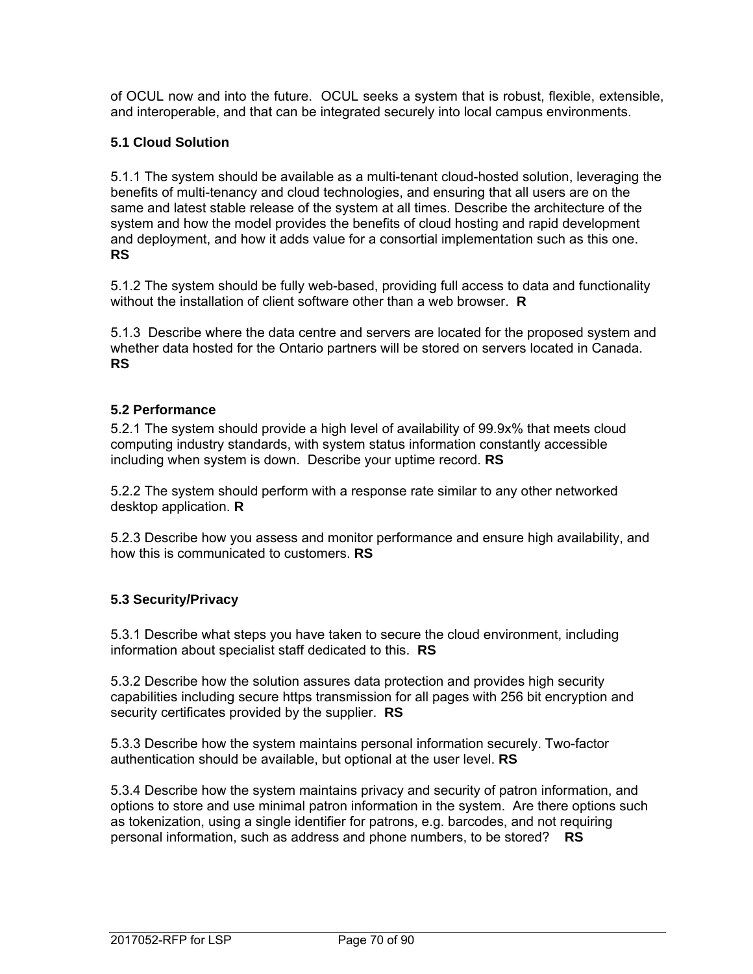of OCUL now and into the future. OCUL seeks a system that is robust, flexible, extensible, and interoperable, and that can be integrated securely into local campus environments.

# **5.1 Cloud Solution**

5.1.1 The system should be available as a multi-tenant cloud-hosted solution, leveraging the benefits of multi-tenancy and cloud technologies, and ensuring that all users are on the same and latest stable release of the system at all times. Describe the architecture of the system and how the model provides the benefits of cloud hosting and rapid development and deployment, and how it adds value for a consortial implementation such as this one. **RS**

5.1.2 The system should be fully web-based, providing full access to data and functionality without the installation of client software other than a web browser. **R** 

5.1.3 Describe where the data centre and servers are located for the proposed system and whether data hosted for the Ontario partners will be stored on servers located in Canada. **RS** 

## **5.2 Performance**

5.2.1 The system should provide a high level of availability of 99.9x% that meets cloud computing industry standards, with system status information constantly accessible including when system is down. Describe your uptime record. **RS**

5.2.2 The system should perform with a response rate similar to any other networked desktop application. **R**

5.2.3 Describe how you assess and monitor performance and ensure high availability, and how this is communicated to customers. **RS**

## **5.3 Security/Privacy**

5.3.1 Describe what steps you have taken to secure the cloud environment, including information about specialist staff dedicated to this. **RS**

5.3.2 Describe how the solution assures data protection and provides high security capabilities including secure https transmission for all pages with 256 bit encryption and security certificates provided by the supplier. **RS**

5.3.3 Describe how the system maintains personal information securely. Two-factor authentication should be available, but optional at the user level. **RS**

5.3.4 Describe how the system maintains privacy and security of patron information, and options to store and use minimal patron information in the system. Are there options such as tokenization, using a single identifier for patrons, e.g. barcodes, and not requiring personal information, such as address and phone numbers, to be stored? **RS**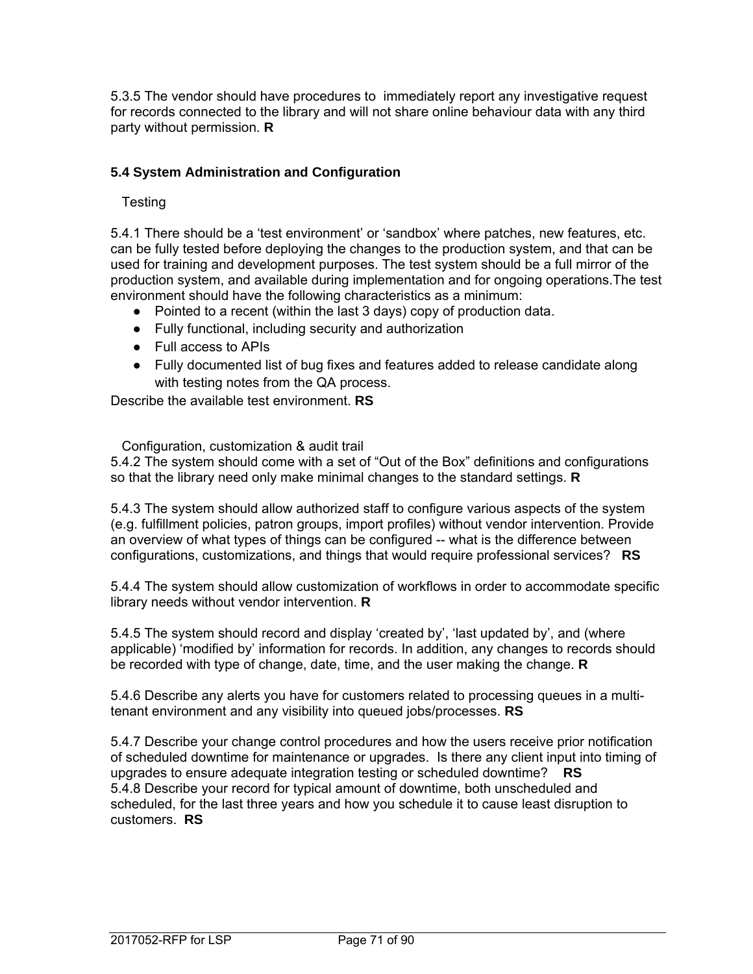5.3.5 The vendor should have procedures to immediately report any investigative request for records connected to the library and will not share online behaviour data with any third party without permission. **R**

# **5.4 System Administration and Configuration**

# **Testing**

5.4.1 There should be a 'test environment' or 'sandbox' where patches, new features, etc. can be fully tested before deploying the changes to the production system, and that can be used for training and development purposes. The test system should be a full mirror of the production system, and available during implementation and for ongoing operations.The test environment should have the following characteristics as a minimum:

- Pointed to a recent (within the last 3 days) copy of production data.
- Fully functional, including security and authorization
- Full access to APIs
- Fully documented list of bug fixes and features added to release candidate along with testing notes from the QA process.

Describe the available test environment. **RS**

Configuration, customization & audit trail

5.4.2 The system should come with a set of "Out of the Box" definitions and configurations so that the library need only make minimal changes to the standard settings. **R**

5.4.3 The system should allow authorized staff to configure various aspects of the system (e.g. fulfillment policies, patron groups, import profiles) without vendor intervention. Provide an overview of what types of things can be configured -- what is the difference between configurations, customizations, and things that would require professional services? **RS**

5.4.4 The system should allow customization of workflows in order to accommodate specific library needs without vendor intervention. **R**

5.4.5 The system should record and display 'created by', 'last updated by', and (where applicable) 'modified by' information for records. In addition, any changes to records should be recorded with type of change, date, time, and the user making the change. **R** 

5.4.6 Describe any alerts you have for customers related to processing queues in a multitenant environment and any visibility into queued jobs/processes. **RS**

5.4.7 Describe your change control procedures and how the users receive prior notification of scheduled downtime for maintenance or upgrades. Is there any client input into timing of upgrades to ensure adequate integration testing or scheduled downtime? **RS**  5.4.8 Describe your record for typical amount of downtime, both unscheduled and scheduled, for the last three years and how you schedule it to cause least disruption to customers. **RS**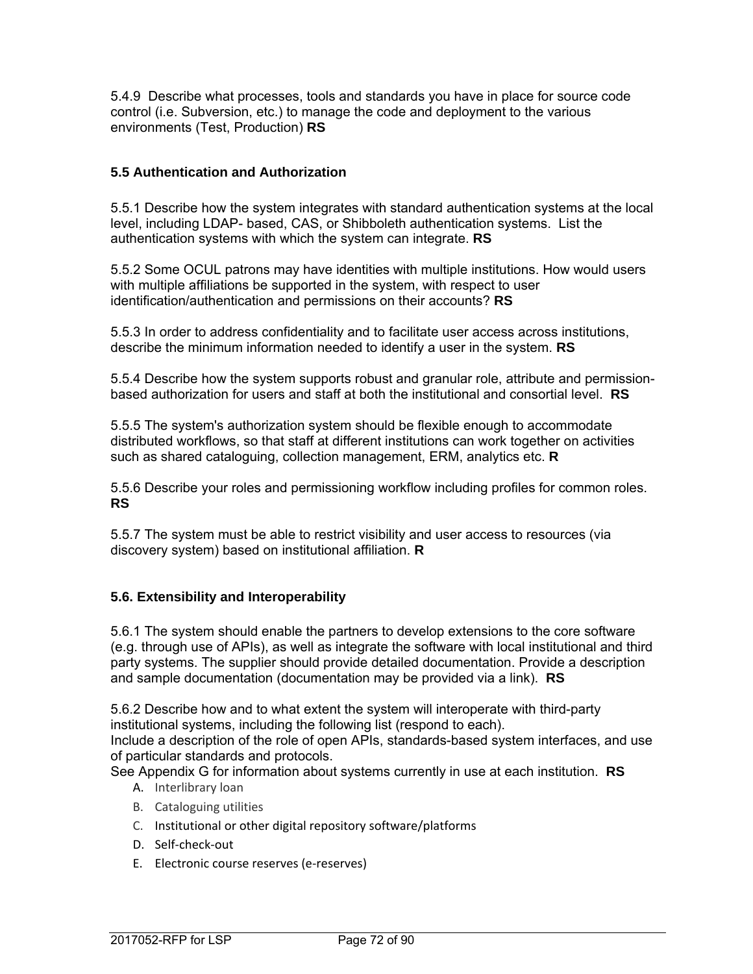5.4.9 Describe what processes, tools and standards you have in place for source code control (i.e. Subversion, etc.) to manage the code and deployment to the various environments (Test, Production) **RS**

## **5.5 Authentication and Authorization**

5.5.1 Describe how the system integrates with standard authentication systems at the local level, including LDAP- based, CAS, or Shibboleth authentication systems. List the authentication systems with which the system can integrate. **RS**

5.5.2 Some OCUL patrons may have identities with multiple institutions. How would users with multiple affiliations be supported in the system, with respect to user identification/authentication and permissions on their accounts? **RS**

5.5.3 In order to address confidentiality and to facilitate user access across institutions, describe the minimum information needed to identify a user in the system. **RS**

5.5.4 Describe how the system supports robust and granular role, attribute and permissionbased authorization for users and staff at both the institutional and consortial level. **RS** 

5.5.5 The system's authorization system should be flexible enough to accommodate distributed workflows, so that staff at different institutions can work together on activities such as shared cataloguing, collection management, ERM, analytics etc. **R**

5.5.6 Describe your roles and permissioning workflow including profiles for common roles. **RS**

5.5.7 The system must be able to restrict visibility and user access to resources (via discovery system) based on institutional affiliation. **R**

### **5.6. Extensibility and Interoperability**

5.6.1 The system should enable the partners to develop extensions to the core software (e.g. through use of APIs), as well as integrate the software with local institutional and third party systems. The supplier should provide detailed documentation. Provide a description and sample documentation (documentation may be provided via a link). **RS**

5.6.2 Describe how and to what extent the system will interoperate with third-party institutional systems, including the following list (respond to each).

Include a description of the role of open APIs, standards-based system interfaces, and use of particular standards and protocols.

See Appendix G for information about systems currently in use at each institution. **RS**

- A. Interlibrary loan
- B. Cataloguing utilities
- C. Institutional or other digital repository software/platforms
- D. Self‐check‐out
- E. Electronic course reserves (e‐reserves)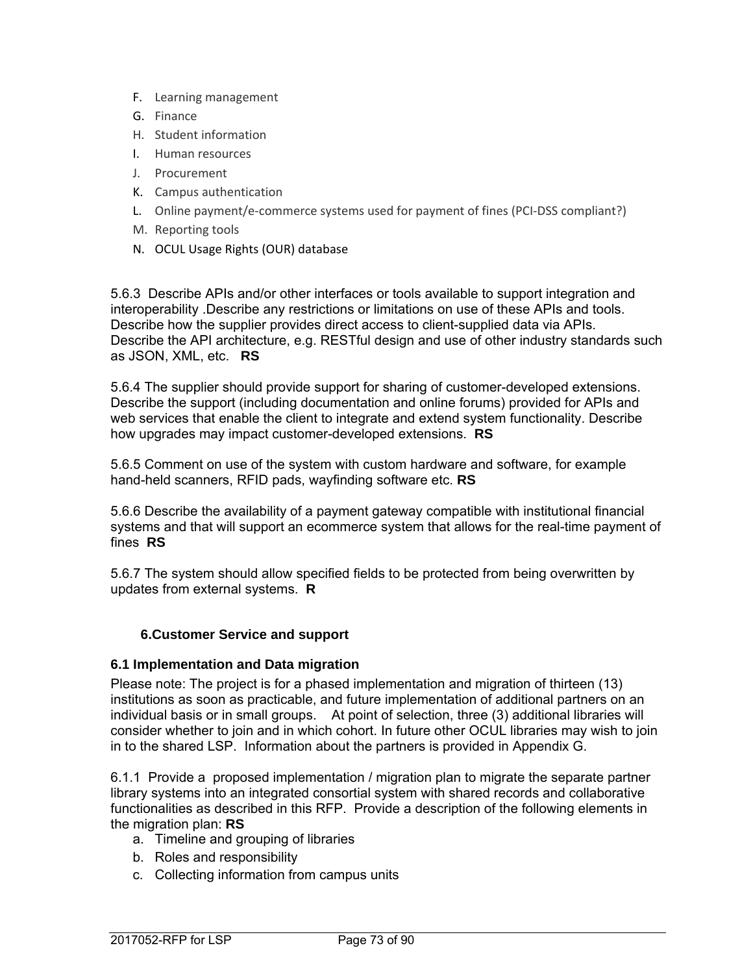- F. Learning management
- G. Finance
- H. Student information
- I. Human resources
- J. Procurement
- K. Campus authentication
- L. Online payment/e‐commerce systems used for payment of fines (PCI‐DSS compliant?)
- M. Reporting tools
- N. OCUL Usage Rights (OUR) database

5.6.3 Describe APIs and/or other interfaces or tools available to support integration and interoperability .Describe any restrictions or limitations on use of these APIs and tools. Describe how the supplier provides direct access to client-supplied data via APIs. Describe the API architecture, e.g. RESTful design and use of other industry standards such as JSON, XML, etc. **RS**

5.6.4 The supplier should provide support for sharing of customer-developed extensions. Describe the support (including documentation and online forums) provided for APIs and web services that enable the client to integrate and extend system functionality. Describe how upgrades may impact customer-developed extensions. **RS**

5.6.5 Comment on use of the system with custom hardware and software, for example hand-held scanners, RFID pads, wayfinding software etc. **RS**

5.6.6 Describe the availability of a payment gateway compatible with institutional financial systems and that will support an ecommerce system that allows for the real-time payment of fines **RS**

5.6.7 The system should allow specified fields to be protected from being overwritten by updates from external systems. **R**

### **6.Customer Service and support**

### **6.1 Implementation and Data migration**

Please note: The project is for a phased implementation and migration of thirteen (13) institutions as soon as practicable, and future implementation of additional partners on an individual basis or in small groups. At point of selection, three (3) additional libraries will consider whether to join and in which cohort. In future other OCUL libraries may wish to join in to the shared LSP. Information about the partners is provided in Appendix G.

6.1.1 Provide a proposed implementation / migration plan to migrate the separate partner library systems into an integrated consortial system with shared records and collaborative functionalities as described in this RFP. Provide a description of the following elements in the migration plan: **RS**

- a. Timeline and grouping of libraries
- b. Roles and responsibility
- c. Collecting information from campus units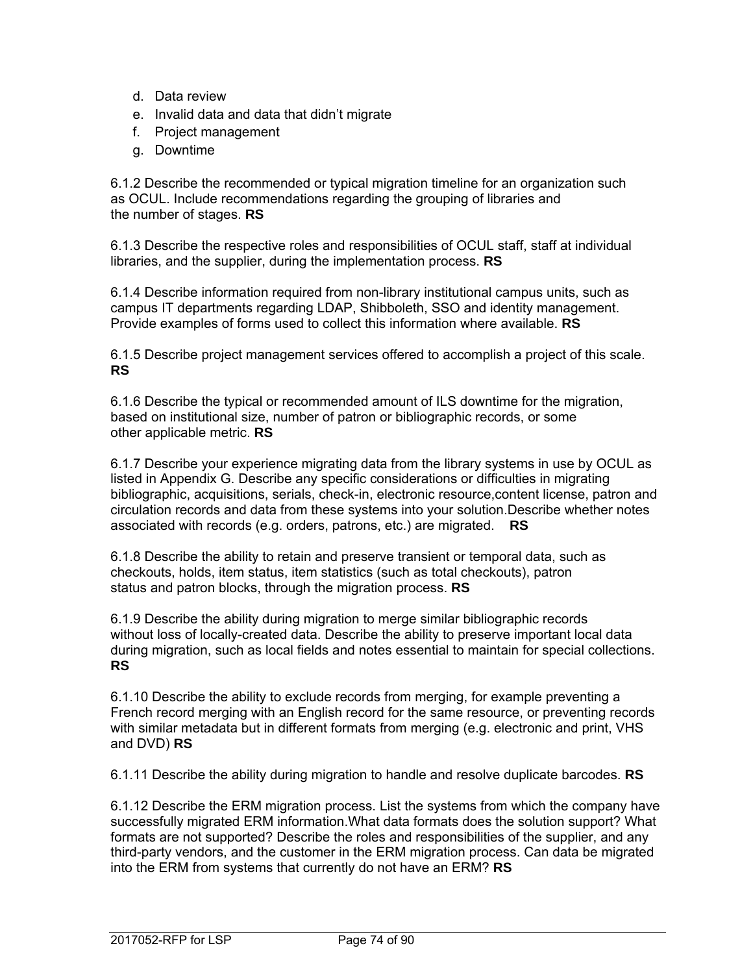- d. Data review
- e. Invalid data and data that didn't migrate
- f. Project management
- g. Downtime

6.1.2 Describe the recommended or typical migration timeline for an organization such as OCUL. Include recommendations regarding the grouping of libraries and the number of stages. **RS**

6.1.3 Describe the respective roles and responsibilities of OCUL staff, staff at individual libraries, and the supplier, during the implementation process. **RS**

6.1.4 Describe information required from non-library institutional campus units, such as campus IT departments regarding LDAP, Shibboleth, SSO and identity management. Provide examples of forms used to collect this information where available. **RS**

6.1.5 Describe project management services offered to accomplish a project of this scale. **RS**

6.1.6 Describe the typical or recommended amount of ILS downtime for the migration, based on institutional size, number of patron or bibliographic records, or some other applicable metric. **RS**

6.1.7 Describe your experience migrating data from the library systems in use by OCUL as listed in Appendix G. Describe any specific considerations or difficulties in migrating bibliographic, acquisitions, serials, check-in, electronic resource,content license, patron and circulation records and data from these systems into your solution.Describe whether notes associated with records (e.g. orders, patrons, etc.) are migrated. **RS**

6.1.8 Describe the ability to retain and preserve transient or temporal data, such as checkouts, holds, item status, item statistics (such as total checkouts), patron status and patron blocks, through the migration process. **RS**

6.1.9 Describe the ability during migration to merge similar bibliographic records without loss of locally-created data. Describe the ability to preserve important local data during migration, such as local fields and notes essential to maintain for special collections. **RS**

6.1.10 Describe the ability to exclude records from merging, for example preventing a French record merging with an English record for the same resource, or preventing records with similar metadata but in different formats from merging (e.g. electronic and print, VHS and DVD) **RS**

6.1.11 Describe the ability during migration to handle and resolve duplicate barcodes. **RS**

6.1.12 Describe the ERM migration process. List the systems from which the company have successfully migrated ERM information.What data formats does the solution support? What formats are not supported? Describe the roles and responsibilities of the supplier, and any third-party vendors, and the customer in the ERM migration process. Can data be migrated into the ERM from systems that currently do not have an ERM? **RS**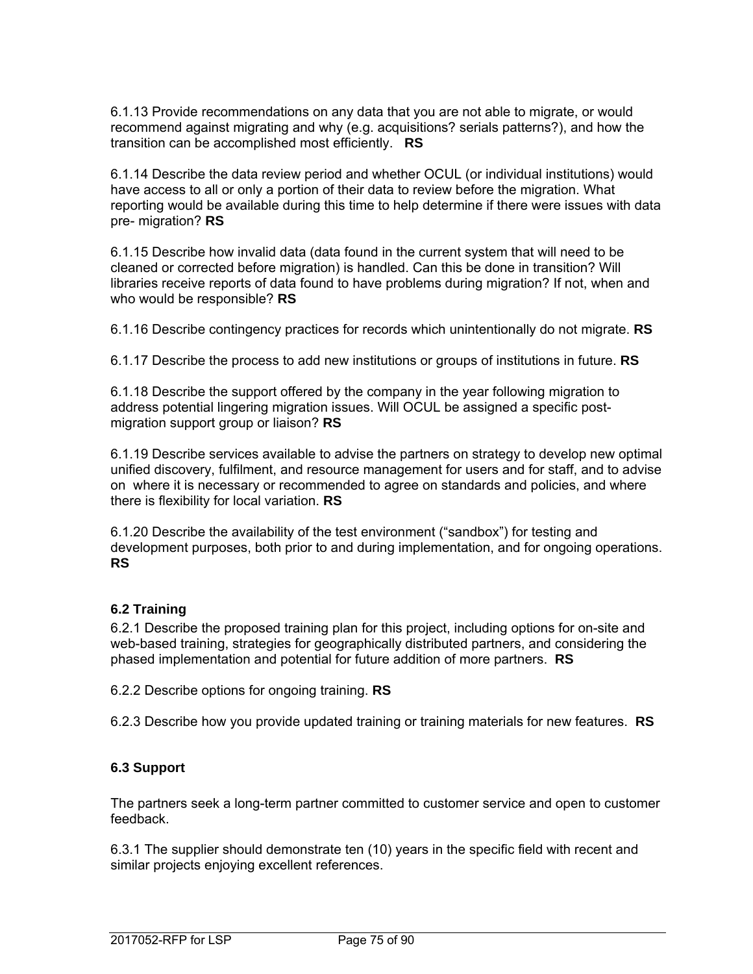6.1.13 Provide recommendations on any data that you are not able to migrate, or would recommend against migrating and why (e.g. acquisitions? serials patterns?), and how the transition can be accomplished most efficiently. **RS**

6.1.14 Describe the data review period and whether OCUL (or individual institutions) would have access to all or only a portion of their data to review before the migration. What reporting would be available during this time to help determine if there were issues with data pre- migration? **RS**

6.1.15 Describe how invalid data (data found in the current system that will need to be cleaned or corrected before migration) is handled. Can this be done in transition? Will libraries receive reports of data found to have problems during migration? If not, when and who would be responsible? **RS**

6.1.16 Describe contingency practices for records which unintentionally do not migrate. **RS**

6.1.17 Describe the process to add new institutions or groups of institutions in future. **RS**

6.1.18 Describe the support offered by the company in the year following migration to address potential lingering migration issues. Will OCUL be assigned a specific postmigration support group or liaison? **RS**

6.1.19 Describe services available to advise the partners on strategy to develop new optimal unified discovery, fulfilment, and resource management for users and for staff, and to advise on where it is necessary or recommended to agree on standards and policies, and where there is flexibility for local variation. **RS**

6.1.20 Describe the availability of the test environment ("sandbox") for testing and development purposes, both prior to and during implementation, and for ongoing operations. **RS** 

### **6.2 Training**

6.2.1 Describe the proposed training plan for this project, including options for on-site and web-based training, strategies for geographically distributed partners, and considering the phased implementation and potential for future addition of more partners. **RS**

6.2.2 Describe options for ongoing training. **RS**

6.2.3 Describe how you provide updated training or training materials for new features. **RS**

### **6.3 Support**

The partners seek a long-term partner committed to customer service and open to customer feedback.

6.3.1 The supplier should demonstrate ten (10) years in the specific field with recent and similar projects enjoying excellent references.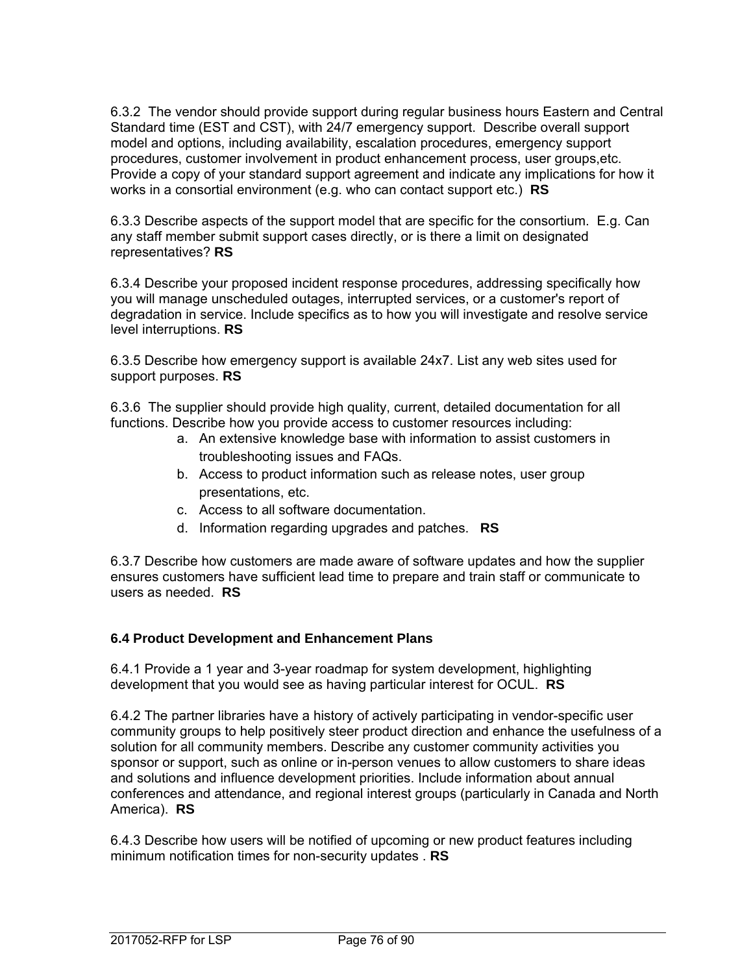6.3.2 The vendor should provide support during regular business hours Eastern and Central Standard time (EST and CST), with 24/7 emergency support. Describe overall support model and options, including availability, escalation procedures, emergency support procedures, customer involvement in product enhancement process, user groups,etc. Provide a copy of your standard support agreement and indicate any implications for how it works in a consortial environment (e.g. who can contact support etc.) **RS**

6.3.3 Describe aspects of the support model that are specific for the consortium. E.g. Can any staff member submit support cases directly, or is there a limit on designated representatives? **RS**

6.3.4 Describe your proposed incident response procedures, addressing specifically how you will manage unscheduled outages, interrupted services, or a customer's report of degradation in service. Include specifics as to how you will investigate and resolve service level interruptions. **RS**

6.3.5 Describe how emergency support is available 24x7. List any web sites used for support purposes. **RS**

6.3.6 The supplier should provide high quality, current, detailed documentation for all functions. Describe how you provide access to customer resources including:

- a. An extensive knowledge base with information to assist customers in troubleshooting issues and FAQs.
- b. Access to product information such as release notes, user group presentations, etc.
- c. Access to all software documentation.
- d. Information regarding upgrades and patches. **RS**

6.3.7 Describe how customers are made aware of software updates and how the supplier ensures customers have sufficient lead time to prepare and train staff or communicate to users as needed. **RS**

### **6.4 Product Development and Enhancement Plans**

6.4.1 Provide a 1 year and 3-year roadmap for system development, highlighting development that you would see as having particular interest for OCUL. **RS**

6.4.2 The partner libraries have a history of actively participating in vendor-specific user community groups to help positively steer product direction and enhance the usefulness of a solution for all community members. Describe any customer community activities you sponsor or support, such as online or in-person venues to allow customers to share ideas and solutions and influence development priorities. Include information about annual conferences and attendance, and regional interest groups (particularly in Canada and North America). **RS**

6.4.3 Describe how users will be notified of upcoming or new product features including minimum notification times for non-security updates . **RS**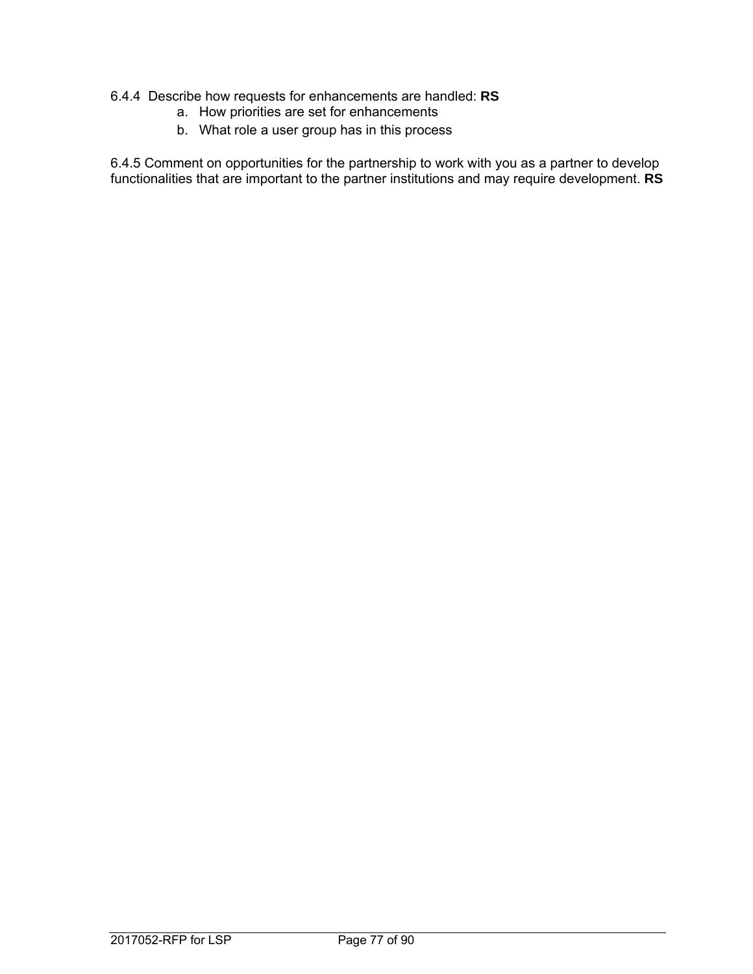#### 6.4.4 Describe how requests for enhancements are handled: **RS**

- a. How priorities are set for enhancements
- b. What role a user group has in this process

6.4.5 Comment on opportunities for the partnership to work with you as a partner to develop functionalities that are important to the partner institutions and may require development. **RS**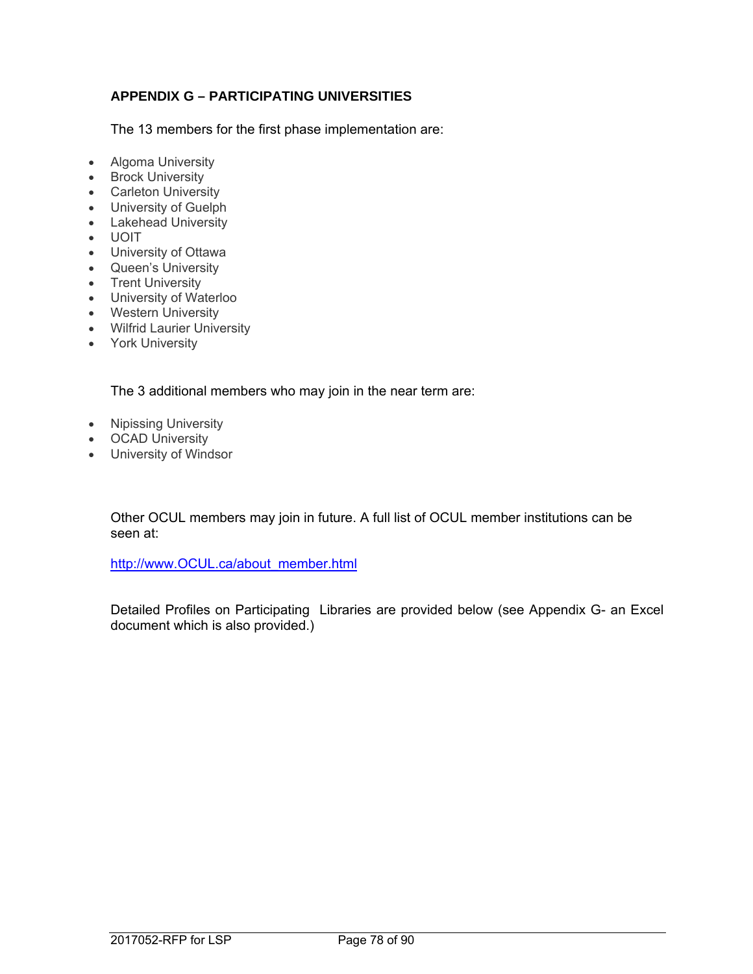# **APPENDIX G – PARTICIPATING UNIVERSITIES**

The 13 members for the first phase implementation are:

- Algoma University
- Brock University
- Carleton University
- University of Guelph
- Lakehead University
- UOIT
- University of Ottawa
- Queen's University
- Trent University
- University of Waterloo
- Western University
- Wilfrid Laurier University
- York University

The 3 additional members who may join in the near term are:

- Nipissing University
- **•** OCAD University
- University of Windsor

Other OCUL members may join in future. A full list of OCUL member institutions can be seen at:

http://www.OCUL.ca/about\_member.html

Detailed Profiles on Participating Libraries are provided below (see Appendix G- an Excel document which is also provided.)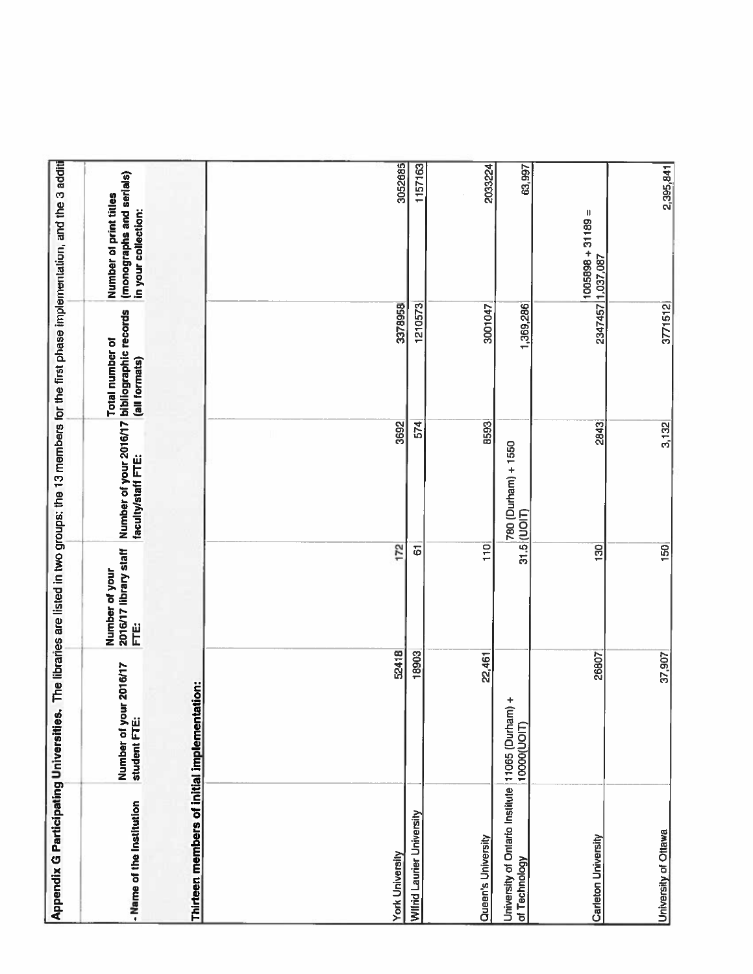| Appendix G Participating Universities.                            |                                        |                                                   |                                                                    |                                  | The libraries are listed in two groups: the 13 members for the first phase implementation, and the 3 additi |
|-------------------------------------------------------------------|----------------------------------------|---------------------------------------------------|--------------------------------------------------------------------|----------------------------------|-------------------------------------------------------------------------------------------------------------|
| - Name of the Institution                                         | Number of your 2016/17<br>student FTE: | 2016/17 library staff<br>Number of your<br>j<br>Е | Number of your 2016/17 bibliographic records<br>faculty/staff FTE: | Total number of<br>(all formats) | (monographs and serials)<br>Number of print titles<br>in your collection:                                   |
| Thirteen members of initial implementation:                       |                                        |                                                   |                                                                    |                                  |                                                                                                             |
|                                                                   |                                        |                                                   |                                                                    |                                  |                                                                                                             |
| <b>York University</b>                                            | 52418                                  | 172                                               | 3692                                                               |                                  |                                                                                                             |
| Wilfrid Laurier University                                        | 18903                                  | 6                                                 | 574                                                                | 3378958<br>1210573               | 3052685<br>1157163                                                                                          |
| Queen's University                                                | 22,461                                 | $\overline{110}$                                  |                                                                    |                                  |                                                                                                             |
| University of Ontario Institute 11065 (Durham) +<br>of Technology | (LIOO0000LD                            |                                                   | <b>B593</b><br>780 (Durham) + 1550<br>$31.5$ (UOIT)                | 1,369,286<br>3001047             | 2033224<br>63,997                                                                                           |
| Carleton University                                               | 26807                                  | $\overline{130}$                                  | 2843                                                               |                                  | $1005898 + 31189 =$<br>2347457 1,037,087                                                                    |
| University of Ottawa                                              | 37,907                                 | $\overline{150}$                                  | 3,132                                                              | 3771512                          | 2,395,841                                                                                                   |
|                                                                   |                                        |                                                   |                                                                    |                                  |                                                                                                             |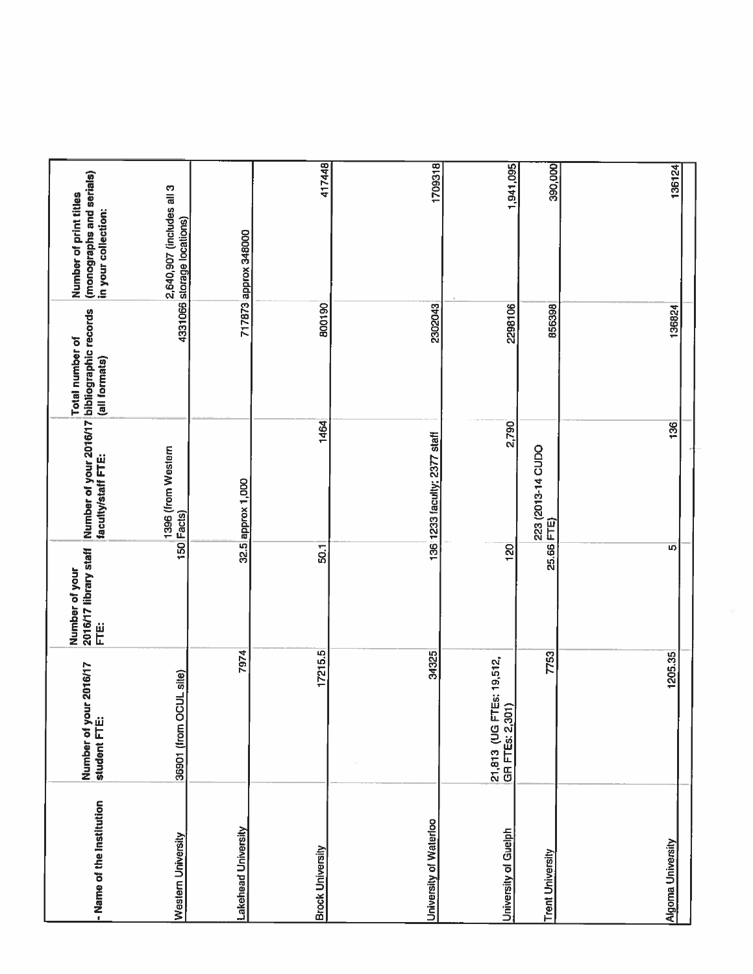| - Name of the Institution  | Number of your 2016/17<br>student FTE:                 | 2016/17 library staff<br>Number of your<br>Ë | Number of your 2016/17 bibliographic records<br>faculty/staff FTE: | Total number of<br>(all formats) | (monographs and serials)<br>in your collection:<br>Number of print titles |
|----------------------------|--------------------------------------------------------|----------------------------------------------|--------------------------------------------------------------------|----------------------------------|---------------------------------------------------------------------------|
| Westem University          | 36901 (from OCUL site)                                 |                                              | 1396 (from Western<br>150 Facts)                                   |                                  | 2,640,907 (includes all 3<br>4331066 storage locations)                   |
| <b>Lakehead University</b> | 7974                                                   |                                              | 32.5 approx 1,000                                                  |                                  | 717873 approx 348000                                                      |
| <b>Brock University</b>    | 17215.5                                                | 50.1                                         | 1464                                                               | 800190                           | 417448                                                                    |
| University of Waterloo     | 34325                                                  |                                              | 136 1233 faculty; 2377 staff                                       | 2302043                          |                                                                           |
| University of Guelph       | <b>IEs: 19,512</b><br>GR FTEs: 2,301)<br>21,813 (UG FT | $\overline{120}$                             | 2,790                                                              | 2298106                          | 1709318<br>1,941,095                                                      |
| <b>Trent University</b>    | 7753                                                   | 25.66 FTE)                                   | 223 (2013-14 CUDO                                                  | 856398                           | 390,000                                                                   |
| <b>Algoma University</b>   | 1205.35                                                | $\overline{5}$                               | 36                                                                 | 136824                           | 136124                                                                    |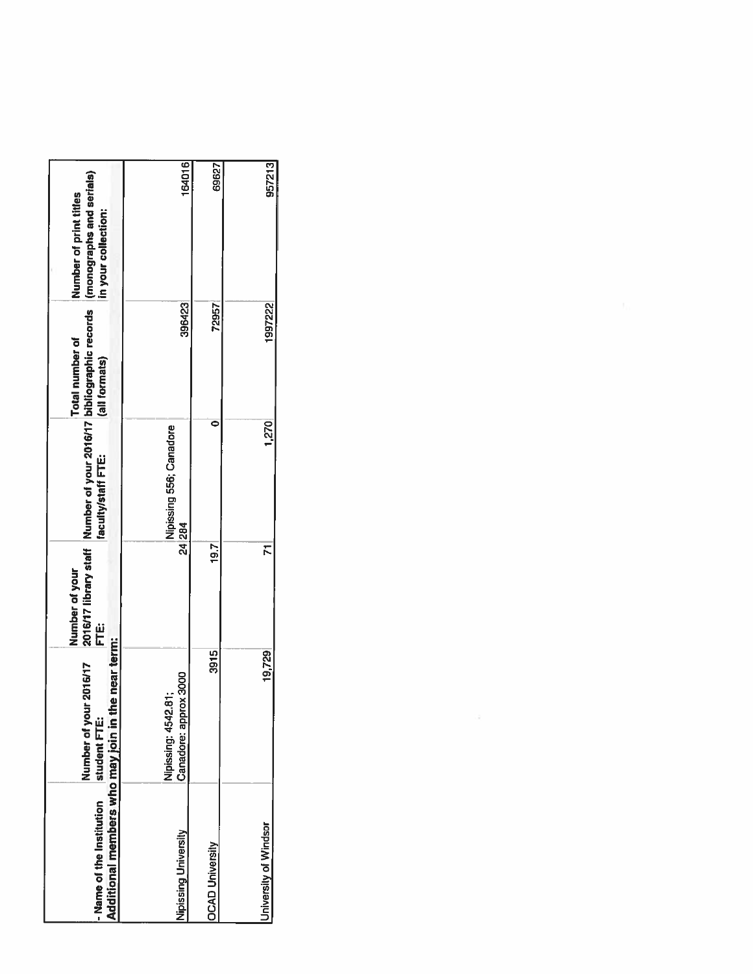| Additional members who may join in t<br>- Name of the Institution | he near term:<br><b>IL/91011</b><br>Number of you<br>student FTE: | Number of your<br>ij<br>E | 2016/17 library staff Number of your 2016/17 bibliographic records<br>faculty/staff FTE: | Total number of<br>(all formats) | (monographs and serials)<br>Number of print titles<br>in your collection: |
|-------------------------------------------------------------------|-------------------------------------------------------------------|---------------------------|------------------------------------------------------------------------------------------|----------------------------------|---------------------------------------------------------------------------|
| Nipissing University                                              | Canadore: approx 3000<br>Nipissing: 4542.81;                      |                           | Nipissing 556; Canadore<br>24 284                                                        | 396423                           | 164016                                                                    |
| <b>OCAD University</b>                                            | 3915                                                              | 19.7                      |                                                                                          | 72957                            | 69627                                                                     |
| University of Windsor                                             | 19,729                                                            | ħ                         | 1,270                                                                                    | 1997222                          | 957213                                                                    |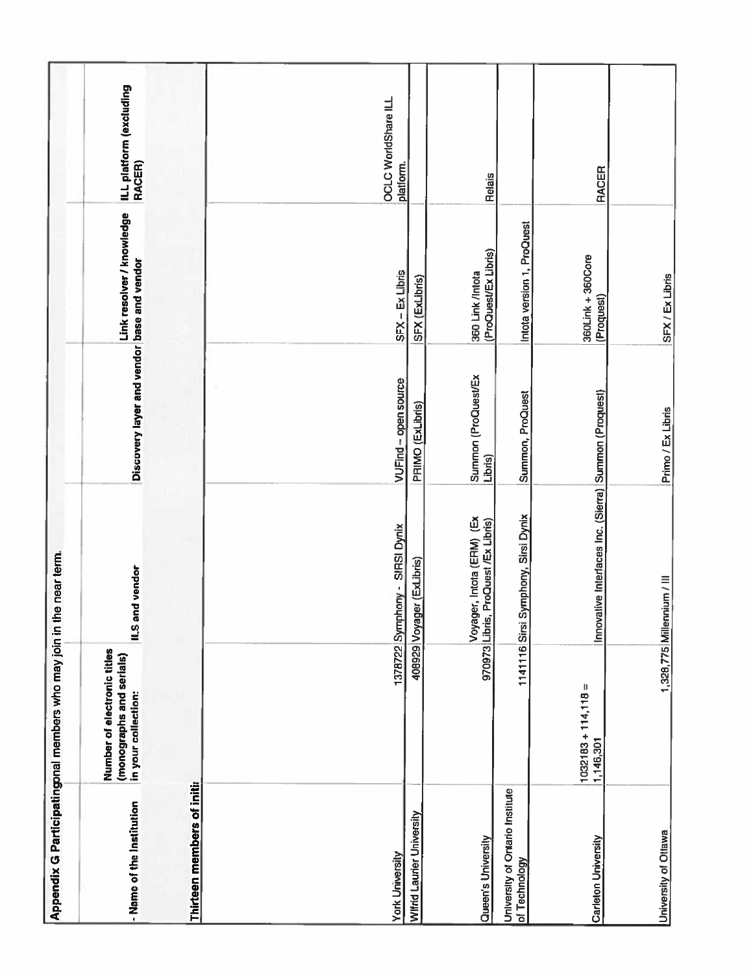|                                                  | Appendix G Participatingonal members who may join in the near term.            |                                                           |                                            |                                          |                                   |
|--------------------------------------------------|--------------------------------------------------------------------------------|-----------------------------------------------------------|--------------------------------------------|------------------------------------------|-----------------------------------|
| - Name of the Institution                        | Number of electronic titles<br>(monographs and serials)<br>in your collection: | ILS and vendor                                            | Discovery layer and vendor base and vendor | Link resolver / knowledge                | ILL platform (excluding<br>RACER) |
| Thirteen members of initia                       |                                                                                |                                                           |                                            |                                          |                                   |
|                                                  |                                                                                |                                                           |                                            |                                          |                                   |
| <b>York University</b>                           |                                                                                | 1378722 Symphony - SIRSI Dynix                            | VUFind - open source                       | SFX-Ex Libris                            | OCLC WorldShare ILL<br>platform.  |
| <b>Wifrid Laurier University</b>                 | a08929 Voyag                                                                   | jer (ExLibris)                                            | PRIMO (ExLibris)                           | SFX (ExLibris)                           |                                   |
| Queen's University                               | 970973 Libris,                                                                 | Voyager, Intota (ERM) (Ex<br>Libris, ProQuest /Ex Libris) | Summon (ProQuest/Ex<br>Libris)             | (ProQuest/Ex Libris)<br>360 Link /Intota | <b>Relais</b>                     |
| University of Ontario Institute<br>of Technology |                                                                                | 1141116 Sirsi Symphony, Sirsi Dynix                       | Summon, ProQuest                           | Intota version 1, ProQuest               |                                   |
| Carleton University                              | $1032183 + 114,118 =$<br>1,146,301                                             | Innovative Interfaces Inc. (Sierra) Summon (Proquest)     |                                            | 360Link + 360Core<br>(Proquest)          | <b>RACER</b>                      |
| University of Ottawa                             |                                                                                | 1,328,775 Millennium / III                                | Primo / Ex Libris                          | SFX / Ex Libris                          |                                   |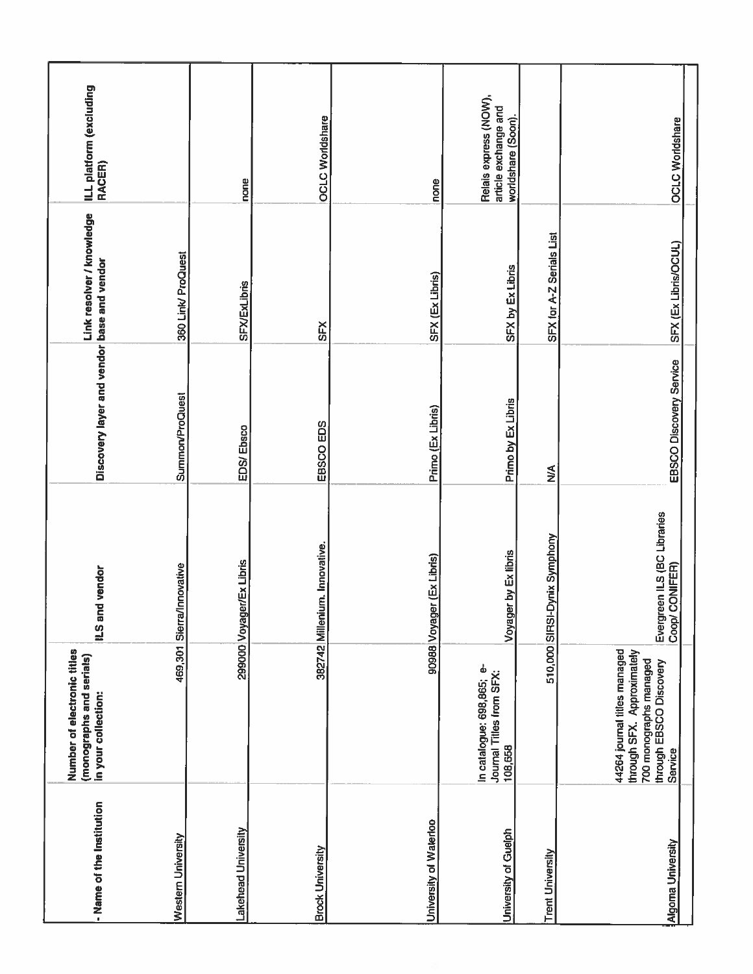| - Name of the Institution | Number of electronic titles<br>(monographs and serials)<br>in your collection:                                             | ILS and vendor                                   | Discovery layer and vendor base and vendor | Link resolver / knowledge | ILL platform (excluding<br>RACER)                                   |
|---------------------------|----------------------------------------------------------------------------------------------------------------------------|--------------------------------------------------|--------------------------------------------|---------------------------|---------------------------------------------------------------------|
| Westem University         |                                                                                                                            | 469,301 Sierra/Innovative                        | <b>Summon/ProQuest</b>                     | 360 Link/ ProQuest        |                                                                     |
| Lakehead University       |                                                                                                                            | 299000 Voyager/Ex Libris                         | EDS/Ebsco                                  | <b>SFX/ExLibris</b>       | none                                                                |
| <b>Brock University</b>   |                                                                                                                            | 382742 Millenium. Innovative.                    | EBSCO EDS                                  | <b>SFX</b>                | <b>OCLC Worldshare</b>                                              |
| University of Waterloo    |                                                                                                                            | 90988 Voyager (Ex Libris)                        | Primo (Ex Libris)                          | SFX (Ex Libris)           | none                                                                |
| University of Guelph      | In catalogue: 698,865; e-<br>Journal Titles from SFX:<br>108,658                                                           | Voyager by Ex libris                             | Primo by Ex Libris                         | SFX by Ex Libris          | Relais express (NOW),<br>article exchange and<br>worldshare (Soon). |
| <b>Trent University</b>   |                                                                                                                            | 510,000 SIRSI-Dynix Symphony                     | $\frac{3}{2}$                              | SFX for A-Z Serials List  |                                                                     |
| Algoma University         | 44264 journal titles managed<br>through SFX. Approximately<br>700 monographs managed<br>through EBSCO Discovery<br>Service | Evergreen ILS (BC Libraries<br>CONIFER)<br>Coop/ | <b>EBSCO Discovery Service</b>             | SFX (Ex Libris/OCUL)      | <b>OCLC Worldshare</b>                                              |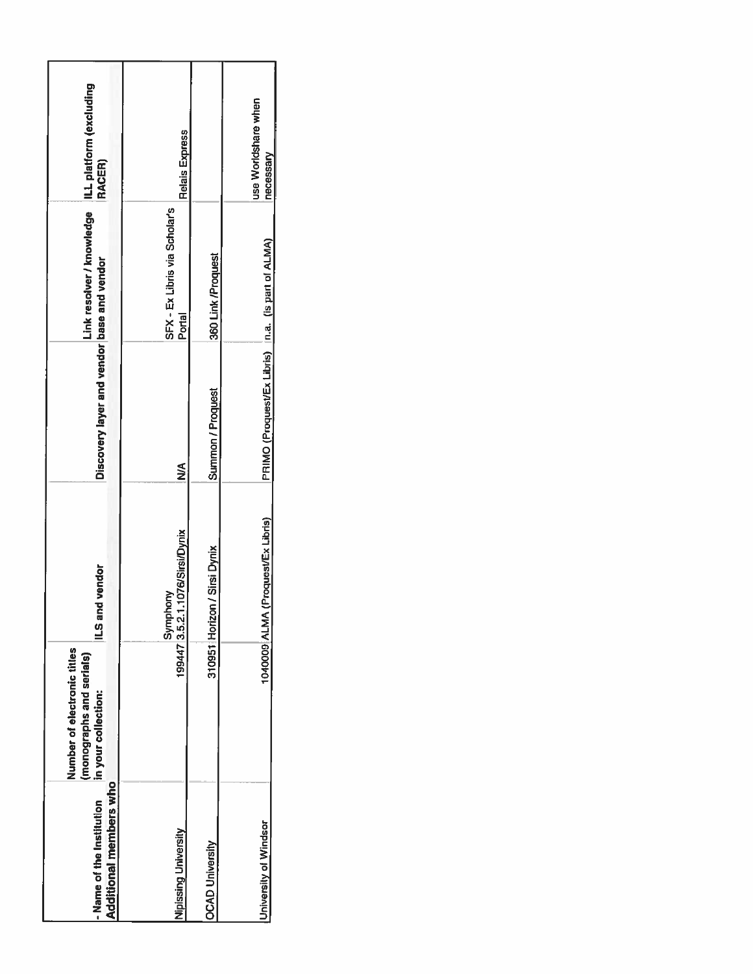| Additional members who<br>- Name of the Institution | Number of electronic titles<br>(monographs and serials)<br>in your collection: | ILS and vendor                | Discovery layer and vendor base and vendor         | Link resolver / knowledge               | ILL platform (excluding<br>RACER) |
|-----------------------------------------------------|--------------------------------------------------------------------------------|-------------------------------|----------------------------------------------------|-----------------------------------------|-----------------------------------|
| Nipissing University                                | 199447 3.5.2.1                                                                 | .1076/Sirsi/Dynix<br>Symphony | $\frac{8}{2}$                                      | SFX - Ex Libris via Scholar's<br>Portal | <b>Relais Express</b>             |
| <b>OCAD University</b>                              |                                                                                | 310951 Horizon / Sirsi Dynix  | Summon / Proquest                                  | 360 Link /Proquest                      |                                   |
| University of Windsor                               | 1040009 ALMA                                                                   | (Proquest/Ex Libris)          | PRIMO (Proquest/Ex Libris) In.a. (is part of ALMA) |                                         | use Worldshare when<br>necessary  |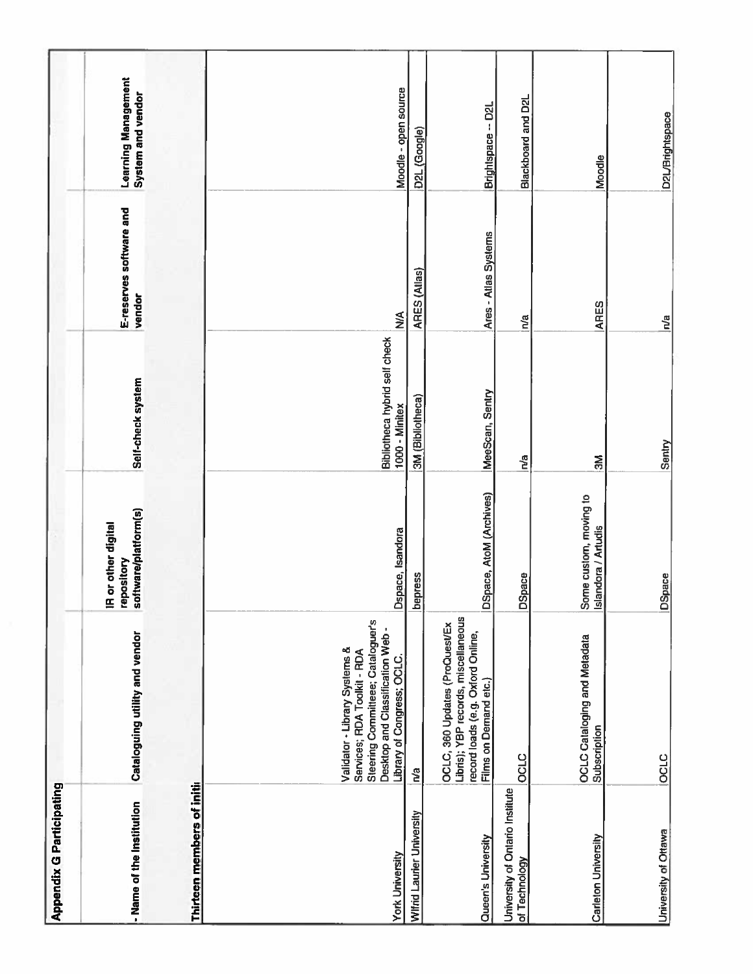| <b>Appendix G Participating</b>                  |                                                                                                                                                                   |                                                                        |                                                 |                                   |                                                 |
|--------------------------------------------------|-------------------------------------------------------------------------------------------------------------------------------------------------------------------|------------------------------------------------------------------------|-------------------------------------------------|-----------------------------------|-------------------------------------------------|
| - Name of the Institution                        | Cataloguing utility and vendor                                                                                                                                    | software/platform(s)<br>or other digital<br>repository<br>$\mathbf{E}$ | Self-check system                               | E-reserves software and<br>vendor | <b>Learning Management</b><br>System and vendor |
| Thirteen members of initia                       |                                                                                                                                                                   |                                                                        |                                                 |                                   |                                                 |
|                                                  |                                                                                                                                                                   |                                                                        |                                                 |                                   |                                                 |
| <b>York University</b>                           | Steering Committeee; Cataloguer's<br>Desktop and Classification Web-<br>Validator - Library Systems &<br>Services; RDA Toolkit - RDA<br>Library of Congress; OCLC | Dspace, Isandora                                                       | Bibliotheca hybrid self check<br>1000 - Minitex | $\sum_{i=1}^{n}$                  | Moodle - open source                            |
| Wifrid Laurier University                        | n'a                                                                                                                                                               | <b>bepress</b>                                                         | 3M (Bibliotheca)                                | ARES (Allas)                      | D2L (Google)                                    |
| Queen's University                               | Libris); YBP records, miscellaneous<br>OCLC, 360 Updates (ProQuest/Ex<br>record loads (e.g. Oxford Online,<br>Films on Demand etc.)                               | DSpace, AtoM (Archives)                                                | MeeScan, Sentry                                 | Ares - Atlas Systems              | Brightspace -- D2L                              |
| University of Ontario Institute<br>of Technology | OCLC                                                                                                                                                              | DSpace                                                                 | n <sup>i</sup> a                                | na                                | Blackboard and D2L                              |
| Carleton University                              | <b>OCLC Cataloging and Metadata</b><br>Subscription                                                                                                               | Some custom, moving to<br>Islandora / Artudis                          | $\mathbb{R}$                                    | ARES                              | Moodle                                          |
| University of Ottawa                             | <b>OCLC</b>                                                                                                                                                       | DSpace                                                                 | Sentry                                          | $\mathbf{h}$ a                    | <b>D2L/Brightspace</b>                          |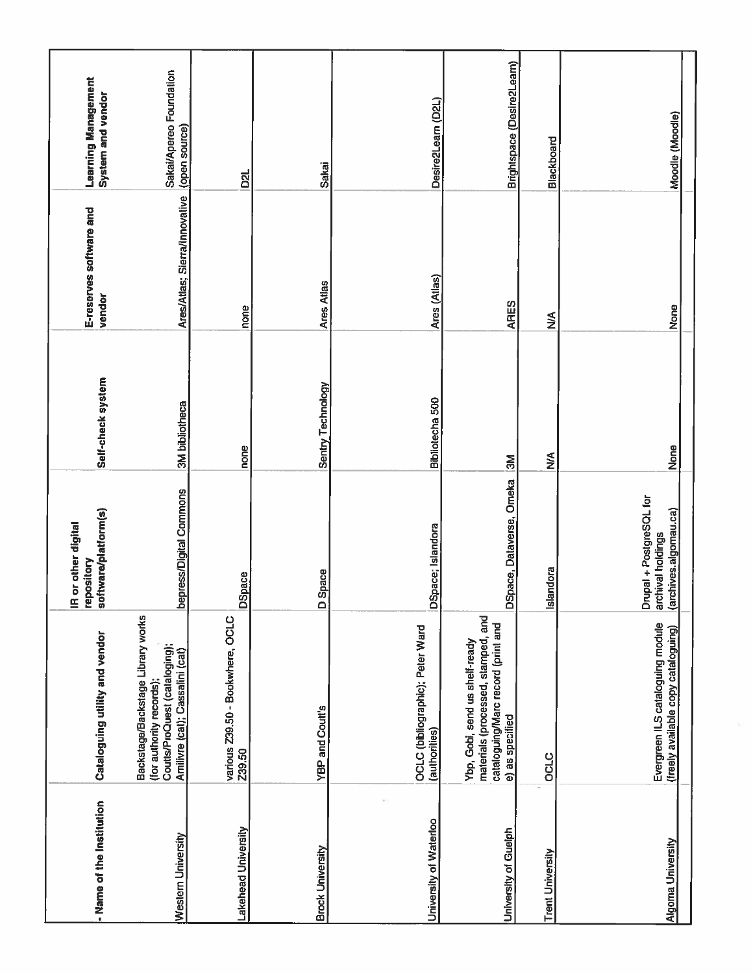| - Name of the Institution | Cataloguing utility and vendor                                                                                                    | software/platform(s)<br>IR or other digital<br>repository             | Self-check system | E-reserves software and<br>vendor | <b>Learning Management</b><br>System and vendor |
|---------------------------|-----------------------------------------------------------------------------------------------------------------------------------|-----------------------------------------------------------------------|-------------------|-----------------------------------|-------------------------------------------------|
| Western University        | Backstage/Backstage Library works<br>Coutts/ProQuest (cataloging);<br>Amilivre (cat); Cassalini (cat)<br>(for authority records); | bepress/Digital Commons                                               | 3M bibliotheca    | Ares/Atlas; Sierra/Innovative     | Sakai/Apereo Foundation<br>(open source)        |
| Lakehead University       | various Z39.50 - Bookwhere, OCLC<br>239.50                                                                                        | <b>DSpace</b>                                                         | none              | none                              | D <sub>21</sub>                                 |
| <b>Brock University</b>   | <b>YBP and Coutt's</b>                                                                                                            | Space<br>$\Box$                                                       | Sentry Technology | <b>Ares Atlas</b>                 | Sakai                                           |
| University of Waterloo    | OCLC (bibliographic); Peter Ward<br>(authorities)                                                                                 | DSpace; Islandora                                                     | Bibliotecha 500   | Ares (Atlas)                      | Desire2Leam (D2L)                               |
| University of Guelph      | materials (processed, stamped, and<br>cataloguing/Marc record (print and<br>Ybp, Gobi, send us shelf-ready<br>e) as specified     | DSpace, Dataverse, Omeka                                              | ŠΜ                | ARES                              | Brightspace (Desire2Learn)                      |
| <b>Trent University</b>   | <b>OCLC</b>                                                                                                                       | Islandora                                                             | $\sum_{i=1}^{n}$  | $\frac{4}{5}$                     | Blackboard                                      |
| <b>Algoma University</b>  | Evergreen ILS cataloguing module<br>(freely available copy cataloguing)                                                           | Drupal + PostgreSQL for<br>(archives.algomau.ca)<br>archival holdings | None              | None                              | Moodle (Moodle)                                 |
|                           |                                                                                                                                   |                                                                       |                   |                                   |                                                 |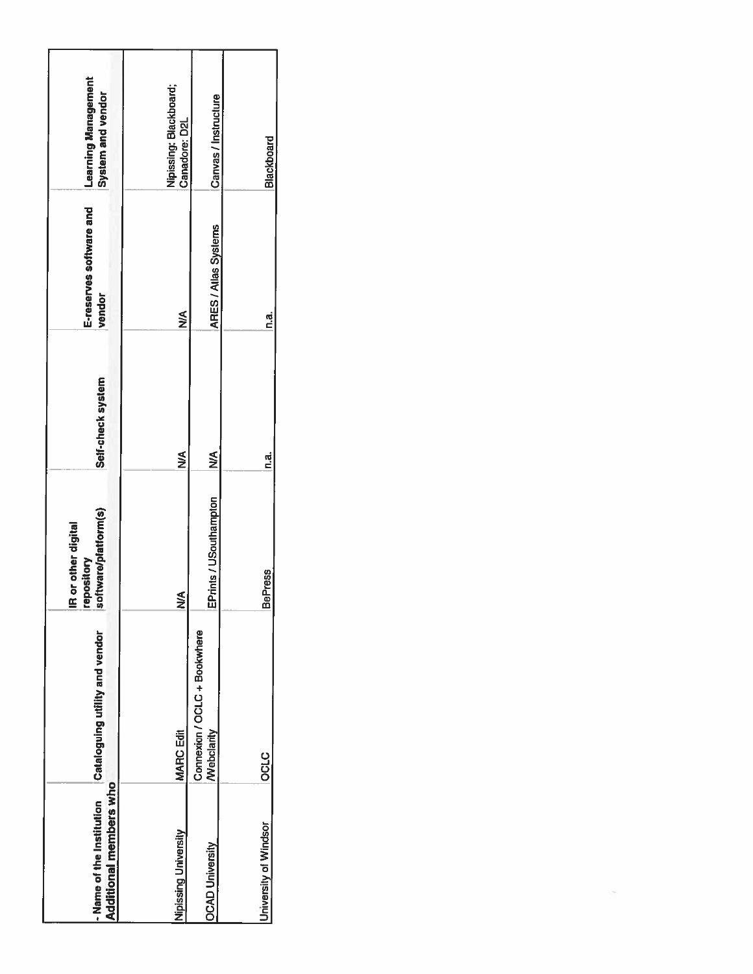| Additional members who<br>- Name of the Institution | Cataloguing utility and vendor             | software/platform(s)<br>or other digital<br>pository<br>ġ<br>ē | Self-check system | E-reserves software and<br>vendor | <b>Learning Management</b><br>System and vendor |
|-----------------------------------------------------|--------------------------------------------|----------------------------------------------------------------|-------------------|-----------------------------------|-------------------------------------------------|
| Nipissing University                                | <b>MARC Edit</b>                           | ⋛                                                              | ⋚                 | ≸                                 | Nipissing: Blackboard;<br>Canadore: D2L         |
| <b>OCAD University</b>                              | Connexion / OCLC + Bookwhere<br>Webclarity | EPrints / USouthampton                                         | ≨<br>≥            | <b>ARES/Allas Systems</b>         | Canvas / Instructure                            |
| University of Windsor                               | <b>OCLC</b>                                | <b>BePress</b>                                                 | ៤<br>ក            | d.<br>C                           | Blackboard                                      |

 $\sim 100$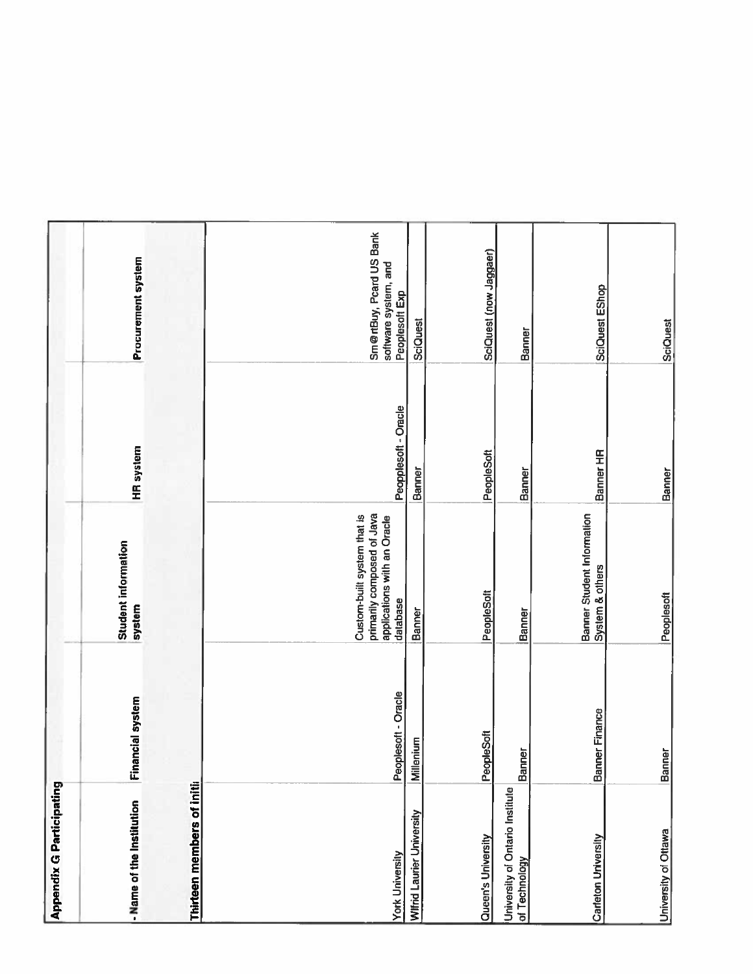| Appendix G Participating                         |                         |                                                                                                      |                      |                                                                   |
|--------------------------------------------------|-------------------------|------------------------------------------------------------------------------------------------------|----------------------|-------------------------------------------------------------------|
| - Name of the Institution                        | <b>Financial system</b> | <b>Student information</b><br>system                                                                 | <b>HR</b> system     | Procurement system                                                |
| Thirteen members of initia                       |                         |                                                                                                      |                      |                                                                   |
|                                                  |                         |                                                                                                      |                      |                                                                   |
| <b>York University</b>                           | Peoplesoft - Oracle     | primarily composed of Java<br>applications with an Oracle<br>Custom-built system that is<br>database | Peopplesoft - Oracle | Sm@rtBuy, Peard US Bank<br>software system, and<br>Peoplesoft Exp |
| Wilfrid Laurier University                       | Millenium               | Banner                                                                                               | Banner               | SciQuest                                                          |
| Queen's University                               | PeopleSoft              | PeopleSoft                                                                                           | PeopleSoft           | SciQuest (now Jaggaer)                                            |
| University of Ontario Institute<br>of Technology | Banner                  | Banner                                                                                               | Banner               | Banner                                                            |
| Carleton University                              | Banner Finance          | Banner Student Information<br>System & others                                                        | Banner HR            | SciQuest EShop                                                    |
| University of Ottawa                             | Banner                  | Peoplesoft                                                                                           | Banner               | <b>SciQuest</b>                                                   |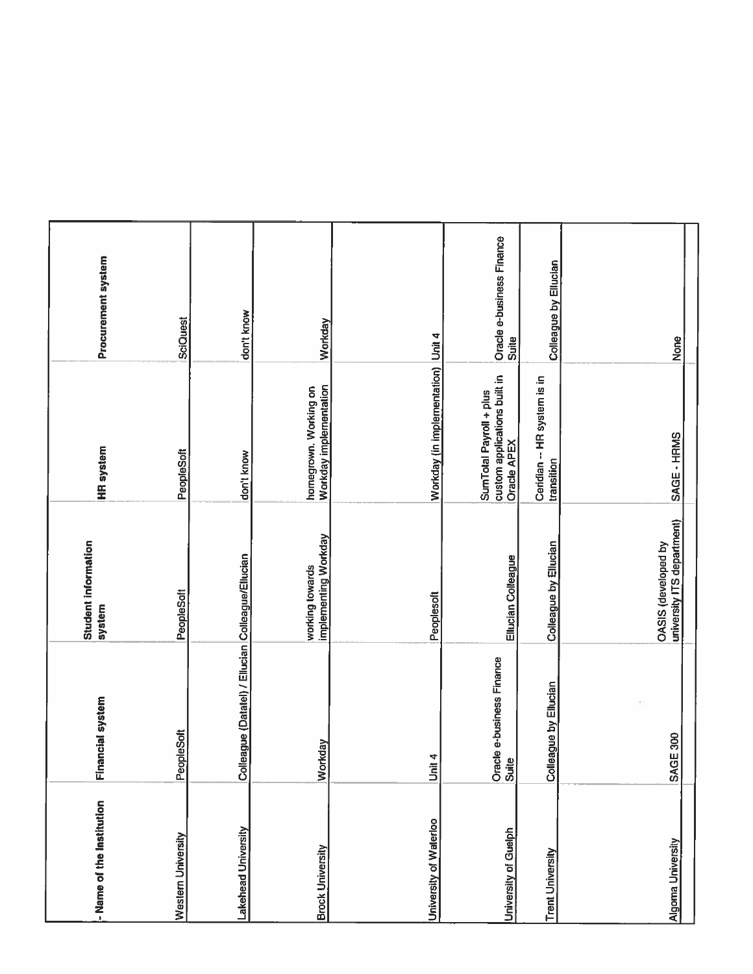| - Name of the Institution     | Financial system                                  | <b>Student information</b><br>system              | <b>HR</b> system                                                       | Procurement system                 |
|-------------------------------|---------------------------------------------------|---------------------------------------------------|------------------------------------------------------------------------|------------------------------------|
| Western University            | PeopleSoft                                        | PeopleSoft                                        | PeopleSoft                                                             | SciQuest                           |
| Lakehead University           | Colleague (Datatel) / Ellucian Colleague/Ellucian |                                                   | don't know                                                             | don't know                         |
| <b>Brock University</b>       | Workday                                           | implementing Workday<br>working towards           | Workday implementation<br>homegrown. Working on                        | Workday                            |
| <b>University of Waterloo</b> | Unit 4                                            | Peoplesoft                                        | Workday (in implementation) Unit 4                                     |                                    |
| University of Guelph          | Oracle e-business Finance<br>Suite                | Ellucian Colleague                                | custom applications built in<br>Oracle APEX<br>SumTotal Payroll + plus | Oracle e-business Finance<br>Suite |
| <b>Trent University</b>       | Colleague by Ellucian                             | Colleague by Ellucian                             | Ceridian -- HR system is in<br>transition                              | Colleague by Ellucian              |
| Algoma University             | SAGE 300                                          | university ITS department)<br>OASIS (developed by | SAGE - HRMS                                                            | None                               |